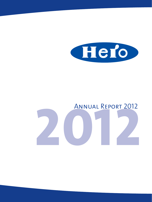

# **2012** Annual Report 2012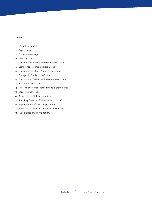## **Contents**

- 2 3-Year Key Figures
- 3 Organization
- 4 Chairman Message
- 6 CEO Message
- 8 Consolidated Income Statement Hero Group
- 9 Comprehensive Income Hero Group
- 10 Consolidated Balance Sheet Hero Group
- 12 Changes in Equity Hero Group
- 13 Consolidated Cash Flow Statement Hero Group
- 14 Accounting Principles
- 39 Notes to the Consolidated Financial Statements
- 70 Corporate Governance
- 71 Report of the Statutory Auditor
- 72 Statutory Financial Statements of Hero AG
- 77 Appropriation of Available Earnings
- 78 Report of the Statutory Auditors of Hero AG
- 79 Subsidiaries and Participations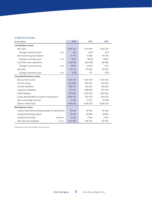# **3-Year Key Figures**

| in CHF 1000.-                                     |        | 2012     | 2011                   | 2010     |
|---------------------------------------------------|--------|----------|------------------------|----------|
| <b>Consolidated results</b>                       |        |          |                        |          |
| Net sales                                         |        | 1429 252 | 1431100                | 1665242  |
| Change to previous year                           | in $%$ | (0.1)    | (14.1)                 | (6.7)    |
| Net income (equity holders)                       |        | 37739    | 4 3 8 0 <sup>*</sup>   | 143 130  |
| Change to previous year                           | in %   | 761.6    | (96.9)                 | 498.0    |
| Cash flow from operations                         |        | 124 789  | (20 490)               | 68988    |
| Change to previous year                           | in $%$ | 709.0    | (129.7)                | 72.0     |
| Net debt                                          |        | 235 153  | 375 128                | 319 125  |
| Change to previous year                           | in $%$ | (37.3)   | 17.5                   | (8.3)    |
| Consolidated balance sheet                        |        |          |                        |          |
| Non-current assets                                |        | 1362471  | 1344792 <sup>"</sup>   | 1393 263 |
| Current assets                                    |        | 632080   | 700 833                | 673 034  |
| Current liabilities                               |        | 580 275  | 601927                 | 538 293  |
| Long-term liabilities                             |        | 371 556  | 468 580 <sup>°</sup>   | 543 703  |
| <b>Total liabilities</b>                          |        | 951830   | 1070 507 <sup>"</sup>  | 1081996  |
| Equity attributable to owners of the parent       |        | 1038 270 | 952 357 <sup>"</sup>   | 954 563  |
| Non-controlling interests                         |        | 4450     | 22761                  | 29 738   |
| Balance sheet total                               |        | 1994 551 | 2 045 625 <sup>*</sup> | 2066297  |
| Miscellaneous data                                |        |          |                        |          |
| Capital expenditure (property, plant & equipment) |        | 45 163   | 67901                  | 115 629  |
| Consolidated depreciation                         |        | 39 745   | 26 9 84                | 28 841   |
| Headcount (Heads)                                 | Number | 4366     | 4 1 4 4                | 3 9 5 2  |
| Net sales per employee                            | in CHF | 327 360  | 345 343                | 421 367  |

\*)Restatement due to early adoption of IAS 19 revised.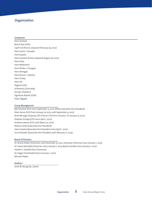# **Organization**

#### **Companies**

Hero Schweiz Beech-Nut (USA) Cap'Fruit (France, disposed February 29, 2012) Hero Czech + Slovakia Hero España Hero Huishan (China, disposed August 30, 2012) Hero Italia Hero Nederland Hero Polska + Hungary Hero Portugal Hero Russia + Ukraine Hero Turkey Hero UK Organix (UK) Schwartau (Germany) Semper (Sweden) Signature Brands (USA) Vitrac (Egypt)

#### **Group Management**

Rob Versloot (CEO since September 4, 2012, before Executive Vice President) Peter Amon (CEO from January 16, 2012 until September 4, 2012) René Bänziger (Deputy CEO, interim CEO from January 1 to January 15, 2012) Stephan Schopp (CFO since April 1, 2012) Andrew Lawson (CFO until March 31, 2012) Markus Lenke (Executive Vice President) Hans Huistra (Executive Vice President since April 1, 2012) Jim Schneider (Executive Vice President until February 12, 2013)

#### **Board of Directors**

Dr. Arend Oetker (Chairman until December 31, 2012, Honorary Chairman since January 1, 2013) Dr. Hasso Kaempfe (Chairman since January 1, 2013, Board member since January 1, 2012) Herbert J. Scheidt (Vice-Chairman) Dr. Hagen Duenbostel (since January 1, 2012) Michael Pieper

## **Auditors**

Ernst & Young Ltd., Zurich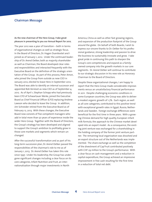# **Chairman Message**

## **As the new chairman of the Hero Group, I take great pleasure in presenting to you our Annual Report for 2012.**

The year 2012 was a year of transition – both in terms of organizational changes as well as strategic focus. In the Board of Directors, Dr. Hagen Duenbostel and I joined as of January 1, 2012. Under the continued leadership of Dr. Arend Oetker, both as majority shareholder as well as Chairman, the Board developed clear roles and responsibilities and interacted frequently with the Executive Board on the definition of the strategic orientation of the Group. As part of this process, Peter Amon, who joined the Group from outside as new CEO in January 2012, elected to leave Hero in September 2012. The Board was able to identify an internal successor and appointed Rob Versloot as new CEO as of September 4, 2012. As of April 1, Stephan Schopp who had previously been CFO of Schwartauer Werke, joined the Executive Board as Chief Financial Officer (CFO) replacing Andrew Lawson who decided to leave the Group. In addition, Jim Schneider retired from the Executive Board as of February 12, 2013. With these changes, the Executive Board now consists of five competent managers who add in total more than 50 years of experience inside the wider Hero Group. Together with the Board of Directors, the Group's strategy has been developed and aligned to support the Group's ambition to profitably grow in those core markets and segments which remain unchanged.

After the successful transformation and as part of his long-term succession plan, Dr. Arend Oetker passed the responsibilities of the chairman's role to me as of January 1, 2013. Dr. Arend Oetker has taken this role since 1997. Under his leadership, the Group has undergone significant changes including a clear focus on its core categories, Infant Nutrition and Fruit, an inter nationalization through major investments in North

America, China as well as other fast growing regions, and expansion of the production footprint of the Group around the globe. On behalf of both Boards, I wish to express our sincere thanks to Dr. Oetker for his professional guidance, strong leadership and passion to drive the business to sustainably innovate and grow. I take great pride in continuing this path to sharpen the Group's core competencies and expand as a familyowned company into the growth markets in our core segments. Dr. Arend Oetker will continue to contribute to our strategic discussion in his new role as Honorary Chairman to the Board of Directors.

Despite these organizational changes, I am happy to report that the Hero Group made considerable improvements versus an unsatisfactory financial performance in 2011. Despite challenging economic conditions in some European countries, the Group was able to deliver a modest organic growth of 1.7%. Each region, as well as all core categories, contributed to this positive trend with exceptional growth rates in Egypt, Russia, Netherlands and Sweden. Foreign exchange differences were beneficial for the first time in three years. With a growing Chinese demand for high quality, European infant milk formula, the approach to the Chinese market developed into an export model. As a consequence, the existing joint venture was exchanged for a shareholding in the holding company of the former joint venture partner. The remaining local organization was dissolved and an export structure out of the Netherlands was implemented. The share exchange as well as the completion of the divestment of Cap'Fruit contributed positively with CHF 29 million to the Group's performance. With a clear focus on cash management and a reduction in capital expenditure, the Group achieved an impressive improvement in free cash resulting for the first time in a reduction of total net debt.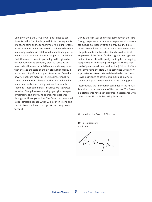Going into 2013, the Group is well positioned to continue its path of profitable growth in its core segments Infant and Jams and to further improve in our profitable niche segments. In Europe, we will continue to build on our strong positions in established markets and grow or maintain our positions. Eastern Europe and the Middle-East-Africa markets are important growth regions to further develop and profitably grow our existing business. In North America, initiatives are underway to further leverage the state-of-the-art production facility in infant food. Significant progress is expected from the newly established activities in China underlined by a strong demand from Chinese mothers for high quality infant food and an increasing political focus on this segment. These commercial initiatives are supported by a clear Group focus on realizing synergies from past investments and improving operational excellence throughout the organization. The Group has developed a clear strategic agenda which will result in strong and sustainable cash flows that support the Group going forward.

During the first year of my engagement with the Hero Group, I experienced a unique entrepreneurial, passionate culture executed by strong highly qualified local teams. I would like to take this opportunity to express my gratitude to the Executive Board as well as to all employees of the Group for their rigorous engagement and achievements in the past year despite the ongoing reorganization and strategic changes. With this high level of professionalism as well as the joint spirit of further developing the Hero Group combined with a very supportive long-term oriented shareholder, the Group is well positioned to achieve its ambitious mid-term targets and grow to new heights in the coming years.

Please review the information contained in the Annual Report on the development of Hero in 2012. The financial statements have been prepared in accordance with International Financial Reporting Standards.

On behalf of the Board of Directors

Dr. Hasso Kaempfe Chairman

Accyle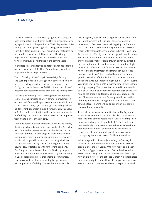# **CEO Message**

The year 2012 was characterized by significant changes in both organization and strategy and led to, amongst others, my appointment to the position of CEO in September. After joining the Group 4 years ago and having served on the Executive Board since 2011, I feel honored and motivated to take on this new responsibility and steer the Group – together with my colleagues in the Executive Board – towards improved performance in the coming years.

In this respect, I am happy to be able to announce that the overall 2012 results of the Hero Group showed significant improvements versus prior years.

The profitability of the Group increased significantly and EBIT improved from CHF 33.7 m in 2011 to CHF 90.0 m for the reporting period and net income improved to CHF 37.7 m. Nevertheless, we feel that there is still lots of potential for substantial improvement in the coming years.

Our focus on working capital management and reduced capital expenditures led to a very strong improvement in our free cash flow and helped to reduce our net debt substantially from CHF 385 m to CHF 235 m including a shareholder contribution from a hybrid instrument with a value of CHF 70 m. In combination with a solid improvement in profitability, the Group's net debt to EBITDA ratio improved from 3.3x to a level of 1.5x in 2012.

Excluding deconsolidation effects in Germany and France, the Group achieved an organic growth rate of 1.7% – in line with comparable market participants but below our own ambitious targets. Despite ongoing challenging market conditions in many European consumer markets, we were able to deliver growth rates in our core categories Infant (+1.0%) and Fruit (+2.3%). The Infant category accounts now for 42% of total sales with Jam contributing 21%. Our European markets contributed 2.1% with good performances in the Netherlands, Sweden, Italy and Germany. In Spain, despite extremely challenging circumstances, Hero was able to achieve a stable top line performance with improved profitability. The North American market

was marginally positive with a negative contribution from our infant business but first signs for performance im provement at Beech-Nut were visible giving confidence for 2013. The Group posted moderate growth in its CEEMEA region with reasonable performances in Egypt (+9.4%) and Russia (+9.2%) offset by more modest growth in other markets in the region. Infant milk formula exports to China showed exceptional profitable growth, driven by a strong increase in Chinese demand for imported, premium, high quality and safe infant milk formulas. We will continue to nurture our export strategy and strengthen our distribution partnership as China is and will remain the number 1 growth market in infant nutrition. At the same time we decided to swap our shareholding in our local Chinese Joint Venture (Hero-Huishan) into a shareholding in the Huishan holding company. The transaction resulted in a non-cash gain of CHF 25.2 m and ended the required cash outflow to finalize the production facility and implementation of an own Chinese sales structure, formerly established in the Chinese joint venture. Going forward our commercial and strategic focus in China will be on exports of infant milk from our European markets.

To reflect the increasing destabilization of the Egyptian economic environment, the Group decided to cautiously reduce its mid-term expectations for Vitrac, resulting in an impairment charge on its goodwill of CHF 9.8 m. In addition, we decided to fully write down the former Beechnut production facilities in Canajoharie and Fort Plaine to reflect the risk for a potential sale of these assets and the ongoing maintenance costs for the unused sites.

With inauguration of a new jam factory in Germany in October, the Group completed its substantial investment program over the last years. With new facilities in Beech-Nut, Turkey, Egypt, Schwartau and Switzerland, as well as extensions in many other production facilities, the Group now enjoys a state-of-the-art supply chain which facilitates innovative and price competitive offerings across our markets and products. Consequently we do expect a reduced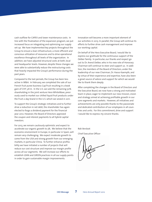cash outflow for CAPEX and lower maintenance costs. In line with the finalization of the expansion program, we put increased focus on integrating and optimizing our supply set-up. We have implemented key projects throughout the Group to ensure a lean infrastructure, a more efficient and conscious utilization of resources and to drive operational excellence throughout all levels of the organization. In addition, we have adjusted structural costs at both, local and headquarter levels. However, despite these changes we were able to substantially reduce the restructuring costs that heavily impacted the Group's performance during the past years.

Compared to the last periods, the Group has been less active in M&A. In February, we completed the sale of our French fruit puree business Cap'Fruit resulting in a book gain of CHF 3.8 m. In the U.S. we sold the remaining 50% shareholding in the joint venture Hero WhiteWave, previously used to market our chilled liquid fruit products under the Fruit-2-day brand in the U.S. which we seized in 2011.

To support the Group's strategic initiatives and to further drive a reduction in net debt, the shareholder has again elected to forgo a dividend payment for the financial year 2012. However, the Board of Directors approved the coupon and interest payments to all hybrid capital investors.

For 2013, we remain cautiously optimistic and expect to accelerate our organic growth to 3%. We believe that the economic environment in Europe, in particular in Spain, will remain very challenging. We expect moderate growth to come from the USA and strong growth from our emerging markets, in particular China. To further enhance profitability we have initiated a number of projects that will reduce our cost structure and improve our margin profile across all our segments. We will increase our efforts to establish LEAN and GREEN practices in all our supply points in order to gain sustainable margin improvements.

Innovation will become a more important element of our activities in 2013. In parallel, the Group will continue its efforts to further drive cash management and improve our working capital.

On behalf of the Hero Executive Board, I would like to express our gratitude for the continuous support of the Oetker family. In particular, our thanks and respect go out to Dr. Arend Oetker, who in his new role of Honorary Chairman will continue to steer and support us. In addition, the members of the Board of Directors, under the leadership of our new Chairman, Dr. Hasso Kaempfe, and by virtue of their experience and expertise, have also been a great source of advice and support for which we would like to thank them deeply.

After completing the changes in the Board of Directors and the Executive Board, we now have a strong and motivated team in place, eager to implement our new mission, vision and strategy aimed at achieving profitable growth in our core segments and markets. However, all initiatives and achievements are only possible thanks to the passionate and dedicated contribution of our employees in all countries and units. For this commitment, drive and support I would like to express my sincere thanks.

Rob Versloot

Chief Executive Officer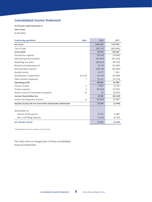# **Consolidated Income Statement**

**for the year ended December 31 Hero Group in chf 1000.–**

| <b>Continuing operations</b>                            | <b>Note</b> | 2012      | 2011                |
|---------------------------------------------------------|-------------|-----------|---------------------|
| <b>NET SALES</b>                                        |             | 1429 252  | 1431100             |
| Cost of sales                                           |             | (916 537) | (905893)            |
| Gross profit                                            |             | 512 715   | 525 207             |
| Distribution expense                                    |             | (78567)   | (79441)             |
| Advertising and promotion                               |             | (137897)  | (143336)            |
| Marketing and sales                                     |             | (89642)   | (85 507)            |
| Research and development                                |             | (10 171)  | (10093)             |
| Administrative expense                                  |             | (109195)  | $(90485)^{\gamma}$  |
| Sundry income                                           |             | 18 577    | 7 2 0 2             |
| Amortization / Impairment                               | 8, 9, 24    | (35 217)  | (55484)             |
| Other income / (expense)                                | 1           | 19 230    | (35 274)            |
| Operating profit                                        |             | 89833     | 32789               |
| Finance income                                          | 3           | 11897     | 23 178              |
| Finance expense                                         | 3           | (58592)   | (73825)             |
| Share in result of associated companies                 | 10          | 43        | (18573)             |
| Income / (loss) before tax                              |             | 43 181    | (36 431)            |
| Income tax (expense) / income                           | 6           | (10 876)  | 34 087 <sup>"</sup> |
| INCOME / (LOSS) FOR THE YEAR FROM CONTINUING OPERATIONS |             | 32 305    | (2344)              |
| Attributable to:                                        |             |           |                     |
| Owners of the parent                                    |             | 37739     | 4 3 8 0 1           |
| Non-controlling interests                               |             | (5434)    | (6724)              |
| NET INCOME / (LOSS)                                     |             | 32 305    | (2344)              |

\*) Restatement due to early adoption of IAS 19 revised.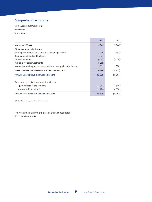# **Comprehensive Income**

**for the year ended December 31**

**Hero Group**

**in chf 1000.–**

|                                                                 | 2012     | 2011                    |
|-----------------------------------------------------------------|----------|-------------------------|
| NET INCOME / (LOSS)                                             | 32 305   | $(2344)$ <sup>"</sup>   |
| Other comprehensive income                                      |          |                         |
| Exchange differences on translating foreign operations          | 7 2 9 6  | $(3\;407)$ <sup>*</sup> |
| Revaluation of land and buildings                               | (422)    |                         |
| Remeasurements                                                  | (6 817)  | $(8104)^{1}$            |
| Available-for-sale investments                                  | 15 2 5 9 |                         |
| Income tax relating to components of other comprehensive income | (922)    | $1888^{\circ}$          |
| OTHER COMPREHENSIVE INCOME FOR THE YEAR, NET OF TAX             | 14 3 9 4 | (9623)                  |
| <b>TOTAL COMPREHENSIVE INCOME FOR THE YEAR</b>                  | 46 699   | (11967)                 |
| Total comprehensive income attributable to:                     |          |                         |
| Equity holders of the company                                   | 51903    | $(4991)$ <sup>*</sup>   |
| Non-controlling interests                                       | (5204)   | (6976)                  |
| <b>COMPREHENSIVE INCOME FOR THE YEAR</b>                        | 46 699   | (11967)                 |

\*) Restated due to early adoption of IAS 19 revised.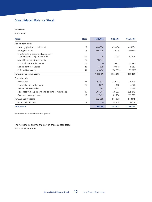# **Consolidated Balance Sheet**

#### **Hero Group**

**in chf 1000.–**

| <b>Assets</b>                                        | <b>Note</b>    | 31.12.2012 | 31.12.2011           | $01.01.2011$ <sup>"</sup> |
|------------------------------------------------------|----------------|------------|----------------------|---------------------------|
| Non-current assets                                   |                |            |                      |                           |
| Property, plant and equipment                        | 8              | 443 750    | 458 674              | 456136                    |
| Intangible assets                                    | 9              | 686706     | 715 114              | 790 491                   |
| Investments in associated companies                  |                |            |                      |                           |
| and interests in joint ventures                      | 10             | 96         | 4733                 | 10 604                    |
| Available-for-sale investments                       | 26             | 115 742    |                      |                           |
| Financial assets at fair value                       | 26             |            | 16 657               | 34 8 93                   |
| Non-current receivables                              | 12             | 7699       | 19 075"              | 11 652                    |
| Deferred tax assets                                  | 13             | 108 478    | 130 539 <sup>°</sup> | 89 623"                   |
| <b>TOTAL NON-CURRENT ASSETS</b>                      |                | 1362 471   | 1344792              | 1393399                   |
| <b>Current assets</b>                                |                |            |                      |                           |
| Inventories                                          | 14             | 193 973    | 239 237              | 218 326                   |
| Financial assets at fair value                       | 26             | 1819       | 1488                 | 14 3 2 2                  |
| Income tax receivables                               |                | 1798       | 3 1 7 2              | 4636                      |
| Trade receivables, prepayments and other receivables | 15             | 207 067    | 218 29 2             | 205 849                   |
| Cash and cash equivalents                            | 16             | 227 423    | 82736                | 197 383                   |
| <b>TOTAL CURRENT ASSETS</b>                          |                | 632080     | 544 925              | 640 516                   |
| Assets held for sale                                 | $\overline{2}$ |            | 155 908              | 32 518                    |
| <b>TOTAL ASSETS</b>                                  |                | 1994 551   | 2 045 625            | 2066433                   |

\*) Restatement due to early adoption of IAS 19 revised.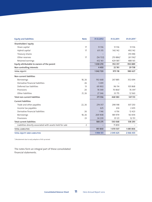| <b>Equity and liabilities</b>                             | <b>Note</b> | 31.12.2012 | 31.12.2011           | $01.01.2011$ <sup>"</sup> |
|-----------------------------------------------------------|-------------|------------|----------------------|---------------------------|
| Shareholders' equity                                      |             |            |                      |                           |
| Share capital                                             | 17          | 51 51 6    | 51 51 6              | 51 51 6                   |
| Hybrid capital                                            | 17          | 611 315    | 542 142              | 492142                    |
| Treasury shares                                           |             |            |                      | (19418)                   |
| Other reserves                                            | 17          | (56722)    | $(70, 886)^{\circ}$  | $(61516)^{1}$             |
| Retained earnings                                         |             | 432 161    | 429 585 <sup>1</sup> | 488 165                   |
| Equity attributable to owners of the parent               |             | 1038 270   | 952 357              | 950889                    |
| Non-controlling interests                                 |             | 4 4 5 0    | 22 761               | 29 738                    |
| <b>TOTAL EQUITY</b>                                       |             | 1042720    | 975 118              | 980 627                   |
| Non-current liabilities                                   |             |            |                      |                           |
| <b>Borrowings</b>                                         | 18, 26      | 192 668    | 267885               | 352 694                   |
| Derivative financial liabilities                          | 26          | 5 0 9 1    |                      |                           |
| Deferred tax liabilities                                  | 13          | 69 902     | 96 114               | 105 868                   |
| Provisions                                                | 20          | 76 549     | 70 866"              | 76 391 <sup>"</sup>       |
| Other liabilities                                         | 21, 26      | 27 3 46    | 33 715               | 12 5 6 0                  |
| Total non-current liabilities                             |             | 371 556    | 468 580              | 547 513                   |
| <b>Current liabilities</b>                                |             |            |                      |                           |
| Trade and other payables                                  | 22, 26      | 274 357    | 298 198              | 307 250                   |
| Income tax payables                                       |             | 625        | 614                  | 2 6 5 5                   |
| Derivative financial liabilities                          | 26          | 1146       | 6 1 5 6              | 12 4 23                   |
| Borrowings                                                | 18, 26      | 269 908    | 189 979              | 163 814                   |
| Provisions                                                | 23          | 34 23 9    | 35 121               | 52 151                    |
| <b>Total current liabilities</b>                          |             | 580 275    | 530 068              | 538 293                   |
| Liabilities directly associated with assets held for sale | 2           |            | 71859                |                           |
| <b>TOTAL LIABILITIES</b>                                  |             | 951830     | 1070 507             | 1085806                   |
| <b>TOTAL EQUITY AND LIABILITIES</b>                       |             | 1994 551   | 2 045 625            | 2066433                   |

\*) Restatement due to early adoption of IAS 19 revised.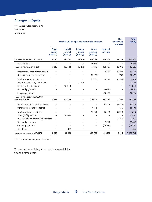# **Changes in Equity**

**for the year ended December 31 Hero Group**

**in chf 1000.–**

|                                                         | Attributable to equity holders of the company |                                       |                                        |                                | Non-<br>controlling<br>interests | <b>Total</b><br>equity   |          |
|---------------------------------------------------------|-----------------------------------------------|---------------------------------------|----------------------------------------|--------------------------------|----------------------------------|--------------------------|----------|
|                                                         | <b>Share</b><br>capital<br>(note 17)          | <b>Hybrid</b><br>capital<br>(note 17) | <b>Treasury</b><br>shares<br>(note 17) | Other<br>reserves<br>(note 17) | <b>Retained</b><br>earnings      |                          |          |
| <b>BALANCE AT DECEMBER 31, 2010</b>                     | 51 51 6                                       | 492 142                               | (19 418)                               | (57842)                        | 488 165                          | 29 738                   | 984 301  |
| Restatement                                             |                                               |                                       |                                        | (3674)                         |                                  |                          | (3674)   |
| <b>BALANCE AT JANUARY 1, 2011</b>                       | 51 51 6                                       | 492 142                               | (19 418)                               | $(61516)^{\circ}$              | 488 165                          | 29 738                   | 980 627  |
| Net income / (loss) for the period                      |                                               |                                       |                                        |                                | 4 3 8 0 1                        | (6724)                   | (2344)   |
| Other comprehensive income                              |                                               |                                       |                                        | $(9\,370)$ <sup>*</sup>        |                                  | (253)                    | (9623)   |
| Total comprehensive income                              |                                               | $\overline{\phantom{0}}$              | $\overline{\phantom{0}}$               | (9370)                         | 4380                             | (6977)                   | (11967)  |
| Disposal of treasury shares, net                        |                                               |                                       | 19 418                                 |                                |                                  |                          | 19 418   |
| Raising of hybrid capital                               |                                               | 50 000                                |                                        |                                |                                  |                          | 50 000   |
| Dividend payments                                       |                                               |                                       |                                        | —                              | (30 460)                         | —                        | (30 460) |
| Coupon payments                                         |                                               |                                       |                                        | $\overline{\phantom{0}}$       | (32500)                          |                          | (32 500) |
| BALANCE AT DECEMBER 31, 2011/<br><b>JANUARY 1, 2012</b> | 51 51 6                                       | 542 142                               | -                                      | (70, 886)                      | 429 585                          | 22 761                   | 975 118  |
| Net income / (loss) for the period                      |                                               |                                       |                                        |                                | 37739                            | (5434)                   | 32 30 5  |
| Other comprehensive income                              |                                               |                                       | $\overline{\phantom{0}}$               | 14 16 4                        |                                  | 230                      | 14 3 9 4 |
| Total comprehensive income                              |                                               |                                       | $\overline{\phantom{0}}$               | 14 164                         | 37739                            | (5204)                   | 46 699   |
| Raising of hybrid capital                               |                                               | 70 000                                |                                        |                                |                                  |                          | 70 000   |
| Disposal of non-controlling interests                   |                                               |                                       |                                        |                                |                                  | (13 107)                 | (13107)  |
| Dividend payments                                       |                                               |                                       |                                        | —                              | (2663)                           | $\overline{\phantom{m}}$ | (2663)   |
| Coupon payments                                         |                                               |                                       |                                        |                                | (32500)                          | $\qquad \qquad$          | (32 500) |
| Tax effects                                             |                                               | (827)                                 |                                        |                                |                                  |                          | (827)    |
| <b>BALANCE AT DECEMBER 31, 2012</b>                     | 51 51 6                                       | 611 315                               | -                                      | (56722)                        | 432 161                          | 4450                     | 1042720  |

\*) Restatement due to early adoption of IAS 19 revised.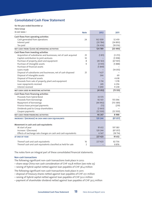# **Consolidated Cash Flow Statement**

**for the year ended December 31**

| Hero Group                                                       |                 |         |           |
|------------------------------------------------------------------|-----------------|---------|-----------|
| in CHF 1000.-                                                    | <b>Note</b>     | 2012    | 2011      |
| Cash flows from operating activities                             |                 |         |           |
| Cash generated from operations                                   | 24              | 162 009 | 32 419    |
| Interest paid                                                    |                 | (20784) | (34893)   |
| Tax paid                                                         |                 | (16436) | (18016)   |
| NET CASH FROM / (USED IN) OPERATING ACTIVITIES                   |                 | 124 789 | (20 490)  |
| Cash flows from investing activities                             |                 |         |           |
| Acquisition of subsidiaries and businesses, net of cash acquired | 25              | (1811)  | (3 272)   |
| Capital contribution to joint-ventures                           | 10 <sup>°</sup> |         | (5998)    |
| Purchase of property, plant and equipment                        | 8               | (45163) | (67901)   |
| Purchase of intangible assets                                    | 9               | (3931)  | (5888)    |
| Purchase of financial assets                                     |                 | (5849)  |           |
| Loans made                                                       |                 |         | (14055)   |
| Disposal of subsidiaries and businesses, net of cash disposed    | 25              | 7627    |           |
| Disposal of intangible assets                                    |                 | 266     | 69        |
| Disposal of financial assets                                     |                 |         | 4 6 18    |
| Proceeds from sale of property, plant and equipment              |                 | 3 114   | 1378      |
| Loan repayments received                                         |                 | 245     | 6 2 5 6   |
| Interest received                                                |                 | 3690    | 9 2 3 8   |
| NET CASH USED IN INVESTING ACTIVITIES                            |                 | (41812) | (75 555)  |
| Cash flows from financing activities                             |                 |         |           |
| Proceeds from hybrid Bond                                        |                 | 33 573  |           |
| Proceeds from borrowings                                         |                 | 92 9 21 | 155 096   |
| Repayment of borrowings                                          |                 | (44992) | (113 389) |
| Finance lease principal payments                                 |                 | (72)    | (219)     |
| Dividends paid to Group shareholders                             |                 | (2663)  |           |
| Coupon payments                                                  |                 | (32500) | (32500)   |
| <b>NET CASH FROM FINANCING ACTIVITIES</b>                        |                 | 46 267  | 8988      |
| INCREASE / (DECREASE) IN CASH AND CASH EQUIVALENTS               |                 | 129 244 | (87057)   |
|                                                                  |                 |         |           |
| Movement in cash and cash equivalents                            |                 |         |           |
| At start of year                                                 |                 | 91 612  | 197383    |
| Increase / (Decrease)                                            |                 | 129 244 | (87057)   |
| Effects of exchange rate changes on cash and cash equivalents    |                 | 6 5 6 7 | (18714)   |
| <b>AT END OF YEAR</b>                                            |                 | 227 423 | 91 612    |
| Thereof cash and cash equivalents                                | 16              | 227 423 | 82736     |
| Thereof cash and cash equivalents classified as held for sale    | $\overline{2}$  |         | 8876      |

The notes form an integral part of these consolidated financial statements.

## **Non-cash transactions**

The following significant non-cash transactions took place in 2012:

- share swap China non cash consideration of CHF 103.8 million (see note 25)
- raising of hybrid capital netted against loan payables of CHF 36.4 million

The following significant non-cash transactions took place in 2011:

- disposal of treasury shares netted against loan payables of CHF 27.1 million
- raising of hybrid capital netted against loan payables of CHF 50.0 million
- payment of shareholder dividend netted against loan payables of CHF 30.5 million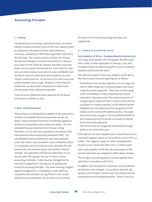# **Accounting Principles**

#### **1. General**

Headquartered in Lenzburg, Switzerland, Hero is a limited liability company of which 100% of the share capital is held by Schwartau International GmbH, Bad Schwartau, Germany, a subsidiary of AOH Nahrungsmittel GmbH & Co. KG, Germany. The Group's primary activities are the production and selling of consumer food products in the product areas of fruit, infant & nutrition and other consumer foods such as cereals and decorations. Fruit, infant & nutrition and cereal products are sold in Europe, the Middle East and North America, while decorations products are sold mainly in North America. At the end of 2012 the Group had 4'366 employees (2011: 4'144). All figures in the financial statements are presented in thousands of Swiss francs (TCHF) except where otherwise indicated.

These financial statements were approved by the Board of Directors on March 19, 2013.

#### **2. Basis for Preparation**

The principal accounting policies applied in the preparation of these consolidated financial statements are set out below. These principles have been consistently applied to all the years presented, unless otherwise stated. The consolidated financial statements for the year ending December 31, 2012 have been prepared in accordance with International Financial Reporting Standards (IFRS). The consolidated financial statements have been prepared under the historic cost convention, unless otherwise stated (i.e. revaluation of land, financial assets, available-for-sale investments and financial assets and liabilities held-fortrading). The preparation of financial statements in conformity with IFRS requires the use of certain critical accounting estimates. It also requires management to exercise its judgement in the process of applying the Group's Accounting Principles. The areas involving a higher degree of judgement or complexity, or areas where assumptions and estimates are significant to the consolidated financial statements, are disclosed in Accounting

Principles no. 8 Critical Accounting Estimates and Judgements.

#### **2.1 change in accounting policy**

**Early adoption of IAS 19 – Employee Benefits (revised 2011)** The Group early adopted IAS 19 Employee Benefits (2011) with a date of initial application of January 1, 2012 and changed its basis for determining the income or expense related to defined benefit plans.

The material impacts of the early adoption of IAS 19R on the Hero Group's financial reporting are as follows:

- Elimination of the corridor approach: It is no longer possible to defer recognition of actuarial gains and losses using the corridor approach. They must now be recognized immediately in other comprehensive income.
- Calculation of pension costs: The previous practices of recognizing the expected return on plan assets and the calculation of interest expenses on the defined benefit obligation are now replaced by the recognition of net interest on the net benefit liability (assets). This takes into account any changes in the net defined benefit liability (assets) during the period as a result of contributions and benefit payments.
- Past service cost are recognized immediately through profit or loss when they occur.

If IAS 19R had not been adopted early, it would have had an estimated negative impact on net profit for 2012 of CHF 4.2 million. The negative impact on other comprehensive income in 2012 would have been CHF 5.3 million lower.

Upon early adoption of IAS 19R, the presentation of the income statement was adapted to reflect these changes.

The change in accounting policy has been applied retrospectively in accordance with IAS 8.

In addition, the presentation of pension costs for defined benefit plans has changed. In accordance with IAS 19R, pension costs comprise service costs, net interest and the remeasurement of employee benefits. Service costs (cur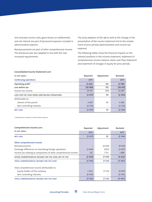rent and past service costs, gains/losses on settlements) and net interest are part of personnel expenses included in administrative expense.

Remeasurements are part of other comprehensive income. The disclosure was also adapted in line with the new increased requirements.

The early adoption of IAS 19R as well as the change in the presentation of the income statement led to the restatement of prior periods (administrative and income tax expense).

The following tables show the financial impacts on the relevant positions in the income statement, statement of comprehensive income, balance sheet, cash flow statement and statement of changes in equity for prior periods:

#### **Consolidated Income Statement 2011**

| in CHF 1000.-                                | Reported | Adjustment | Restated |  |
|----------------------------------------------|----------|------------|----------|--|
| <b>Continuing operations</b>                 | 2011     |            | 2011     |  |
| Operating profit <sup>"</sup>                | 32 636   | 153        | 32789    |  |
| Loss before tax                              | (36 584) | 153        | (36 431) |  |
| Income tax income                            | 34 147   | (60)       | 34 087   |  |
| LOSS FOR THE YEAR FROM CONTINUING OPERATIONS | (2437)   | 93         | (2344)   |  |
| Attributable to:                             |          |            |          |  |
| Owners of the parent                         | 4 2 8 7  | 93         | 4380     |  |
| Non-controlling interests                    | (6724)   |            | (6724)   |  |
| <b>NET LOSS</b>                              | (2437)   | 93         | (2344)   |  |

\*) Restatement included in administrative expense.

| Comprehensive Income 2011                                       | Reported | Adjustment | Restated |  |
|-----------------------------------------------------------------|----------|------------|----------|--|
| in CHF 1000.-                                                   | 2011     |            | 2011     |  |
| <b>NET LOSS</b>                                                 | (2437)   | 93         | (2344)   |  |
| Other comprehensive income                                      |          |            |          |  |
| Remeasurements                                                  |          | (8104)     | (8104)   |  |
| Exchange differences on translating foreign operations          | (2444)   | (963)      | (3 407)  |  |
| Income tax relating to components of other comprehensive income | 135      | 1753       | 1888     |  |
| OTHER COMPREHENSIVE INCOME FOR THE YEAR, NET OF TAX             | (2309)   | (7314)     | (9623)   |  |
| <b>TOTAL COMPREHENSIVE INCOME FOR THE YEAR</b>                  | (4746)   | (7 221)    | (11967)  |  |
| Total comprehensive income attributable to:                     |          |            |          |  |
| Equity holders of the company                                   | 2 2 3 0  | (7221)     | (4 991)  |  |
| Non-controlling interests                                       | (6976)   |            | (6976)   |  |
| <b>TOTAL COMPREHENSIVE INCOME FOR THE YEAR</b>                  | (4 746)  | (7 221)    | (11967)  |  |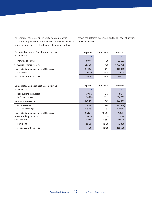Adjustments for provisions relate to pension scheme provisions, adjustments to non-current receivables relate to a prior year pension asset. Adjustments to deferred taxes

reflect the deferred tax impact on the changes of pension provisions/assets.

| Consolidated Balance Sheet January 1, 2011  | Reported | Adjustment | Restated |  |
|---------------------------------------------|----------|------------|----------|--|
| in CHF 1000.-                               | 2011     |            | 2011     |  |
| Deferred tax assets                         | 89 4 87  | 136        | 89 623   |  |
| <b>TOTAL NON-CURRENT ASSETS</b>             | 1393 263 | 136        | 1393399  |  |
| Equity attributable to owners of the parent | 954 563  | (3674)     | 950 889  |  |
| Provisions                                  | 72 581   | 3 8 1 0    | 76 391   |  |
| Total non-current liabilities               | 543 703  | 3 8 10     | 547 513  |  |

| Consolidated Balance Sheet December 31, 2011 | Reported | Adjustment | Restated  |
|----------------------------------------------|----------|------------|-----------|
| $\overline{1}$ n CHF 1000.                   | 2011     |            | 2011      |
| Non-current receivables                      | 20 027   | (952)      | 19 0 75   |
| Deferred tax assets                          | 128 284  | 2 2 5 5    | 130 539   |
| <b>TOTAL NON-CURRENT ASSETS</b>              | 1343489  | 1303       | 1344792   |
| Other reserves                               | (59898)  | (10988)    | (70, 886) |
| Retained earnings                            | 429 492  | 93         | 429 585   |
| Equity attributable to owners of the parent  | 963 252  | (10895)    | 952 357   |
| Non-controlling interests                    | 22 761   |            | 22 761    |
| <b>TOTAL EQUITY</b>                          | 986 013  | (10895)    | 975 118   |
| Provisions                                   | 58 668   | 12 198     | 70866     |
| <b>Total non-current liabilities</b>         | 456 382  | 12 198     | 468 580   |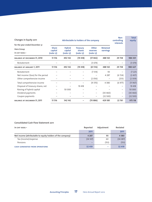| Changes in Equity 2011<br>for the year ended December 31 |                                      | Attributable to holders of the company |                                        |                                |                      | Non-<br>controlling<br><b>interests</b> | <b>Total</b><br>equity |
|----------------------------------------------------------|--------------------------------------|----------------------------------------|----------------------------------------|--------------------------------|----------------------|-----------------------------------------|------------------------|
| Hero Group<br>in CHF 1000.-                              | <b>Share</b><br>capital<br>(note 17) | <b>Hybrid</b><br>capital<br>(note 17)  | <b>Treasury</b><br>shares<br>(note 17) | Other<br>reserves<br>(note 17) | Retained<br>earnings |                                         |                        |
| <b>BALANCE AT DECEMBER 31, 2010</b>                      | 51 51 6                              | 492142                                 | (19, 418)                              | (57842)                        | 488 165              | 29 738                                  | 984 301                |
| Restatement                                              |                                      |                                        |                                        | (3674)                         |                      |                                         | (3674)                 |
| <b>BALANCE AT JANUARY 1, 2011</b>                        | 51 51 6                              | 492142                                 | (19, 418)                              | (61516)                        | 488 165              | 29 738                                  | 980 627                |
| Restatement                                              |                                      |                                        |                                        | (7314)                         | 93                   |                                         | (7 221)                |
| Net income / (loss) for the period                       |                                      |                                        |                                        |                                | 4 2 8 7              | (6724)                                  | (2437)                 |
| Other comprehensive income                               |                                      |                                        | $\overline{\phantom{m}}$               | (2056)                         |                      | (253)                                   | (2309)                 |
| Total comprehensive income                               |                                      |                                        |                                        | (9 370)                        | 4380                 | (6977)                                  | (11967)                |
| Disposal of treasury shares, net                         |                                      |                                        | 19 418                                 |                                |                      |                                         | 19 418                 |
| Raising of hybrid capital                                |                                      | 50 000                                 |                                        |                                |                      |                                         | 50 000                 |
| Dividend payments                                        |                                      |                                        |                                        |                                | (30 460)             |                                         | (30 460)               |
| Coupon payments                                          |                                      |                                        |                                        |                                | (32500)              | $\overline{\phantom{m}}$                | (32 500)               |
| <b>BALANCE AT DECEMBER 31, 2011</b>                      | 51 51 6                              | 542 142                                |                                        | (70, 886)                      | 429 585              | 22 761                                  | 975 118                |

## **Consolidated Cash Flow Statement 2011**

| in CHF 1000.-                                              | Reported          | Adjustment | Restated |
|------------------------------------------------------------|-------------------|------------|----------|
|                                                            | 2011              |            | 2011     |
| Net income (attributable to equity holders of the company) | 4 2 8 7           | 93         | 4380     |
| Tax (income)/expense                                       | (34147)           | 60         | (34087)  |
| Pensions                                                   | $\qquad \qquad -$ | (153)      | (153)    |
| <b>CASH GENERATED FROM OPERATIONS</b>                      | 32 419            |            | 32 419   |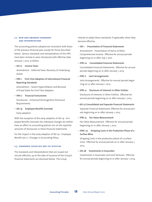#### **2.2 new and amended standards and interpretations**

The accounting policies adopted are consistent with those of the previous financial year, except for those described below. Various standards and interpretations of the IFRS have been revised or were introduced with effective date January 1, 2012, or before.

#### **– IAS 12 Income Taxes**

Amendment – Deferred Taxes: Recovery of Underlying Assets

**– IFRS 1 First-Time Adoption of International Financial Reporting Standards**

Amendment – Severe Hyperinflation and Removal of Fixed Dates for First-Time Adopters

#### **– IFRS 7 Financial Instruments**

Disclosures – Enhanced Derecognition Disclosure Requirements

**– IAS 19 Employee Benefits (revised)**

Early adoption

With the exception of the early adoption of IAS 19 – Employee Benefits (revised), the individual changes do neither have an effect on accounting policies nor on the reported amounts of disclosures in these financial statements.

For the impact in the early adoption of IAS 19 – Employee Benefit see 2.1. Changes in Accounting Policy.

#### **2.3 standards issued but not yet effective**

The standards and interpretations that are issued, but not yet effective, up to the date of issuance of the Group's financial statements are disclosed below. The Group

intends to adopt these standards, if applicable, when they become effective.

- **IAS 1 Presentation of Financial Statements** Amendment – Presentation of Items of Other Comprehensive Income. Effective for annual periods beginning on or after July 1, 2012.
- **IFRS 10 Consolidated Financial Statements**

Consolidated Financial Statements. Effective for annual periods beginning on or after January 1, 2013.

#### **– IFRS 11 Joint Arrangements**

Joint Arrangements. Effective for annual periods beginning on or after January 1, 2013.

**– IFRS 12 Disclosure of Interests in Other Entities** Disclosure of Interests in Other Entities. Effective for annual periods beginning on or after January 1, 2013.

#### **– IAS 27 Consolidated and Separate Financial Statements**

Separate Financial Statements. Effective for annual periods beginning on or after January 1, 2013.

#### **– IFRS 13 Fair Value Measurement**

Fair Value Measurement. Effective for annual periods beginning on or after January 1, 2013.

# **– IFRIC 20 Stripping Costs in the Production Phase of a Surface Mine**

Stripping Costs in the production phase of a surface mine. Effective for annual periods on or after January 1, 2013.

#### **– IAS 28 Investments in Associates**

Investments in Associates and Joint Ventures. Effective for annual periods beginning on or after January 1, 2014.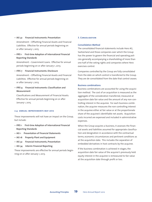**– IAS 32 Financial Instruments: Presentation**

Amendment – Offsetting Financial Assets and Financial Liabilities. Effective for annual periods beginning on or after January 1, 2015.

**– IFRS 1 First-time Adoption of International Financial Reporting Standards**

Amendment – Government Loans. Effective for annual periods beginning on or after January 1, 2013.

**– IFRS 7 Financial Instruments: Disclosure**

Amendment – Offsetting Financial Assets and Financial Liabilities. Effective for annual periods beginning on or after January 1, 2013.

**– IFRS 9 Financial Instruments: Classification and Measurement**

Classifications and Measurement of Financial Assets. Effective for annual periods beginning on or after January 1, 2015.

#### **2.4 annual improvements may 2012**

These improvements will not have an impact on the Group, but include:

- **IFRS 1 First-time Adoption of International Financial Reporting Standards**
- **IAS 1 Presentation of Financial Statements**
- **IAS 16 Property Plant and Equipment**
- **IAS 32 Financial Instruments, Presentation**
- **IAS 34 Interim Financial Reporting**

These improvements are effective for annual periods beginning on or after January 1, 2013.

#### **3. Consolidation**

## **Consolidation Method**

The consolidated financial statements include Hero AG, Switzerland and those companies over which the Group has the power to govern the financial and operating policies generally accompanying a shareholding of more than one half of the voting rights and companies where Hero exercises control.

Companies controlled by the Group are fully consolidated from the date on which control is transferred to the Group. They are de-consolidated from the date that control ceases.

#### **Business combinations**

Business combinations are accounted for using the acquisition method. The cost of an acquisition is measured as the aggregate of the consideration transferred, measured at acquisition date fair value and the amount of any non-controlling interest in the acquiree. For each business combination, the acquirer measures the non-controlling interest in the acquiree either at fair value or at the proportionate share of the acquiree's identifiable net assets. Acquisition costs incurred are expensed and included in administrative expenses.

When the Group acquires a business, it assesses the financial assets and liabilities assumed for appropriate classification and designation in accordance with the contractual terms, economic circumstances and pertinent conditions as at the acquisition date. This includes the separation of embedded derivatives in host contracts by the acquiree.

If the business combination is achieved in stages, the acquisition date fair value of the acquirer's previously held equity interest in the acquiree is remeasured to fair value at the acquisition date through profit or loss.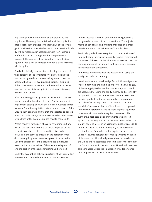Any contingent consideration to be transferred by the acquirer will be recognised at fair value at the acquisition date. Subsequent changes to the fair value of the contingent consideration which is deemed to be an asset or liability, will be recognised in accordance with IAS 39 either in profit or loss or as a change to other comprehensive income. If the contingent consideration is classified as equity, it should not be remeasured until it is finally settled within equity.

Goodwill is initially measured at cost being the excess of the aggregate of the consideration transferred and the amount recognised for non-controlling interest over the net identifiable assets acquired and liabilities assumed. If this consideration is lower than the fair value of the net assets of the subsidiary acquired, the difference is recognised in profit or loss.

After initial recognition, goodwill is measured at cost less any accumulated impairment losses. For the purpose of impairment testing, goodwill acquired in a business combination is, from the acquisition date, allocated to each of the Group's cash-generating units that are expected to benefit from the combination, irrespective of whether other assets or liabilities of the acquiree are assigned to those units.

Where goodwill forms part of a cash-generating unit and part of the operation within that unit is disposed of, the goodwill associated with the operation disposed of is included in the carrying amount of the operation when determining the gain or loss on disposal of the operation. Goodwill disposed of in this circumstance is measured based on the relative values of the operation disposed of and the portion of the cash-generating unit retained.

Under the accounting policy, acquisitions of non-controlling interests are accounted for as transactions with owners

in their capacity as owners and therefore no goodwill is recognised as a result of such transactions. The adjustments to non-controlling interests are based on a proportionate amount of the net assets of the subsidiary.

Previously, goodwill was recognised on the acquisition of non-controlling interests in a subsidiary, which represented the excess of the cost of the additional investment over the carrying amount of the interest in the net assets acquired at the date of the transaction.

Companies jointly controlled are accounted for using the equity method of accounting.

Investments, where Hero has significant influence (generally accompanying a shareholding of between 20% and 50% of the voting rights) but neither control nor joint control, are accounted for using the equity method and are initially recognized at cost. The Group's investment in associates includes goodwill (net of any accumulated impairment loss) identified on acquisition. The Group's share of its associates' post-acquisition profits or losses is recognized in the income statement, and its share of post-acquisition movements in reserves is recognized in reserves. The cumulative post-acquisition movements are adjusted against the carrying amount of the investment. When the Group's share of losses in an associate equals or exceeds its interest in the associate, including any other unsecured receivables, the Group does not recognize further losses, unless it incurred obligations or made payments on behalf of the associate. Unrealized gains on transactions between the Group and its associates are eliminated to the extent of the Group's interest in the associates. Unrealized losses are also eliminated unless the transaction provides evidence of an impairment of the asset transferred.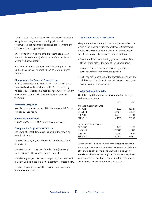Net assets and the result for the year have been calculated using the company's own accounting principles in cases where it is not possible to adjust local records to the Group's accounting principles.

Investments meeting none of these criteria are treated as financial instruments (refer to section 'Financial Instruments' for further details).

A list of investments, the investment percentage and the applicable consolidation method can be found on pages 79 to 82.

#### **Eliminations in the Course of Consolidation**

All intra-group balances / transactions / unrealized gains / losses and dividends are eliminated in full. Accounting policies of subsidiaries have been changed where necessary to ensure consistency with the principles adopted by the Group.

#### **Associated Companies**

Associated companies include AOH Nahrungsmittel Group companies (Germany).

#### **Interest in Joint Ventures**

Hero/WhiteWave, LLC (USA) (until December 2012).

#### **Changes in the Scope of Consolidation**

The scope of consolidation has changed in the reporting period as follows:

Effective February 29, 2012 Hero sold its 100% investment in Cap'Fruit.

Effective March 23, 2012 Hero founded Hero (Shenyang) Food Trading Co. Ltd, which is fully consolidated.

Effective August 30, 2012 Hero changed its 50% investment in Orient Link Holdings in a 6.5% investment in Treasure Ally.

Effective December 18, 2012 Hero sold its 50% investment in Hero/WhiteWave.

#### **4. Foreign Currency Translation**

The presentation currency for the Group is the Swiss Franc, which is the reporting currency of Hero AG, Switzerland. Financial statements denominated in foreign currencies have been translated into Swiss Francs as follows:

- Assets and liabilities, including goodwill, are translated at the closing rate at the date of the balance sheet
- Revenues and costs are translated using average exchange rates for the accounting period
- Exchange differences out of the translation of assets and liabilities and the related income statements are booked in other comprehensive income

#### **Foreign Exchange Rate Table**

The following table shows the most important foreign exchange rates used:

|                               | 2012   | 2011   |
|-------------------------------|--------|--------|
| <b>AVERAGE EXCHANGE RATES</b> |        |        |
| FUR/CHF                       | 1.2053 | 1.2344 |
| USD/CHE                       | 0.9379 | 0.8881 |
| <b>GBP/CHF</b>                | 1.4858 | 1.4234 |
| SFK/CHF                       | 0.1385 | 0.1369 |
|                               |        |        |
| <b>CLOSING EXCHANGE RATES</b> |        |        |
| FUR/CHF                       | 1.2071 | 1.2163 |
| <b>USD/CHE</b>                | 0.9148 | 0.9416 |
| <b>GBP/CHF</b>                | 1.4793 | 1.4514 |
| SFK/CHF                       | 0.1405 | 0.1361 |

Goodwill and fair value adjustments arising on the acquisition of a foreign entity are treated as assets and liabilities of the foreign entity and translated at the closing rate. Translation differences arising from Group company loans which have the characteristics of a long-term investment are recorded in other comprehensive income.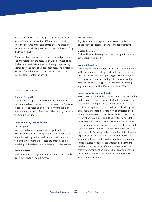In the event of a sale of a foreign company or the repayment of a loan all translation differences accumulated since the purchase of the said company are released and included in the calculation of disposal gain or loss and fully disclosed as such.

Open monetary balances denominated in foreign currencies and recorded in the accounts of Group companies at the balance sheet date are revalued using the prevailing exchange rate as at the balance sheet date. The differences resulting from these revaluations are recorded in the income statement for the period.

#### **5. Valuation Principles**

#### **Revenue Recognition**

Net sales to third parties are recorded net of trade discounts and sales-related taxes, and represent the fair value of consideration received or receivable from the sale of products and provision of services in the ordinary course of the Group's activities.

#### **Revenue is recognized as follows:**

#### **Sales of goods**

Sales of goods are recognized when significant risks and rewards of ownership of the goods are transferred to the buyer (i.e. a Group entity has delivered products to the customer, the customer has accepted the products and collectability of the related receivables is reasonably assured).

#### **Interest income**

Interest income is recognized on a pro rata temporis basis using the effective interest method.

#### **Royalty income**

Royalty income is recognized on an accrual basis in accordance with the substance of the relevant agreements.

#### **Dividend income**

Dividend income is recognized when the right to receive payment is established.

#### **Segment Reporting**

Operating segments are reported in a manner consistent with the internal reporting provided to the chief operating decision-maker. The chief operating decision-maker, who is responsible for making strategic decisions, allocating resources and assessing performance of the operating segments, has been identified as the Group CEO.

#### **Research and Development Costs**

Research costs are recorded in the income statement in the period in which they are incurred. Development costs are recognized as intangible assets to the extent that they meet the recognition criteria of IAS 38, i.e. the Group can demonstrate the technical feasibility of completing the intangible asset so that it will be available for use or sale, its intention to complete and its ability to use or sell the asset, how the asset will generate future economic benefits, the availability of resources to complete the asset and the ability to measure reliably the expenditure during the development. Following initial recognition of development expenditure as an asset, the asset is carried at cost less accumulated amortization and accumulated impairment losses. Development costs are amortized on a straightline-basis over the period of their expected benefit or tested for impairment annually. Other development costs are recorded in the income statement in the period in which they are incurred.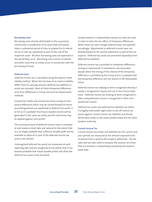#### **Borrowing Costs**

Borrowing costs directly attributable to the acquisition, construction or production of an asset that necessarily takes a substantial period of time to prepare for its intended use or sale are capitalized as part of the cost of the respective asset. All other borrowing costs are expensed in the period they occur. Borrowing costs consist of interest and other costs that an entity incurs in connection with the borrowing of funds.

#### **Deferred Taxes**

Deferred income tax is calculated using the balance sheet liability method. Where the tax base of an asset or liability differs from its carrying amount, deferred tax liabilities or assets are recorded. Most of these temporary differences arise from differences in Group and local tax depreciation methods.

Unused tax credits and unused tax losses arising on temporary differences which may be carried forward to future accounting periods are capitalized as deferred tax assets in so far as it is probable that future taxable income will be generated in the same tax entity and the said losses may be applied against such profits.

The carrying amount of deferred income taxes is reviewed at each balance sheet date and reduced to the extent that it is no longer probable that sufficient taxable profit will be available to allow all or part of the deferred income tax asset to be utilized.

Unrecognized deferred tax assets are reassessed at each reporting date and are recognized to the extent that it has become probable that future taxable profits will allow the deferred tax assets to be recovered.

Locally enacted or substantially enacted tax rates are used in order to value the tax effect of temporary differences. When these tax rates change, deferred taxes are adjusted accordingly. Adjustments to deferred income taxes are directly booked to the income statement as part of the tax expense. Deferred tax assets are presented separately from deferred tax liabilities.

Deferred income tax is provided on temporary differences arising on investments in subsidiaries and associates, except where the timing of the reversal of the temporary difference is controlled by the Group and it is probable that the temporary difference will not reverse in the foreseeable future.

Deferred income tax relating to items recognized directly in equity is recognized in equity and not in the income statement. Deferred income tax relating to items recognized in other comprehensive income is recognized in other comprehensive income.

Deferred tax assets and deferred tax liabilities are offset, if a legally enforceable right exists to set off current tax assets against current income tax liabilities and the deferred taxes relate to the same taxable entity and the same taxation authority.

#### **Current Income Tax**

Current income tax assets and liabilities for the current and prior periods are measured at the amount expected to be recovered from or paid to the taxation authorities. The tax rates and tax laws used to compute the amount are those that are enacted or substantively enacted by the balance sheet date.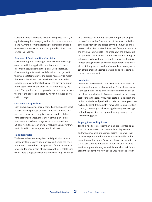Current income tax relating to items recognized directly in equity is recognized in equity and not in the income statement. Current income tax relating to items recognized in other comprehensive income is recognized in other comprehensive income.

#### **Government Grants and Other Subsidies**

Government grants are recognized only when the Group complies with the applicable conditions and if there is reasonable assurance that the grants will be received. Government grants are either deferred and recognized in the income statement over the period necessary to match them with the related costs which they are intended to compensate on a systematic basis, or the carrying amount of the asset to which the grant relates is reduced by the grant. The grant is then recognized as income over the useful life of the depreciable asset by way of a reduced depreciation charge.

#### **Cash and Cash Equivalents**

Cash and cash equivalents are carried on the balance sheet at cost. For the purpose of the cash flow statement, cash and cash equivalents comprise cash on hand, postal and bank account balances, other short term highly liquid investments, which are repayable or receivable within 90 days from the date of original maturity. Bank overdrafts are included in borrowings (current liabilities).

#### **Trade Receivables**

Trade receivables are recognized initially at fair value and subsequently measured at amortized cost using the effective interest method, less any provision for impairment. A provision for impairment of trade receivables is established when there is objective evidence that the Group will not be able to collect all amounts due according to the original terms of receivables. The amount of the provision is the difference between the asset's carrying amount and the present value of estimated future cash flows, discounted at the effective interest rate. The amount of the provision is recognized in the income statement within marketing and sales costs. When a trade receivable is uncollectible, it is written off against the allowance account for trade receivables. Subsequent recoveries of amounts previously written off are credited against marketing and sales costs in the income statement.

#### **Inventories**

Inventories are recorded at the lower of acquisition or production cost and net realizable value. Net realizable value is the estimated selling price in the ordinary course of business, less estimated cost of completion and the necessary cost to make the sale. Production costs include direct and indirect material and production costs. Borrowing costs are excluded except if they qualify for capitalization according to IAS 23. Inventory is valued using the weighted average method. A provision is recognized for any damaged or slow-moving goods.

#### **Property, Plant and Equipment**

Tangible fixed assets, other than land, are recorded at historical acquisition cost less accumulated depreciation, and/or accumulated impairment losses. Historical cost includes expenditure that is directly attributable to the acquisition of the items. Subsequent costs are included in the asset's carrying amount or recognized as a separate asset, as appropriate, only when it is probable that future economic benefits will flow to the Group and the cost of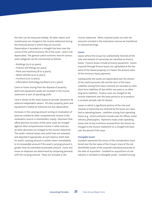the item can be measured reliably. All other repairs and maintenance are charged to the income statement during the financial period in which they are incurred. Depreciation is recorded on a straight-line basis over the course of the useful economic life of the asset. Land is not depreciated. The general useful economic lives for various asset categories can be summarized as follows:

- Buildings (25 to 50 years),
- Fixtures and fittings (20 years),
- Plant and machinery (8 to 15 years),
- Motor vehicles (4 to 10 years),
- Furniture (5 to 10 years),
- Information technology hardware (3 to 5 years).

Gains or losses arising from the disposal of property, plant and equipment assets are recorded in the income statement as part of operating profit.

Land is shown at fair value, based on periodic valuations by external independent valuers. All other property, plant and equipment is stated at historical cost less depreciation.

Increases in the carrying amount arising on revaluation of land are credited to other comprehensive income in the revaluation reserve in shareholders' equity. Decreases that offset previous increases of the same asset are charged against other comprehensive income in other reserves; all other decreases are charged to the income statement. The assets' residual values and useful lives are reviewed, and adjusted if appropriate, at each balance sheet date. An asset's carrying amount is written down immediately to its recoverable amount if the asset's carrying amount is greater than its estimated recoverable amount. Gains and losses on disposals are determined by comparing proceeds with the carrying amount. These are included in the

income statement. When revalued assets are sold, the amounts included in the revaluation reserve are transferred to retained earnings.

#### **Leases**

Leases where the Group has substantially retained all the risks and rewards of ownership are classified as finance leases. Finance leases include primarily equipment. Assets acquired through finance leases are capitalized at the fair value of the leased property, or, if lower, the present value of the minimum lease payments.

Subsequently the assets are depreciated over the shorter of the useful economic life and the term of the lease. Liabilities arising from lease contracts are recorded as other short-term liabilities (if due within one year) or as other long-term liabilities. Finance costs are charged to the income statement over the lease period so as to produce a constant periodic rate of interest.

Leases in which a significant portion of the risks and rewards of ownership are retained by the lessor are classified as operating leases. Liabilities arising from operating leases (e.g. rental contracts) include costs for offices, motor vehicles, photocopiers. Payments made under operating leases (net of any incentives received from the lessor) are charged to the income statement on a straight-line basis over the period of the lease.

#### **Intangible Assets**

Goodwill represents the excess of the consideration transferred over the fair value of the Group's share of the net identifiable assets of the acquired subsidiary/associate at the date of acquisition. Goodwill on acquisitions of subsidiaries is included in intangible assets. Goodwill arising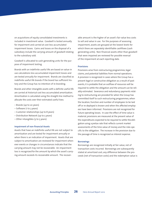on acquisitions of equity consolidated investments is included in investment value. Goodwill is tested annually for impairment and carried at cost less accumulated impairment losses. Gains and losses on the disposal of a subsidiary include the carrying amount of goodwill relating to the subsidiary sold.

Goodwill is allocated to cash-generating units for the purpose of impairment testing.

Brands with an indefinite useful life are based on value-in use calculations less accumulated impairment losses and are tested annually for impairment. Brands are classified as indefinite useful life brands if the brand has sufficient history and the Group has no intention of re-branding.

Brands and other intangible assets with a definite useful life are carried at historical cost less accumulated amortization. Amortization is calculated using the straight-line method to allocate the costs over their estimated useful lives:

- Brands (up to 20 years)
- Software (1 to 3 years)
- Customer relationships (up to 8 years)
- Distribution Network (up to 5 years)
- Other intangibles (3 to 5 years)

#### **Impairment of non-financial Assets**

Assets that have an indefinite useful life are not subject to amortization and are tested for impairment annually or when there is an indication of impairment. Assets that are subject to amortization are reviewed for impairment whenever events or changes in circumstances indicate that the carrying amount may not be recoverable. An impairment loss is recognized for the amount by which the asset's carrying amount exceeds its recoverable amount. The recoverable amount is the higher of an asset's fair value less costs to sell and value in use. For the purposes of assessing impairment, assets are grouped at the lowest levels for which there are separately identifiable cashflows (cash generating units). Non-financial assets other than goodwill that were impaired are reviewed for possible reversal of the impairment at each reporting date.

#### **Provisions**

Provisions arise from restructuring programmes, legal claims, and potential liabilities from normal operations. A provision is recognized in cases where the Group has a present legal or constructive obligation as a result of past events, it is probable that an outflow of resources will be required to settle the obligation and the amount can be reliably estimated. Severance and redundancy payments relating to restructuring are provided for when the Group has committed itself to such restructuring programmes, when the location, function and number of employees to be laid off or re-deployed is known and when the affected employees have been informed. Provisions are not recognized for future operating losses. In case the effect of time value is material, provisions are measured at the present value of the expenditures expected to be required to settle theobligation using a pretax rate that reflects current market assessments of the time value of money and the risks specific to the obligation. The increase in the provision due to the passage of time is recognized as interest expense.

#### **Borrowings**

Borrowings are recognized initially at fair value, net of transaction costs incurred. Borrowings are subsequently stated at amortized cost; any difference between the proceeds (net of transaction costs) and the redemption value is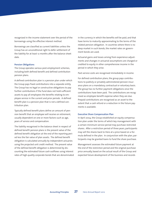recognized in the income statement over the period of the borrowings using the effective interest method.

Borrowings are classified as current liabilities unless the Group has an unconditional right to defer settlement of the liability for at least 12 months after the balance sheet date.

#### **Pension Obligations**

The Group operates various post-employment schemes, including both defined benefit and defined contribution pension plans.

A defined contribution plan is a pension plan under which the Group pays fixed contributions into a separate entity. The Group has no legal or constructive obligations to pay further contributions if the fund does not hold sufficient assets to pay all employees the benefits relating to employee service in the current and prior periods. A defined benefit plan is a pension plan that is not a defined contribution plan.

Typically defined benefit plans define an amount of pension benefit that an employee will receive on retirement, usually dependent on one or more factors such as age, years of service and compensation.

The liability recognised in the balance sheet in respect of defined benefit pension plans is the present value of the defined benefit obligation at the end of the reporting period less the fair value of plan assets. The defined benefit obligation is calculated annually by independent actuaries using the projected unit credit method. The present value of the defined benefit obligation is determined by discounting the estimated future cash outflows using interest rates of high-quality corporate bonds that are denominated in the currency in which the benefits will be paid, and that have terms to maturity approximating to the terms of the related pension obligation. In countries where there is no deep market in such bonds, the market rates on government bonds are used.

Actuarial gains and losses arising from experience adjustments and changes in actuarial assumptions are charged or credited to equity in other comprehensive income in the period in which they arise.

Past-service costs are recognised immediately in income.

For defined contribution plans, the group pays contributions to publicly or privately administered pension insurance plans on a mandatory, contractual or voluntary basis. The group has no further payment obligations once the contributions have been paid. The contributions are recognised as employee benefit expense when they are due. Prepaid contributions are recognised as an asset to the extent that a cash refund or a reduction in the future payments is available.

#### **Executive Share Compensation Plan**

In April 2004, the Group established an equity compensation plan under the terms of which key management with a certain minimum service period may purchase restricted shares. After a restriction period of three years, participants may sell the shares back to Hero at a price based on a formula defined in the plan. In conjunction with the plan, participants may be granted loans to fund the share purchase.

Management assesses the estimated future payment at the end of the restriction period and the original purchase price annually, based on the actual result of the Group and expected future development of the business and records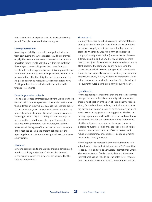this difference as an expense over the respective vesting period. This plan was terminated during 2011.

#### **Contingent Liabilities**

A contingent liability is a possible obligation that arises from past events and whose existence will be confirmed only by the occurrence or non-occurrence of one or more uncertain future events not wholly within the control of the entity; or present obligation that arises from past events but is not recognized because: it is not probable that an outflow of resources embodying economic benefits will be required to settle the obligation; or the amount of the obligation cannot be measured with sufficient reliability. Contingent liabilities are disclosed in the notes to the financial statements.

#### **Financial guarantee contracts**

Financial guarantee contracts issued by the Group are those contracts that require a payment to be made to reimburse the holder for an incurred loss because the specified debtor fails to make a payment when due in accordance with the terms of a debt instrument. Financial guarantee contracts are recognized initially as a liability at fair value, adjusted for transaction costs that are directly attributable to the issuance of the guarantee. Subsequently, the liability is measured at the higher of the best estimate of the expenditure required to settle the present obligation at the reporting date and the amount recognized less cumulative amortization.

#### **Dividends**

Dividend distribution to the Group's shareholders is recognized as a liability in the Group's financial statements in the period in which the dividends are approved by the Group's shareholders.

#### **Share Capital**

Ordinary shares are classified as equity. Incremental costs directly attributable to the issue of new shares or options are shown in equity as a deduction, net of tax, from the proceeds. Where any Group company purchases the company's equity share capital (treasury shares), the consideration paid, including any directly attributable incremental costs (net of income taxes), is deducted from equity attributable to the company's equity holders until the shares are cancelled, reissued or disposed of. Where such shares are subsequently sold or reissued, any consideration received, net of any directly attributable incremental transaction costs and the related income tax effects, is included in equity attributable to the company's equity holders.

#### **Hybrid Capital**

Hybrid capital represents bonds that are undated securities in respect of which there is no maturity date and where there is no obligation of the part of Hero either to redeem at any future date the underlying nominal amounts or to pay any annual coupon insofar as no compulsory payment event occurs in any given accounting period. The key compulsory payment events listed in the terms and conditions of the bonds include the payment to Hero's shareholders of either a dividend or an amount in connection with a capital re-purchase. The bonds are subordinated obligations and are subordinate to all of Hero's present and future unsubordinated indebtedness. Coupon payments are recorded directly in equity.

Hybrid capital also represents two undated floating rate subordinated notes in the total amount of CHF 120 million issued by Hero and sold to Schwartau International GmbH. These notes have no fixed maturity date and Schwartau International has no right to call the notes for its redemption. The notes constitute a direct, unconditional and sub-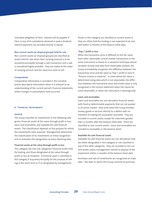ordinated obligation of Hero. Interest will be payable if Hero or any of its subsidiaries declared or paid a dividend. Interest payments are recorded directly in equity.

#### **Non-current assets (or disposal groups) held for sale**

Non-current assets (or disposal groups) are classified as assets held for sale when their carrying amount is to be recovered principally through a sale transaction and a sale is considered highly probable. They are stated at the lower of carrying amount and fair value less costs to sell.

#### **Comparatives**

Comparative information is included in the narrative and/or descriptive information when it is relevant to an understanding of the current period's financial statements where changes in presentation have occurred.

#### **6. Financial Instruments**

#### **General**

The Group classifies its investments in the following categories: financial assets at fair value through profit or loss, loans and receivables, and available-for-sale financial assets. The classification depends on the purpose for which the investments were acquired. Management determines the classification of its investments at initial recognition and re-evaluates this designation at every reporting date.

#### **Financial assets at fair value through profit or loss**

This category has two sub-categories: financial assets heldfor-trading, and those designated at fair value through profit or loss at inception. A financial asset is classified in this category if acquired principally for the purpose of selling in the short term or if so designated by management.

Assets in this category are classified as current assets if they are either held-for-trading or are expected to be realized within 12 months of the balance sheet date.

#### **''Day 1'' profit or loss**

When the transaction price is different to the fair value from other observable current market transactions in the same instrument or based on a valuation technique whose variables include only data from observable markets, the Group immediately recognizes the difference between the transaction price and fair value (a ''Day 1'' profit or loss) in ''finance income or expense''. In cases where fair value is determined using data which is not observable, the difference between the transaction price and model value is only recognized in the income statement when the inputs become observable, or when the instrument is derecognized.

#### **Loans and receivables**

Loans and receivables are non-derivative financial assets with fixed or determinable payments that are not quoted in an active market. They arise when the Group provides money, goods or services directly to a debtor with no intention of trading the associated receivable. They are included in current assets, except for maturities greater than 12 months after the balance sheet date. These are classified as non-current assets. Loans and receivables are included in receivables in the balance sheet.

#### **Available-for-sale financial assets**

Available-for-sale financial assets are non-derivatives that are either designated in this category or not classified in any of the other categories. They are included in non-current assets unless management intends to dispose of the investment within 12 months of the balance sheet date.

Purchases and sale of investments are recognized on trade date – the date on which the Group commits to purchase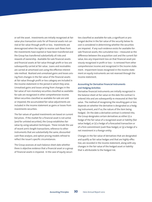or sell the asset. Investments are initially recognized at fair value plus transaction costs for all financial assets not carried at fair value through profit or loss. Investments are derecognized when the rights to receive cash flows from the investments have expired or have been transferred and the Group has transferred substantially all risks and rewards of ownership. Available-for-sale financial assets and financial assets at fair value through profit or loss are subsequently carried at fair value. Loans and receivables are carried at amortized cost using the effective interest rate method. Realized and unrealized gains and losses arising from changes in the fair value of the financial assets at fair value through profit or loss category are included in the income statement in the period in which they arise. Unrealized gains and losses arising from changes in the fair value of non-monetary securities classified as availablefor-sale are recognized in other comprehensive income. When securities classified as available-for-sale are sold or impaired, the accumulated fair value adjustments are included in the income statement as gains or losses from investments securities.

The fair values of quoted investments are based on current bid prices. If the market for a financial asset is not active (and for unlisted securities), the Group establishes fair value by using valuation techniques. These include the use of recent arm's-length transactions, reference to other instruments that are substantially the same, discounted cash flow analysis, and option pricing models refined to reflect the issuer's specific circumstances.

The Group assesses at each balance sheet date whether there is objective evidence that a financial asset or a group of financial assets is impaired. In the case of equity securities classified as available-for-sale, a significant or prolonged decline in the fair value of the security below its cost is considered in determining whether the securities are impaired. If any such evidence exists for available-forsale financial assets, the cumulative loss – measured as the difference between the acquisition cost and the current fair value, less any impairment loss on that financial asset previously recognized in profit or loss – is removed from other comprehensive income and recognized in the income statement. Impairment losses recognized in the income statement on equity instruments are not reversed through the income statement.

## **Accounting for Derivative Financial Instruments and Hedging Activities**

Derivative financial instruments are initially recognized in the balance sheet at fair value on the date the contract is entered into and are subsequently re-measured at their fair value. The method of recognizing the resulting gain or loss depends on whether the derivative is designated as a hedging instrument, and if so, the nature of the item being hedged. On the date a derivative contract is entered into, the Group designates certain derivatives as either (1) a hedge of the fair value of a recognized asset or liability (fair value hedge), or (2) a hedge of a forecasted transaction or of a firm commitment (cash flow hedge), or (3) a hedge of a net investment in a foreign entity.

Changes in the fair value of derivatives that are designated and qualify as fair value hedges and that are highly effective, are recorded in the income statement, along with any changes in the fair value of the hedged asset or liability that is attributable to the hedged risk.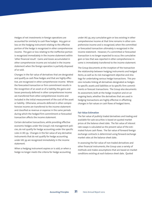Hedges of net investments in foreign operations are accounted for similarly to cash flow hedges. Any gain or loss on the hedging instrument relating to the effective portion of the hedge is recognized in other comprehensive income. The gain or loss relating to the ineffective portion is recognized immediately in the income statement within 'other financial result'. Gains and losses accumulated in other comprehensive income are included in the income statement when the foreign operation is partially disposed of or sold.

Changes in the fair value of derivatives that are designated and qualify as cash flow hedges and that are highly effective, are recognized in other comprehensive income. Where the forecasted transaction or firm commitment results in the recognition of an asset or of a liability, the gains and losses previously deferred in other comprehensive income are transferred from other comprehensive income and included in the initial measurement of the cost of the asset or liability. Otherwise, amounts deferred in other comprehensive income are transferred to the income statement and classified as revenue or expense in the same periods during which the hedged firm commitment or forecasted transaction affects the income statement.

Certain derivative transactions, while providing effective economic hedges under the Group's risk management policies, do not qualify for hedge accounting under the specific rules in IAS 39. Changes in the fair value of any derivative instruments that do not qualify for hedge accounting under IAS 39 are recognized immediately in the income statement.

When a hedging instrument expires or is sold, or when a hedge no longer meets the criteria for hedge accounting under IAS 39, any cumulative gain or loss existing in other comprehensive income at that time remains in other comprehensive income and is recognized, when the committed or forecasted transaction ultimately is recognized in the income statement. However, if a committed or forecasted transaction is no longer expected to occur, the cumulative gain or loss that was reported in other comprehensive in come is immediately transferred to the income statement.

The Group documents at the inception of the transaction the relationship between hedging instruments and hedged items, as well as its risk management objective and strategy for undertaking various hedge transactions. This process includes linking all derivatives designated as hedges to specific assets and liabilities or to specific firm commitments or forecast transactions. The Group also documents its assessment, both at the hedge inception and on an on going basis, whether the derivatives that are used in hedging transactions are highly effective in offsetting changes in fair values or cash flows of hedged items.

#### **Fair Value Estimation**

The fair value of publicly traded derivatives and trading and available-for-sale securities is based on quoted market prices at the balance sheet date. The fair value of interest rate swaps is calculated as the present value of the estimated future cash flows. The fair value of forward foreign exchange contracts is determined using forward exchange market rates at the balance sheet date.

In assessing the fair value of non-traded derivatives and other financial instruments, the Group uses a variety of methods and makes assumptions that are based on market conditions existing at each balance sheet date. Quoted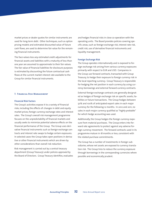market prices or dealer quotes for similar instruments are used for long-term debt. Other techniques, such as option pricing models and estimated discounted value of future cash flows, are used to determine fair value for the remaining financial instruments.

The face values less any estimated credit adjustments for financial assets and liabilities with a maturity of less than one year are assumed to approximate to their fair values. The fair value of financial liabilities for disclosure purposes is estimated by discounting the future contractual cash flows at the current market interest rate available to the Group for similar financial instruments.

#### **7. Financial Risk Management**

#### **Financial Risk Factors**

The Group's activities expose it to a variety of financial risks, including the effects of: changes in debt and equity market prices, foreign currency exchange rates and interest rates. The Group's overall risk management programme focuses on the unpredictability of financial markets and usually seeks to minimize potential adverse effects on the financial performance of the Group. The Group uses derivative financial instruments such as foreign exchange contracts and interest rate swaps to hedge certain exposures. In selected cases the Group takes open positions in derivative or other financial instruments which are driven by other considerations than overall risk reduction.

Risk management is carried out by a central treasury department (Group Treasury) under policies approved by the Board of Directors. Group Treasury identifies, evaluates and hedges financial risks in close co-operation with the operating units. The Board provides policies covering spe cific areas, such as foreign exchange risk, interest rate risk, credit risk, use of derivative financial instruments and liquidity management.

#### **Foreign Exchange Risk**

The Group operates internationally and is exposed to foreign exchange risk arising from various currency exposures primarily with respect to EUR and USD. Companies in the Group use forward contracts, transacted with Group Treasury, to hedge their exposure to foreign currency risk in the local reporting currency. Group Treasury is responsible for hedging the net position in each currency by using currency borrowings and external forward currency contracts.

External foreign exchange contracts are generally designated as hedges of foreign exchange risk on specific assets, liabilities or future transactions. The Group hedges between 50% and 100% of anticipated export sales in each major currency for the following 12 months. In 2012 and 2011, no sales in each major currency qualified as ''highly probable'' for which hedge accounting was used.

Additionally, the Group hedges the foreign currency exposure from material purchases. The Group enters into forward rate agreements to protect against any adverse foreign currency movement. The forward contracts used in its programme mature in 18 months or less, consistent with the related purchase commitments.

The Group has a number of investments in foreign subsidiaries, whose net assets are exposed to currency translation risk. The Group tries to reduce the currency exposure through borrowings in the corresponding currencies where possible and economically prudent.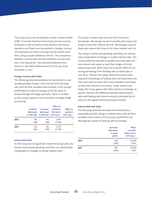The Group uses a risk computation similar to Value-at-Risk (VAR). It includes financial instruments (mainly currency forwards) as well as balance sheet positions and future operative cash flows (non-discounted) in foreign currency. The estimates are made assuming normal market conditions, using a 97.7% confidence interval. The correlations between currency pairs and the volatilities are observed over a 360 day period. The estimated potential intraday loss in the VAR model amounts to TCHF 337 as per December 31, 2012.

#### **Foreign Currency Risk Table**

The following table demonstrates the sensitivity to a reasonably possible change in the USD and EUR exchange rate, with all other variables held constant, of the Group's profit before tax (due to changes in the fair value of forward foreign exchange contracts). There is no effect on the Group's equity as the Group does not apply hedge accounting.

|      |            |            | <b>Effect on</b>                                |                  |
|------|------------|------------|-------------------------------------------------|------------------|
|      | Increase/  | Increase/  | profit be-                                      | <b>Effect on</b> |
|      | (decrease) | (decrease) | fore tax in                                     | equity in        |
|      |            |            | in USD rate in EUR rate CHF 1000 .- CHF 1000 .- |                  |
| 2012 | 5%         | 5%         | 3 0 9 1                                         |                  |
|      | (5%)       | (5%)       | (3091)                                          |                  |
| 2011 | 5%         | 5%         | 2727                                            |                  |
|      | (5%)       | (5%)       | (2727)                                          |                  |
|      |            |            |                                                 |                  |

#### **Interest Rate Risk**

As the Group has no significant interest-bearing assets, the Group's income and operating cash flows are substantially independent of changes in market interest rates.

The Group's interest rate risk arises from long-term borrowings. Borrowings issued at variable rates expose the Group to cash flow interest rate risk. Borrowings issued at fixed rates expose the Group to fair value interest rate risk.

The Group's income and operating cash flows are substantially independent of changes in market interest rates. The Group sometimes borrows at variable and fixed rates and uses interest rate swaps as cash flow hedges of future interest payments, which have the economic effect of converting borrowings from floating rates to fixed rates or vice-versa. Interest rate swaps allow the Group to raise long- term borrowings at floating rates and swap them into fixed rates that are lower than those available if borrowed at fixed rates directly or vice versa. Under interest rate swaps, the Group agrees with other parties to exchange, at specific intervals, the difference between fixed contract rates and floating rate interest amounts calculated by reference to the agreed notional principal amounts.

#### **Interest Rate Risk Table**

The following table demonstrates the sensitivity to a reasonably possible change in interest rates, with all other variables held constant, of the Group's profit before tax (through the impact on floating rate borrowings).

|      | Increase/<br>(decrease)<br>in basis<br>points | <b>Effect</b><br>on profit<br>before tax in<br>CHF 1000 .- |
|------|-----------------------------------------------|------------------------------------------------------------|
| 2012 | 100<br>(100)                                  | (2699)<br>2 6 6 1                                          |
| 2011 | 100<br>(100)                                  | (1900)<br>1875                                             |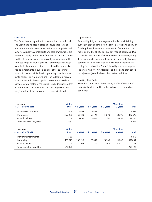#### **Credit Risk**

The Group has no significant concentrations of credit risk. The Group has policies in place to ensure that sales of products are made to customers with an appropriate credit history. Derivative counterparts and cash transactions are limited to highly creditworthy financial institutions. Other credit risk exposures are minimized by dealing only with a limited range of counterparties. Sometimes the Group uses the instrument of deferred consideration when disposing investments in subsidiaries or other operating assets. In that case it is the Group's policy to obtain adequate pledges or guarantees until the outstanding receivables are settled. The Group also makes loans to related parties. Where material the Group seeks adequate pledges or guarantees. The maximum credit risk represents net carrying value of the loans and receivables included.

#### **Liquidity Risk**

Prudent liquidity risk management implies maintaining sufficient cash and marketable securities, the availability of funding through an adequate amount of committed credit facilities and the ability to close out market positions. Due to the dynamic nature of the underlying businesses, Group Treasury aims to maintain flexibility in funding by keeping committed credit lines available. Management monitors rolling forecasts of the Group's liquidity reserve (comprising undrawn borrowing facilities and cash and cash equivalents [note 16]) on the basis of expected cash flows.

#### **Liquidity Risk Table**

The table summarises the maturity profile of the Group's financial liabilities at December 31 based on contractual payments.

| in CHF 1000.-<br>at December 31, 2012 | Within<br>1 year | $1 - 2$ years | $2 - 3$ years | $3 - 4$ years | More than<br>4 years     | <b>Total</b> |
|---------------------------------------|------------------|---------------|---------------|---------------|--------------------------|--------------|
| Derivative instruments                | 1146             | 3 3 9 4       | 1697          |               | $\overline{\phantom{m}}$ | 6 2 3 7      |
| <b>Borrowings</b>                     | 269 908          | 57780         | 66 592        | 15 000        | 53 29 6                  | 462 576      |
| Other liabilities                     |                  | 5692          | 3 9 4 0       | 3 8 1 5       | 13899                    | 27 34 6      |
| Trade and other payables              | 274 357          |               |               |               | $\overline{\phantom{m}}$ | 274 357      |

| in CHF 1000.-<br>at December 31, 2011 | Within<br>1 year | $1 - 2$ years            | $2 - 3$ years | $3 - 4$ years | More than<br>4 years     | <b>Total</b> |
|---------------------------------------|------------------|--------------------------|---------------|---------------|--------------------------|--------------|
| Derivative instruments                | 6 15 6           |                          |               |               | $\overline{\phantom{m}}$ | 6 15 6       |
| <b>Borrowings</b>                     | 189 979          | 206 730                  | 22895         | 23 260        | 15 000                   | 457864       |
| Other liabilities                     |                  | 7474                     | 4 7 5 0       | 4 4 1 1       | 17080                    | 33 715       |
| Trade and other payables              | 298 198          | $\overline{\phantom{m}}$ |               |               | $\overline{\phantom{m}}$ | 298 198      |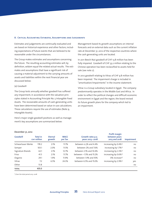#### **8. Critical Accounting Estimates, Assumptions and Judgements**

Estimates and judgements are continually evaluated and are based on historical experience and other factors, including expectations of future events that are believed to be reasonable under the circumstances.

The Group makes estimates and assumptions concerning the future. The resulting accounting estimates will, by definition, seldom equal the related actual results. The estimates and assumptions that have a significant risk of causing a material adjustment to the carrying amounts of assets and liabilities within the next financial year are discussed below:

#### (a) Goodwill

The Group tests annually whether goodwill has suffered any impairment, in accordance with the valuation principles stated in Accounting Principle No. 5 Intangible Fixed Assets. The recoverable amounts of cash-generating units have been determined based on value-in-use calculations. These calculations require the use of estimates (Note 9, Intangible Assets).

Hero's major single goodwill positions as well as management's key assumptions are summarized below:

Management based its growth assumptions on internal forecasts and on external data such as the current inflation rate at December 31, 2012 of the respective countries where the cash generating units are located.

In 2011 Beech-Nut goodwill of CHF 13.8 million has been fully impaired. Goodwill of CHF 33.2 million relating to the Chinese operation has been reclassified to assets held for sale (see note 2).

In 2012 goodwill relating to Vitrac of CHF 9.8 million has been impaired. The impairment charge is included in "amortization/impairments" in the income statement.

Vitrac is a Group subsidiary located in Egypt. The company predominantly operates in the Middle East and Africa. In order to reflect the political changes and difficult economic environment in Egypt and the region, the board revised its future growth plans for the company which led to an impairment.

| <b>DULLINDUI 51, ZUIZ</b> |                                       |                          |                        |                                      | Profit margin                        |            |
|---------------------------|---------------------------------------|--------------------------|------------------------|--------------------------------------|--------------------------------------|------------|
| Goodwill                  | <b>Total</b> in<br><b>CHF</b> million | <b>Eternal</b><br>growth | <b>WACC</b><br>pre Tax | Growth rates p.a.<br>years 2013-2018 | between years<br>2013 and 2018       | Impairment |
| Schwartauer Werke         | 178.2                                 | 2.1%                     | 11.7%                  | between 0.7% and 4.4%                | increasing by $0.4\%$ <sup>*</sup> ) | no         |
| Semper                    | 103.1                                 | 2.0%                     | 11.5%                  | between 2% and 7.6%                  | increasing by 1.7%*)                 | no         |
| Signature Brands          | 62.1                                  | 2.1%                     | 12.7%                  | between 2.1% and 10.4%               | increasing by 2.3%*)                 | no         |
| Friso                     | 41.5                                  | 2.1%                     | 11.7%                  | between -1.5% and 15.2%              | increasing by 0.6%*)                 | no         |
| Organix                   | 29.1                                  | 1.9%                     | 11.9%                  | between 1.9% and 10%                 | $0\%$ increase <sup>*)</sup>         | no         |
| Vitrac                    | 7.2                                   | 6.5%                     | 24.3%                  | between 6.5% and 15.0%               | increasing by 2.9%*)                 | yes        |
| Other                     | 13.8                                  |                          |                        |                                      |                                      | no         |
| <b>TOTAL</b>              | 435.0                                 |                          |                        |                                      |                                      |            |

#### **December 31, 2012**

\*) Over the total period 2013 –2018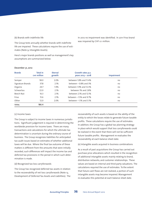#### (b) Brands with indefinite life

The Group tests annually whether brands with indefinite life are impaired. These calculations require the use of estimates (Note 9, Intangible Assets).

Hero's major brands positions as well as management's key assumptions are summarized below:

#### **December 31, 2012**

| <b>Brands</b>    | <b>Total</b> in<br><b>CHF</b> million | Eternal<br>growth | Growth rates p.a.<br>years $2013 - 2018$ | <b>Impairment</b> |  |
|------------------|---------------------------------------|-------------------|------------------------------------------|-------------------|--|
| Semper           | 58.0                                  | 2.0%              | between 1.8% and 11.4%                   | no                |  |
| Signature Brands | 37.8                                  | 2.1%              | between $-0.8\%$ and $3\%$               | no                |  |
| Organix          | 24.7                                  | 1.9%              | between 1.9% and 12.3%                   | no                |  |
| Schwartau        | 22.0                                  | 2.1%              | between 1% and 2.8%                      | no                |  |
| Beech-Nut        | 16.3                                  | 2.1%              | between 2.1% and 12.1%                   | no                |  |
| Friso            | 15.6                                  | 2.1%              | between $-1.5%$ and 9.7%                 | no                |  |
| Other            | 12.0                                  | 2.0%              | between $-1.1\%$ and 3.1%                | no                |  |
| <b>TOTAL</b>     | 186.4                                 |                   |                                          |                   |  |

#### (c) Income taxes

The Group is subject to income taxes in numerous jurisdictions. Significant judgement is required in determining the worldwide provision for income taxes. There are many transactions and calculations for which the ultimate tax determination is uncertain during the ordinary course of business. The Group recognizes liabilities for anticipated tax audit issues based on estimates of whether additional taxes will be due. Where the final tax outcome of these matters is different from the amounts that were initially recorded, such differences will impact the income tax and deferred tax provisions in the period in which such determination is made.

#### (d) Recognized tax loss carryforwards

The Group has recognized deferred tax assets in relation to the recoverability of net loss carryforwards (Note 13, Development of Deferred Tax Assets and Liabilities). The recoverability of such assets is based on the ability of the entity to which the losses relate to generate future taxable profits. These calculations require the use of estimates. In addition, the Group has a global tax planning strategy in place which would support that loss carryforwards could be realized in the event that there will not be sufficient future taxable profits. Management re-evaluates the recoverability at each balance sheet date.

(e) Intangible assets acquired in business combinations

As a result of past acquisitions the Group has carried out purchase price allocations which resulted in the recognition of additional intangible assets mainly relating to brand, distribution networks, and customer relationships. These values are based on internal and third-party valuations. The calculations required the use of estimates. To the extent that future cash flows are not realized, a portion of such intangible assets may become impaired. Management re-evaluates this potential at each balance sheet date.

In 2012 no impairment was identified. In 2011 Friso brand was impaired by CHF 0.1 million.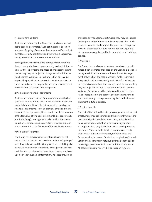#### f) Reserve for bad debts

As described in note 15, the Group has provisions for bad debts based on estimates. Such estimates are based on analyses of ageing of customer balances, specific credit circumstances, historical trends and the Group's experience, taking also into account economic conditions.

Management believes that the total provision for these items is adequate, based upon currently available information. As these provisions are based on management estimates, they may be subject to change as better information becomes available. Such changes that arise could impact the provisions recognised in the balance sheet in future periods and consequently the expenses recognised in the income statement in future periods.

#### g) Valuation of financial instruments

As described in note 26, the Group uses valuation techniques that include inputs that are not based on observable market data to estimate the fair value of certain types of financial instruments. Note 26 provides detailed information about the key assumptions used in the determination of the fair value of financial instruments (i.e.Treasure Ally and Trend Swap). Management believes that the chosen valuation techniques and assumptions used are appropriate in determining the fair value of financial instruments.

#### h) Valuation of inventory

The Group has provisions for inventories based on estimates. Such estimates are based on analyses of ageing of inventory balances and the Group's experience, taking also into account economic conditions. Management believes that the total provisions for these items is adequate, based upon currently available information. As these provisions

are based on management estimates, they may be subject to change as better information becomes available. Such changes that arise could impact the provisions recognised in the balance sheet in future periods and consequently the expenses recognised in the income statement in future periods.

#### i) Provisions

The Group has provisions for various cases based on estimates. Such estimates are based on the Group's experience, taking also into account economic conditions. Management believes that the total provisions for these items is adequate, based upon currently available information. As these provisions are based on management estimates, they may be subject to change as better information becomes available. Such changes that arise could impact the provisions recognised in the balance sheet in future periods and consequently the expenses recognised in the income statement in future periods.

#### j) Pension benefits

The cost of the defined benefit pension plan and other post employment medical benefits and the present value of the pension obligation are determined using actuarial valuations. An actuarial valuation involves making various assumptions that may differ from actual developments in the future. These include the determination of the discount rate, future salary increases, mortality rates and future pension increases. Due to the complexity of the valuation and its long-term nature, a defined benefit obligation is highly sensitive to changes in these assumptions. All assumptions are reviewed at each reporting date.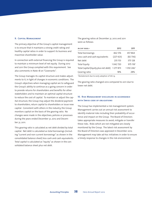#### **9. Capital Management**

The primary objective of the Group's capital management is to ensure that it maintains a strong credit rating and healthy capital ratios in order to support its business and maximize shareholder value.

In connection with external financing the Group is required to maintain a minimum level of net equity. During 2012 and 2011 the Group complied with this requirement. See also comments in Note 18 on "Covenants".

The Group manages its capital structure and makes adjustments to it, in light of changes in economic conditions. The Group's objectives when managing capital are to safeguard the Group's ability to continue as a going concern in order to provide returns for shareholders and benefits for other stakeholders and to maintain an optimal capital structure to reduce the cost of capital. To maintain or adjust the capital structure, the Group may adjust the dividend payment to shareholders, return capital to shareholders or issue new capital. Consistent with others in the industry, the Group monitors capital on the basis of the gearing ratio. No changes were made in the objectives, policies or processes during the years ended December 31, 2012 and December 31, 2011.

This gearing ratio is calculated as net debt divided by total capital. Net debt is calculated as total borrowings (including "current and non-current borrowings" as shown in the consolidated balance sheet) less cash and cash equivalents. Total capital is calculated as "equity" as shown in the consolidated balance sheet plus net debt.

The gearing ratios at December 31, 2012 and 2011 were as follows:

| IN CHF 1000.-                        | 2012      | 2011                               |
|--------------------------------------|-----------|------------------------------------|
| Total borrowings                     | 462 576   | 457864                             |
| Less: cash and cash equivalents      | (227 423) | (82736)                            |
| Net debt                             | 235 153   | 375 128                            |
| <b>Total Equity</b>                  | 1042720   | $975118$ <sup><math>+</math></sup> |
| Total Capital (Equity plus net debt) | 1 277 873 | 1350 246 <sup>"</sup>              |
| Gearing ratio                        | 18%       | 28%                                |

<sup>1</sup> Restatement due to early adoption of IAS 19.

The gearing ratio changed 2012 compared to 2011 due to lower net debt.

#### **10. Risk Management disclosure in accordance with Swiss code of obligations**

The Group has implemented a risk management system. Management carries out an annual risk assessment to identify material risks including their probability of occurrence and impact on the Group. The Board of Directors takes appropriate measures to avoid, mitigate or transfer these risks. Risks which are not mitigated are closely monitored by the Group. The latest risk assessment by the Board of Directors was approved in December 2012. Management may take ad-hoc initiatives in order to ensure a timely response to changes in the risk environment.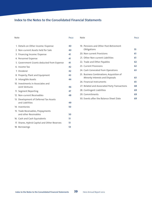# **Index to the Notes to the Consolidated Financial Statements**

Note PAGE Note PAGE Note PAGE Note PAGE PROFESSION

| 1. Details on Other Income / Expense          | 40 |
|-----------------------------------------------|----|
| 2. Non-current Assets held for Sale           | 40 |
| 3. Financing Income / Expense                 | 41 |
| 4. Personnel Expense                          | 41 |
| 5. Government Grants deducted from Expense    | 41 |
| 6. Income Tax                                 | 42 |
| 7. Dividend                                   | 42 |
| 8. Property, Plant and Equipment              | 43 |
| 9. Intangible Assets                          | 44 |
| 10. Investments in Associates and             |    |
| Joint Ventures                                | 46 |
| 11. Segment Reporting                         | 47 |
| 12. Non-current Receivables                   | 48 |
| 13. Development of Deferred Tax Assets        |    |
| and Liabilities                               | 49 |
| 14. Inventories                               | 50 |
| 15. Trade Receivables, Prepayments            |    |
| and other Receivables                         | 50 |
| 16. Cash and Cash Equivalents                 | 51 |
| 17. Shares, Hybrid Capital and Other Reserves | 51 |
| 18. Borrowings                                | 53 |
|                                               |    |

| Obligations                      | 55                                                                                                                                                                                                                                                                                                                                                                                                                               |
|----------------------------------|----------------------------------------------------------------------------------------------------------------------------------------------------------------------------------------------------------------------------------------------------------------------------------------------------------------------------------------------------------------------------------------------------------------------------------|
|                                  | 61                                                                                                                                                                                                                                                                                                                                                                                                                               |
|                                  | 61                                                                                                                                                                                                                                                                                                                                                                                                                               |
|                                  | 62                                                                                                                                                                                                                                                                                                                                                                                                                               |
|                                  | 62                                                                                                                                                                                                                                                                                                                                                                                                                               |
|                                  | 63                                                                                                                                                                                                                                                                                                                                                                                                                               |
| Minority Interests and Disposals | 63                                                                                                                                                                                                                                                                                                                                                                                                                               |
|                                  | 65                                                                                                                                                                                                                                                                                                                                                                                                                               |
|                                  | 68                                                                                                                                                                                                                                                                                                                                                                                                                               |
|                                  | 69                                                                                                                                                                                                                                                                                                                                                                                                                               |
|                                  | 69                                                                                                                                                                                                                                                                                                                                                                                                                               |
|                                  | 69                                                                                                                                                                                                                                                                                                                                                                                                                               |
|                                  | 19. Pensions and Other Post-Retirement<br>20. Non-current Provisions<br>21. Other Non-current Liabilities<br>22. Trade and Other Payables<br>23. Current Provisions<br>24. Cash Generated from Operations<br>25. Business Combinations, Acquisition of<br>26. Financial Instruments<br>27. Related and Associated Party Transactions<br>28. Contingent Liabilities<br>29. Commitments<br>30. Events after the Balance Sheet Date |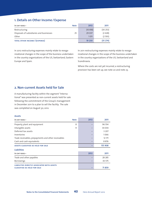### **1. Details on Other Income / Expense**

| in CHF 1000.-                            | <b>Note</b> | 2012     | 2011     |
|------------------------------------------|-------------|----------|----------|
| Restructuring                            |             | (10 818) | (30 253) |
| Disposals of subsidiaries and businesses | 25          | 29 037   | (2428)   |
| Other                                    |             | 1011     | (2593)   |
| TOTAL OTHER INCOME / (EXPENSE)           |             | 19 230   | (35 274) |

In 2012 restructuring expenses mainly relate to reorganizational changes in the scope of the business undertaken in the country organizations of the US, Switzerland, Eastern Europe and Spain.

In 2011 restructuring expenses mainly relate to reorganizational changes in the scope of the business undertaken in the country organizations of the US, Switzerland and Scandinavia.

Where the costs are not yet incurred, a restructuring provision has been set up, see note 20 and note 23.

### **2. Non-current Assets held for Sale**

A manufacturing facility within the segment "International" was presented as non-current assets held for sale following the commitment of the Group's management in December 2011 to a plan to sell the facility. The sale was completed on August 30, 2012.

### **Assets**

| in CHF 1000 .-                                       | <b>Note</b> | 2012 | 2011    |
|------------------------------------------------------|-------------|------|---------|
| Property, plant and equipment                        | 8           |      | 96 554  |
| Intangible assets                                    | 9           |      | 34 0 34 |
| Deferred tax assets                                  |             |      | 3 2 0 7 |
| Inventories                                          |             |      | 1066    |
| Trade receivables, prepayments and other receivables |             |      | 12 171  |
| Cash and cash equivalents                            |             |      | 8876    |
| <b>ASSETS CLASSIFIED AS HELD FOR SALE</b>            |             |      | 155 908 |
| <b>Liabilities</b>                                   |             |      |         |
| in CHF 1000.-                                        |             | 2012 | 2011    |
| Trade and other payables                             |             |      | 28 28 5 |
| <b>Borrowings</b>                                    |             |      | 43 575  |
| LIABILITIES DIRECTLY ASSOCIATED WITH ASSETS          |             |      |         |
| <b>CLASSIFIED AS HELD FOR SALE</b>                   |             |      | 71859   |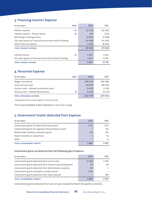# **3. Financing Income / Expense**

| in CHF 1000.-                                               | <b>Note</b> | 2012    | 2011     |
|-------------------------------------------------------------|-------------|---------|----------|
| Interest expense                                            | 24          | (22104) | (25 420) |
| Interest expense - finance leases                           | 24          | (36)    | (222)    |
| Net foreign exchange losses                                 |             | (4893)  | (5448)   |
| Fair value losses on financial instruments held for trading |             | (30468) | (34 330) |
| Other financial expense                                     |             | (1091)  | (8405)   |
| <b>TOTAL FINANCE EXPENSE</b>                                |             | (58592) | (73825)  |
|                                                             |             |         |          |
| Interest income                                             | 24          | 3690    | 9 2 6 5  |
| Fair value gains on financial instruments held for trading  |             | 8 2 0 7 | 13 913   |
| <b>TOTAL FINANCE INCOME</b>                                 |             | 11897   | 23 178   |

### **4. Personnel Expense**

| in CHF 1000.-                              | <b>Note</b> | 2012      | 2011         |
|--------------------------------------------|-------------|-----------|--------------|
| Wages and salaries                         |             | (186 379) | (189 786)    |
| Social security costs                      |             | (36 891)  | (38046)      |
| Pension costs - defined contribution plans |             | (5478)    | (5 218)      |
| Pension costs - defined benefit plans      | 19          | (3601)    | $(4773)^{n}$ |
| <b>TOTAL PERSONNEL EXPENSE</b>             |             | (232349)  | (237823)     |

<sup>1</sup> Restatement due to early adoption of IAS 19 revised.

The Group employed 4'366 employees in 2012 (2011: 4'144).

## **5. Government Grants deducted from Expense**

| IN CHE 1000. $-$                                     | 2012 | 2011    |
|------------------------------------------------------|------|---------|
| Government grants for Beech-Nut Infant plant         | 3752 | 3 5 5 2 |
| Government grants for Signature Brands Popcorn plant |      | 126     |
| Netherlands workforce education grant                | 133  | 270     |
| Export subsidies in Switzerland                      |      | 16      |
| Other                                                |      | 6       |
| <b>TOTAL GOVERNMENT GRANTS</b>                       | 3886 | 3 970   |

#### **Government grants are deducted from the following type of expense:**

| in CHF 1000.-                                            | 2012    | 2011    |
|----------------------------------------------------------|---------|---------|
| Government grants deducted from cost of sales            | (3 492) | 3 6 9 5 |
| Government grants deducted from research and development | 39      | 84      |
| Government grants deducted from administrative expense   | 94      | 5.      |
| Government grants included in sundry income              | 7 2 4 5 |         |
| Government grants deducted from other expense            |         | 186     |
| <b>TOTAL GOVERNMENT GRANTS</b>                           | 3886    | 3 970   |

Government grants deducted from cost of sales include the Beech-Nut grants correction.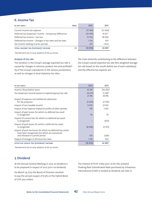### **6. Income Tax**

| in CHF 1000.-                                           | <b>Note</b> | 2012     | 2011      |
|---------------------------------------------------------|-------------|----------|-----------|
| Current income tax expense                              |             | (15784)  | (13929)   |
| Deferred tax (expense) / income - temporary differences |             | (10395)  | 8 3 5 7 7 |
| Deferred tax income - tax loss                          |             | 13 7 34  | 38 204    |
| Deferred tax income – changes in tax rates and tax laws |             | 1 2 1 4  | 423       |
| Tax income relating to prior periods                    |             | 355      | 1032      |
| TOTAL INCOME TAX (EXPENSE) / INCOME                     | 24          | (10 876) | 34 087    |

<sup>1</sup> Restatement due to early adoption of IAS 19 revised.

#### **Analysis of tax rate**

The variation in the Group's average expected tax rate is caused by changes in volumes, product mix and profitability of the Group's subsidiaries in the various jurisdictions, as well as changes in local statutory tax rates.

The main elements contributing to the difference between the Group's overall expected tax rate (the weighted average tax rate based on the results before tax of each subsidiary) and the effective tax expense are:

| in CHF 1000.-                                                                                                 | 2012             | 2011                        |
|---------------------------------------------------------------------------------------------------------------|------------------|-----------------------------|
| Income / (loss) before taxes                                                                                  | 43 181           | $(36431)^{n}$               |
| Tax (expense) / income based on expected group tax rate                                                       | (9 257)<br>21.4% | $11,240^{\degree}$<br>30.9% |
| Impact of expense not entitled for deduction<br>for tax purposes                                              | (5043)           | (2729)                      |
| Impact of non taxable income                                                                                  | 9 6 7 6          | 27 613                      |
| Impact of tax expense related to profits of other periods                                                     | 355              | 1032                        |
| Impact of past losses, for which no deferred tax asset<br>is recognized                                       | 95               | 19                          |
| Impact of current loss, for which no deferred tax asset<br>is recognized                                      |                  | (673)                       |
| Impact of past losses, for which a deferred tax asset<br>is recognized                                        | (8046)           | (2572)                      |
| Impact of past tax losses, for which no deferred tax assets<br>have been recognized, but which are reassessed |                  |                             |
| and released in current period                                                                                | 130              | (266)                       |
| Impact of changes in the local tax rates                                                                      | 1 2 1 4          | 423                         |
| <b>EFFECTIVE GROUP TAX (EXPENSE) / INCOME</b>                                                                 | (10 876)         | 34 087                      |

<sup>1</sup> Restatement due to early adoption of IAS 19 revised.

### **7. Dividend**

At the Annual General Meeting in 2013, no dividend is to be proposed in respect of 2012 (2011: no dividend).

On March 19, 2013 the Board of Directors resolved to pay the annual coupon of 6.5% on the Hybrid Bond of CHF 500 million.

The interest of TCHF 2'663 (2011: 0) for the undated Floating Rate Subordinated Note purchased by Schwartau International GmbH is treated as dividend, see note 17.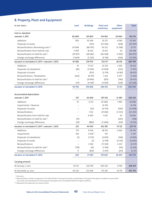# **8. Property, Plant and Equipment**

| in CHF 1000.-                                    | Land                     | <b>Buildings</b> | <b>Plant and</b><br>machinery | Other<br>equipment | <b>Total</b> |
|--------------------------------------------------|--------------------------|------------------|-------------------------------|--------------------|--------------|
| Cost or valuation                                |                          |                  |                               |                    |              |
| <b>JANUARY 1, 2011</b>                           | 40 099                   | 301847           | 333 855                       | 29 960             | 705 761      |
| Additions                                        | 500                      | 42 5 94          | 20 217                        | 4590               | 67 901       |
| Disposals of assets                              |                          | (103)            | (52346)                       | (458)              | (52907)      |
| Reclassifications / Borrowing costs**)           | 20 908                   | (48705)          | 56 25 2                       | (3 298)            | 25 157       |
| Reclassification from held for sale              | 5399                     | 18 24 2          | 25 651                        | 56                 | 49 348       |
| Reclassification to held for sale <sup>*</sup> ) | (19857)                  | (28682)          | (46368)                       | (1965)             | (96 872)     |
| Foreign exchange differences                     | (1669)                   | (5 220)          | (5144)                        | (566)              | (12599)      |
| BALANCE AT DECEMBER 31, 2011 / JANUARY 1, 2012   | 45 3 8 0                 | 279 973          | 332 117                       | 28 319             | 685 789      |
| Additions                                        | 41                       | 17 3 2 7         | 25 319                        | 2 4 7 6            | 45 163       |
| Disposals of subsidiaries                        | (82)                     | (3065)           | (4004)                        | (262)              | (7413)       |
| Disposals of assets                              |                          | (913)            | (3179)                        | (4581)             | (8673)       |
| Reclassifications / Revaluation                  | (422)                    | (8741)           | 1224                          | 6 677              | (1262)       |
| Reclassification to held for sale <sup>*</sup> ) |                          | (8996)           | (875)                         | (740)              | (10611)      |
| Foreign exchange differences                     | (171)                    | (4749)           | (4590)                        | (538)              | (10048)      |
| <b>BALANCE AT DECEMBER 31, 2012</b>              | 44746                    | 270 836          | 346 012                       | 31 3 51            | 692 945      |
| Accumulated depreciation                         |                          |                  |                               |                    |              |
| <b>JANUARY 1, 2011</b>                           | 337                      | 30 609           | 197192                        | 21487              | 249 625      |
| Additions                                        | 10                       | 4 3 1 2          | 20 6 68                       | 1994               | 26 984       |
| Impairments / Reversal                           |                          |                  | 14 318                        |                    | 14 3 18      |
| Disposals of assets                              |                          | (93)             | (51 515)                      | (390)              | (51998)      |
| Reclassifications                                | $\overline{\phantom{0}}$ | 1522             | (21482)                       | (3333)             | (23 293)     |
| Reclassification from held for sale              |                          | 9493             | 7 2 9 2                       | 45                 | 16 8 30      |
| Reclassification to held for sale <sup>*</sup> ) | (55)                     |                  |                               | (263)              | (318)        |
| Foreign exchange differences                     | (39)                     | (889)            | (3690)                        | (415)              | (5033)       |
| BALANCE AT DECEMBER 31, 2011 / JANUARY 1, 2012   | 253                      | 44 954           | 162 783                       | 19 125             | 227 115      |
| Additions                                        | 179                      | 9 3 5 6          | 28 150                        | 2060               | 39 745       |
| Impairments                                      | 164                      | 3 0 3 6 ***      | 107                           |                    | 3 3 0 7      |
| Disposals of subsidiaries                        | (5)                      | (1572)           | (2835)                        | (168)              | (4580)       |
| Disposals of assets                              |                          | (2)              | (2518)                        | (4120)             | (6640)       |
| Reclassifications                                | $\overline{\phantom{0}}$ | 2546             | (11305)                       | 4 2 3 2            | (4527)       |
| Reclassification to held for sale <sup>*</sup> ) | (178)                    | (41)             | (1744)                        | (141)              | (2104)       |
| Foreign exchange differences                     | 11                       | (810)            | (1971)                        | (351)              | (3 121)      |
| <b>BALANCE AT DECEMBER 31, 2012</b>              | 424                      | 57 4 67          | 170 667                       | 20 637             | 249 195      |
| Carrying amount                                  |                          |                  |                               |                    |              |
| At January 1, 2012                               | 45 127                   | 235 019          | 169 334                       | 9 1 9 4            | 458 674      |
| At December 31, 2012                             | 44 3 2 2                 | 213 369          | 175 345                       | 10 714             | 443 750      |

\*) See note 2

\*\*) Reclassifications include re-assignment of US Infant facility CIP among asset classes, reclassification of US government grants as related to income rather

than assets and reclassification of Chinese government grants due to incomplete fulfilment of grant conditions.

\*\*\*) Represents the impairment of a closed US plant.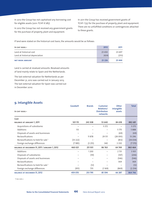In 2012 the Group has not capitalised any borrowing cost for eligible assets (2011: TCHF 6'287).

In 2012 the Group has not received any government grants for the purchase of property, plant and equipment.

In 2011 the Group has received government grants of TCHF 1'757 for the purchase of property, plant and equipment. There are no unfulfilled conditions or contingencies attached to these grants.

If land were stated on the historical cost basis, the amounts would be as follows:

| in CHF 1000 .-                  | 2012     | 2011    |
|---------------------------------|----------|---------|
| Land at historical cost         | 23 650   | 23 697  |
| Land at historical depreciation | (424)    | (253)   |
| <b>NET BOOK AMOUNT</b>          | 23 2 2 6 | 23 4 44 |

Land is carried at revalued amounts. Revalued amounts of land mainly relate to Spain and the Netherlands.

The last external valuation for Netherlands as per December 31, 2012 was carried out in January 2013. The last external valuation for Spain was carried out in December 2010.

### **9. Intangible Assets**

| in CHF 1000.-                                   | Goodwill | <b>Brands</b> | Customer<br>Relations/<br><b>Distribution</b><br>networks | Other<br>intangible<br>assets | <b>Total</b> |
|-------------------------------------------------|----------|---------------|-----------------------------------------------------------|-------------------------------|--------------|
| Cost                                            |          |               |                                                           |                               |              |
| <b>BALANCE AT JANUARY 1, 2011</b>               | 501 115  | 243 308       | 53 640                                                    | 84 618                        | 882 681      |
| Acquisitions of subsidiaries                    |          |               | 3 2 7 2                                                   |                               | 3 2 7 2      |
| Additions                                       | 113      |               |                                                           | 5 7 7 5                       | 5888         |
| Disposals of assets and businesses              |          |               |                                                           | (69)                          | (69)         |
| Reclassifications                               |          | 11878         | 29 511                                                    | (28093)                       | 13 2 9 6     |
| Reclassifications to held for sale <sup>"</sup> | (33 222) |               |                                                           | (812)                         | (34034)      |
| Foreign exchange differences                    | (7985)   | (3 255)       | 340                                                       | 3 3 3 0                       | (7570)       |
| BALANCE AT DECEMBER 31, 2011 / JANUARY 1, 2012  | 460 021  | 251931        | 86763                                                     | 64749                         | 863 464      |
| Additions                                       |          | 1 2 0 0       |                                                           | 2 7 3 1                       | 3 9 3 1      |
| Disposals of subsidiaries                       |          | (59)          |                                                           | (147)                         | (206)        |
| Disposals of assets and businesses              |          |               |                                                           | (546)                         | (546)        |
| Reclassifications                               |          |               |                                                           | 369                           | 369          |
| Reclassifications to held for sale <sup>"</sup> |          | (12)          |                                                           |                               | (12)         |
| Foreign exchange differences                    | (951)    | 735           | (1169)                                                    | (869)                         | (2 254)      |
| <b>BALANCE AT DECEMBER 31, 2012</b>             | 459 070  | 253 795       | 85 5 94                                                   | 66 287                        | 864746       |

\*) See note 2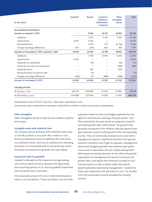| In CHF 1000 .-                                  | Goodwill | <b>Brands</b> | Customer<br>Relations/<br><b>Distribution</b><br>networks | Other<br>intangible<br>assets | <b>Total</b> |
|-------------------------------------------------|----------|---------------|-----------------------------------------------------------|-------------------------------|--------------|
| <b>Accumulated amortization</b>                 |          |               |                                                           |                               |              |
| <b>BALANCE AT JANUARY 1, 2011</b>               |          | 11 2 4 4      | 39 107                                                    | 41839                         | 92 190       |
| Additions                                       |          | 6 4 21        | 11 912                                                    | 5961                          | 24 2 94      |
| Impairments                                     | 13 8 31  | 3 0 4 2       |                                                           |                               | 16 873       |
| Reclassifications                               |          | 21 9 19       | 1 1 1 3                                                   | (9736)                        | 13 2 9 6     |
| Foreign exchange differences                    | 833      | (591)         | 666                                                       | 789                           | 1697         |
| BALANCE AT DECEMBER 31, 2011 / JANUARY 1, 2012  | 14 6 64  | 42 035        | 52798                                                     | 38 853                        | 148 350      |
| Additions                                       |          | 7399          | 9 9 7 9                                                   | 4696                          | 22 0 74      |
| Impairments                                     | 9836     |               |                                                           |                               | 9836         |
| Disposals of subsidiaries                       |          | (61)          |                                                           | (56)                          | (117)        |
| Disposals of assets and businesses              |          |               |                                                           | (280)                         | (280)        |
| Reclassifications                               |          | 395           |                                                           | (395)                         |              |
| Reclassifications to held for sale <sup>"</sup> |          | (13)          |                                                           |                               | (13)         |
| Foreign exchange differences                    | (418)    | 94            | (988)                                                     | (498)                         | (1810)       |
| <b>BALANCE AT DECEMBER 31, 2012</b>             | 24 082   | 49 849        | 61789                                                     | 42 3 20                       | 178 040      |
| Carrying amount                                 |          |               |                                                           |                               |              |
| At January 1, 2012                              | 445 357  | 209 896       | 33 965                                                    | 25 8 9 6                      | 715 114      |
| At December 31, 2012                            | 434 988  | 203 946       | 23 8 05                                                   | 23 9 67                       | 686706       |

Development costs of TCHF 1'136 (2011: 1'782) were capitalized in 2012.

Certain prior year comparatives have been reclassified to conform to the current year's presentation.

#### **Other intangibles**

Other intangibles mainly include licenses, software, patents and recipes.

#### **Intangible assets with indefinite lives**

The carrying amount of brands with indefinite useful lives is CHF 186.4 million in 2012 (CHF 186.0 million in 2011). Brands are deemed to have an indefinite life if the brand has sufficient history. Hero has no intention of re-branding and there is no foreseeable limit to the period over which the brands are expected to generate net cash inflows.

#### **Impairment tests for goodwill**

Goodwill is allocated to the respective cash-generating units (CGUs), which primarily represent the legal entity. See accounting policies no. 8. Annual goodwill impairment tests are performed in December.

The recoverable amount of a CGU is determined based on value-in-use calculations. These calculations use cash flow projections based on financial budgets approved by management and forecasts covering a five-year period. Cash flows beyond the five-year period are projected using the estimated growth rates stated below. The growth rates generally correspond to the inflation rates plus general real gross domestic product (GDP) growth of the corresponding country. They are individually assessed and in case where management expects a significant deviation from general economic conditions they might be adjusted. Management determined budgeted growth rates based on past performance and its expectations for the market development. Where general industry forecasts do not reflect the growth expectations of management for specific businesses, the growth rates used depart from forecasts included in such industry reports in order to better reflect the specific growth potentials expected by management. Goodwill for Vitrac was impaired by CHF 9.8 million in 2012. For all other CGU's the recoverable amount exceeded the carrying amount.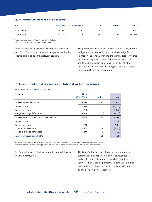#### **Key assumptions used for value-in-use calculations:**

| in $%$               | Eurozone      | <b>Middle East</b> | US   | <b>Nordic</b> | Other         |
|----------------------|---------------|--------------------|------|---------------|---------------|
| Growth rate $\theta$ | $1.9 - 2.1$   | 6.5                | 2.1  | 2.0           | $2.0 - 5.0$   |
| Discount rate $2$    | $11.7 - 11.9$ | 24.3               | 12.7 | 11.5          | $10.9 - 17.6$ |

<sup>1)</sup> Growth rate used to extrapolate cash flows beyond the budget.

<sup>2)</sup> Pre-tax discount rate applied to cash flow projections.

These assumptions have been used for the analysis of each CGU. The discount rates used are pre-tax and reflect specific risks relating to the relevant country.

The growth rate used to extrapolate cash flows beyond the budget and the pre-tax discount rate have a significant impact on the sensitivity of the impairment test. For Vitrac any further negative change of the assumptions taken would lead to an additional impairment. For all other CGU's no reasonable possible change in any key assumptions would lead to an impairment.

### **10. Investments in Associates and Interest in Joint Ventures**

#### **Investments in associated companies**

| in CHF 1000.-                                  | Hero<br><b>WhiteWave</b> | Other | <b>Total</b> |
|------------------------------------------------|--------------------------|-------|--------------|
| <b>BALANCE AT JANUARY 1, 2011</b>              | 10 503                   | 101   | 10 604       |
| Share of profit                                | $(10317)^{1}$            |       | (10317)      |
| Capital contributions                          | 5998                     |       | 5998         |
| Foreign exchange differences                   | (1549)                   | (3)   | (1552)       |
| BALANCE AT DECEMBER 31, 2011 / JANUARY 1, 2012 | 4 6 3 5                  | 98    | 4 7 3 3      |
| Share of profit                                | 43                       |       | 43           |
| Capital contributions                          | 1811                     |       | 1811         |
| Disposal of Investment                         | (6312)                   |       | (6312)       |
| Foreign exchange differences                   | (177)                    | (2)   | (179)        |
| <b>BALANCE AT DECEMBER 31, 2012</b>            |                          | 96    | 96           |

1) Additional receivables and costs directly associated with Hero WhiteWave of TCHF 1'299 were expensed and foreign exchange differences in other comprehensive income relating to Hero WhiteWave of TCHF 6'956 were directly recycled through the income statement.

The Group disposed of its investment in Hero WhiteWave on December 18, 2012.

The Group's share of current assets, non-current assets, current liabilities, non-current liabilities, revenues and net income of its interests associated and joint ventures in 2012 are insignificant. (In 2011: CHF 0 million, CHF 7 million, CHF 3 million, CHF 0 million, CHF 4 million and CHF –10 million respectively).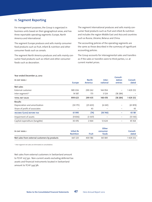### **11. Segment Reporting**

For management purposes, the Group is organized in business units based on their geographical areas, and has three reportable operating segments: Europe, North America and International.

The segment Europe produces and sells mainly consumer food products such as fruit, infant & nutrition and other consumer foods such as cereals.

The segment North America produces and sells mainly consumer food products such as infant and other consumer foods such as decoration.

The segment International produces and sells mainly consumer food products such as fruit and infant & nutrition and includes the region Middle East and Asia and countries such as Russia, Ukraine, Belarus and China.

The accounting policies of the operating segments are the same as those described in the summary of significant accounting policies.

The Group accounts for intersegmental sales and transfers as if the sales or transfers were to third parties, i.e. at current market prices.

| Year ended December 31, 2012   |               |                         |                    | Consoli-                 |                   |
|--------------------------------|---------------|-------------------------|--------------------|--------------------------|-------------------|
| in CHF 1000.-                  | <b>Europe</b> | <b>North</b><br>America | Inter-<br>national | dation<br>entries        | Consoli-<br>dated |
| Net sales                      |               |                         |                    |                          |                   |
| External customer              | 985 036       | 299 262                 | 144 954            |                          | 1429 252          |
| Inter-segment <sup>1)</sup>    | 14 5 8 7      | 173                     | 3 5 2 4            | (18284)                  |                   |
| <b>TOTAL NET SALES</b>         | 999 623       | 299 435                 | 148 478            | (18284)                  | 1429 252          |
| <b>Results</b>                 |               |                         |                    |                          |                   |
| Depreciation and amortization  | (30 175)      | (25603)                 | (6041)             | $\qquad \qquad -$        | (61819)           |
| Share of profit of associates  |               | 43                      |                    |                          | 43                |
| INCOME/(LOSS) BEFORE TAX       | 61995         | (74)                    | (18740)            | -                        | 43 181            |
| Impairment of assets           | (9836)        | (3307)                  |                    |                          | (13143)           |
| Capital expenditure (tangible) | 30 476        | 2064                    | 12 6 24            | $\overline{\phantom{m}}$ | 45 164            |
|                                |               |                         |                    |                          |                   |

| in CHF 1000.-                                 | Infant &         |              | Other<br>consumer | Consoli- |  |
|-----------------------------------------------|------------------|--------------|-------------------|----------|--|
| Net sales from external customers by products | <b>Nutrition</b> | <b>Fruit</b> | foods             | dated    |  |
|                                               | 667 225          | 400 186      | 361841            | 1429 252 |  |

<sup>1)</sup> Inter-segment net sales are eliminated on consolidation.

Net sales from external customers in Switzerland amount to TCHF 105'330. Non-current assets excluding deferred tax assets and financial instruments located in Switzerland amount to TCHF 549'381.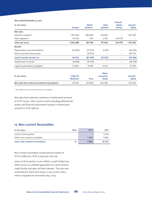Year ended December 31, 2011

| in CHF 1000.-                  | <b>Europe</b> | <b>North</b><br>America | Inter-<br>national | Consoli-<br>dation<br>entries | Consoli-<br>dated |
|--------------------------------|---------------|-------------------------|--------------------|-------------------------------|-------------------|
| Net sales                      |               |                         |                    |                               |                   |
| External customer              | 1015 564      | 280 640                 | 134 897            |                               | 1431100           |
| Inter-segment <sup>1)</sup>    | 30 924        | 1156                    | 2 3 9 7            | (34 477)                      |                   |
| <b>TOTAL NET SALES</b>         | 1046488       | 281796                  | 137 294            | (34 477)                      | 1431100           |
| <b>Results</b>                 |               |                         |                    |                               |                   |
| Depreciation and amortization  | (32839)       | (17670)                 | (3 811)            | $\qquad \qquad -$             | (54320)           |
| Share of profit of associates  |               | (18573)                 |                    | $\overline{\phantom{m}}$      | (18573)           |
| (LOSS) / INCOME BEFORE TAX     | 66832         | (81449)                 | (21967)            |                               | (36 584)          |
| Impairment of assets           | (8999)        | (19 150)                |                    |                               | (28149)           |
| Capital expenditure (tangible) | 34 863        | 15 8 0 7                | 17 23 2            | $\overline{\phantom{0}}$      | 67901             |
|                                |               |                         |                    |                               |                   |

| Net sales from external customers by products | 651451                       | Fruit<br>415 869 | foods<br>363780 | 1 431 100         |  |
|-----------------------------------------------|------------------------------|------------------|-----------------|-------------------|--|
| in CHF 1000 .-                                | Infant &<br><b>Nutrition</b> |                  | consumer        | Consoli-<br>dated |  |

1) Inter-segment net sales are eliminated on consolidation.

Net sales from external customers in Switzerland amount to TCHF 103'512. Non-current assets excluding deferred tax assets and financial instruments located in Switzerland amount to TCHF 558'270.

### **12. Non-current Receivables**

| in CHF 1000.-                        | <b>Note</b> | 2012 | 2011   |
|--------------------------------------|-------------|------|--------|
| Loans to third parties               |             |      | 12 158 |
| Other non-current receivables        |             | 7699 | 7869   |
| <b>TOTAL NON-CURRENT RECEIVABLES</b> | 26          | 7699 | 20 027 |

Non-current receivables include pension assets of TCHF 4'086 (2011: TCHF 4'054) (see note 19).

Loans to third parties in 2011 reflect a credit linked loan which serves as a default guarantee on a joint venture credit facility and does not bear interest. The loan was reclassified to short term loans in 2012 as the instrument is expected to terminate July 1, 2013.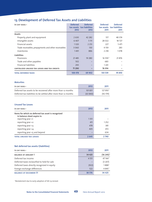# **13. Development of Deferred Tax Assets and Liabilities**

| in CHF 1000.-                                        | <b>Deferred</b><br>2012 | <b>Deferred</b><br>tax assets tax liabilities<br>2012 | <b>Deferred</b><br>2011 | <b>Deferred</b><br>tax assets tax liabilities<br>2011 |
|------------------------------------------------------|-------------------------|-------------------------------------------------------|-------------------------|-------------------------------------------------------|
| Assets                                               |                         |                                                       |                         |                                                       |
| Property, plant and equipment                        | 2630                    | 42 2 8 2                                              | 517                     | 48 374                                                |
| Intangible assets                                    | 6407                    | 5 1 1 1                                               | 28 0 22                 | 18727                                                 |
| Financial assets                                     | 1320                    | 2 2 1 3                                               | 227                     | 5 4 7 1                                               |
| Trade receivables, prepayments and other receivables | 3 0 6 0                 | 130                                                   | 4 1 5 9                 | 283                                                   |
| Inventories                                          | 1491                    | 886                                                   | 2 2 1 8                 | 1078                                                  |
| Liabilities                                          |                         |                                                       |                         |                                                       |
| Provisions                                           | 21 4 8 5                | 19 2 8 0                                              | 16559'                  | 21876                                                 |
| Trade and other payables                             | 502                     |                                                       | 683                     |                                                       |
| <b>Financial liabilities</b>                         | 293                     |                                                       | 1 2 4 1                 |                                                       |
| <b>CAPITALIZED UNUSED TAX LOSSES AND TAX CREDITS</b> | 71 2 90                 |                                                       | 76 914                  |                                                       |
| <b>TOTAL DEFERRED TAXES</b>                          | 108 478                 | 69 902                                                | 130 539                 | 95 810                                                |

#### **Maturities**

| IN CHE 1000. $-$                                                 | 2012      | 2011              |
|------------------------------------------------------------------|-----------|-------------------|
| Deferred tax assets to be recovered after more than 12 months    | 101831    | $127.810^{\circ}$ |
| Deferred tax liabilities to be settled after more than 12 months | (63, 840) | (92179)           |

#### **Unused Tax Losses**

| $in$ CHF 1000. $-$                                                                 | 2012    | 2011    |
|------------------------------------------------------------------------------------|---------|---------|
| Items for which no deferred tax asset is recognized<br>in balance sheet expire in: |         |         |
| reporting year +1                                                                  | 1351    |         |
| reporting year $+2$                                                                | 411     | 1 2 5 2 |
| reporting year $+3$                                                                | 478     | 381     |
| reporting year $+4$                                                                | 405     | 472     |
| reporting year +5 and beyond                                                       |         | 634     |
| <b>TOTAL UNUSED TAX LOSSES</b>                                                     | 2 6 4 5 | 2 740   |
|                                                                                    |         |         |

### **Net deferred tax assets/ (liabilities)**

| in CHF 1000.-                                | 2012    | 2011               |
|----------------------------------------------|---------|--------------------|
| <b>BALANCE AT JANUARY 1</b>                  | 34 4 25 | $(16245)^{4}$      |
| Deferred tax income                          | 4 5 5 1 | 47 $144^{\degree}$ |
| Deferred taxes reclassified to held for sale |         | (3 207)            |
| Deferred taxes directly recognized in equity | (922)   | 1888*              |
| Foreign exchange differences                 | 522     | 4 8 4 5"           |
| <b>BALANCE AT DECEMBER 31</b>                | 38 576  | 34 4 25            |

<sup>1</sup>) Restatement due to early adoption of IAS 19 revised.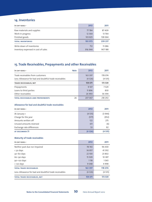# **14. Inventories**

| in CHF 1000.-                       | 2012     | 2011    |
|-------------------------------------|----------|---------|
| Raw materials and supplies          | 77784    | 87409   |
| Work-in-progress                    | 12 3 6 4 | 13 764  |
| Finished goods                      | 103 825  | 138 064 |
| <b>TOTAL INVENTORIES</b>            | 193 973  | 239 237 |
| Write down of inventories           | 712      | 11086   |
| Inventory expensed in cost of sales | 916 944  | 907188  |

# **15. Trade Receivables, Prepayments and other Receivables**

| <b>Note</b><br>in CHF 1000 .-                          | 2012    | 2011    |
|--------------------------------------------------------|---------|---------|
| Trade receivables from customers                       | 163 397 | 178 074 |
| Less: Allowance for bad and doubtful trade receivables | (4326)  | (4535)  |
| <b>TRADE RECEIVABLES, NET</b>                          | 159 071 | 173 539 |
| Prepayments                                            | 9 10 7  | 7529    |
| Loans to third parties                                 | 11896   | 830     |
| Other receivables                                      | 26 9 93 | 36394   |
| 26<br><b>TOTAL RECEIVABLES AND PREPAYMENTS</b>         | 207 067 | 218 292 |

### **Allowance for bad and doubtful trade receivables**

| in CHF 1000.-             | 2012   | 2011   |
|---------------------------|--------|--------|
| At January 1              | (4535) | (3944) |
| Charge for the year       | (577)  | (952)  |
| Amounts written off       | 122    | 275    |
| Unused amounts reversed   | 611    | (6)    |
| Exchange rate differences | 53     | 92     |
| AT DECEMBER 31            | (4326) | (4535) |

#### **Maturity of trade receivables**

| in CHF 1000.-                                          | 2012     | 2011     |
|--------------------------------------------------------|----------|----------|
| Neither past due nor impaired                          | 78 765   | 96430    |
| $\langle$ 30 days                                      | 36 857   | 41392    |
| $30 - 60$ days                                         | 22 100   | 23 802   |
| 60-go days                                             | 15 5 0 9 | 10 3 8 7 |
| $90-120$ days                                          | 1 1 1 8  | 1065     |
| $>$ 120 days                                           | 9 0 4 8  | 4998     |
| <b>TOTAL TRADE RECEIVABLES</b>                         | 163 397  | 178 074  |
| Less: Allowance for bad and doubtful trade receivables | (4326)   | (4 535)  |
| <b>TOTAL TRADE RECEIVABLES, NET</b>                    | 159 071  | 173 539  |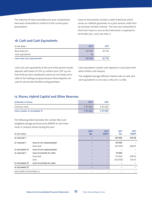The maturity of trade receivable prior year comparatives have been reclassified to conform to the current year's presentation.

Loans to third parties include a credit linked loan which serves as a default guarantee on a joint venture credit facility and does not bear interest. The loan was reclassified to short-term loans in 2012 as the instrument is expected to terminate July 1, 2013, see note 12.

### **16. Cash and Cash Equivalents**

| in CHF 1000.-                    | 2012    | 2011  |
|----------------------------------|---------|-------|
| Bank balances                    | 227 407 | 82736 |
| Cash equivalents                 | 16      |       |
| <b>CASH AND CASH EQUIVALENTS</b> | 227 423 | 82736 |

Cash and cash equivalents at the end of the period include deposits with banks of CHF 4.5 million (2011: CHF 3.4 million) held by some subsidiaries which are not freely remissible to the holding company because those deposits are used to secure bank facilities and guarantees.

Cash equivalents contain cash deposits in cash pools with other entities and cheques.

The weighted average effective interest rate on cash and cash equivalents in 2012 was 0.12% (2011: 0.07%).

### **17. Shares, Hybrid Capital and Other Reserves**

| a) Number of shares                | 2012      | 2011      |
|------------------------------------|-----------|-----------|
| Common stock                       | 5 151 600 | 5 151 600 |
| <b>TOTAL SHARES AT DECEMBER 31</b> | 5 151 600 | 5 151 600 |

The following table illustrates the number (No.) and weighted average purchase price (WAPP) of, and movement in, treasury shares during the year:

| in CHF 1000 .-             |                               | 2012<br>No. | 2012<br><b>WAPP</b>      | 2011<br>No. | 2011<br><b>WAPP</b> |
|----------------------------|-------------------------------|-------------|--------------------------|-------------|---------------------|
| AT JANUARY 1               |                               |             |                          | 125 000     | 134.49              |
| AT JANUARY 1               | <b>HELD BY KEY MANAGEMENT</b> |             | -                        | 50 000      |                     |
|                            | Exercised                     |             |                          | (50000)     | 268.50              |
| AT DECEMBER 31             | <b>HELD BY KEY MANAGEMENT</b> |             |                          |             |                     |
| AT JANUARY 1               | <b>HELD IN ESCROW BY HERO</b> |             |                          | 75 000      |                     |
|                            | Exercised                     |             | $\overline{\phantom{m}}$ | 50 000      | 268.50              |
|                            | Sold                          |             |                          | (125000)    | 216.65              |
| AT DECEMBER 31             | <b>HELD IN ESCROW BY HERO</b> |             |                          |             |                     |
| AT DECEMBER 31             |                               |             |                          |             |                     |
| Exercisable at December 31 |                               |             |                          |             |                     |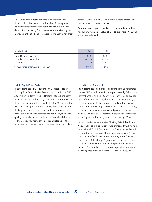Treasury shares in 2011 were held in connection with the executive share compensation plan. Treasury shares held by key management in 2011 were not available for distribution. In 2011 50'000 shares were exercised by key management, 125'000 shares were sold to Schwartau Inter - national GmbH & Co KG. The executive share compensation plan was terminated in 2011.

Common stock represents all of the registered and authorized shares with a par value of CHF 10 per share. All issued shares are fully paid.

| b) Hybrid capital                          | 2012    | 2011    |
|--------------------------------------------|---------|---------|
| Hybrid Capital Third Party                 | 490 315 | 490 315 |
| Hybrid Capital Shareholder                 | 120 000 | 50 000  |
| Tax effect                                 | 1000    | 1827    |
| <b>TOTAL HYBRID CAPITAL AT DECEMBER 31</b> | 611 315 | 542 142 |

#### **Hybrid Capital Third Party**

In 2010 Hero issued CHF 100 million Undated Fixed to Floating Rate Subordinated Bonds in addition to the CHF 400 million Undated Fixed to Floating Rate Subordinated Bonds issued in October 2009. The bonds bear interest on their principal amount at a fixed rate of 6.5% p.a. from the payment date up to October 28, 2016, and thereafter at a floating interest rate. The terms and conditions of the bonds are such, that in accordance with IAS 32, the bonds qualify for treatment as equity in the financial statements of the Group. Payments of the coupons relating to the bonds are recorded as dividend payments to shareholders.

#### **Hybrid Capital Shareholder**

In 2012 Hero issued an undated Floating Rate Subordinated Note of CHF 70 million which was purchased by Schwartau International GmbH, Bad Schwartau. The terms and conditions of the note are such, that in accordance with IAS 32, the note qualifies for treatment as equity in the financial statements of the Group. Payments of the interest relating to the note are recorded as dividend payments to shareholders. The note bears interest on its principal amount at a floating rate of the one-year CHF Libor plus 5.0% p.a.

In 2011 Hero issued an undated Floating Rate Subordinated Note of CHF 50 million which was purchased by Schwartau International GmbH, Bad Schwartau. The terms and conditions of the note are such, that in accordance with IAS 32, the note qualifies for treatment as equity in the financial statements of the Group. Payments of the interest relating to the note are recorded as dividend payments to shareholders. The note bears interest on its principal amount at a floating rate of the one-year CHF Libor plus 5.0% p.a.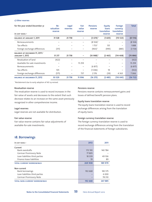#### **c) Other reserves**

| for the year ended December 31<br>in CHF 1000.-         | Re-<br>valuation<br>reserve | Legal<br>reserves | Fair<br>value<br>reserve | <b>Pensions</b><br>reserve | Equity<br>loans<br>translation<br>reserve | Foreign<br>currency<br>translation<br>reserve | <b>Total</b> |
|---------------------------------------------------------|-----------------------------|-------------------|--------------------------|----------------------------|-------------------------------------------|-----------------------------------------------|--------------|
| <b>BALANCE AT JANUARY 1, 2011</b>                       | 31 5 28                     | 25 758            |                          | $(3.674)$ <sup>"</sup>     | (1605)                                    | (113 523)                                     | (61516)      |
| Remeasurements                                          |                             |                   |                          | $(8104)^{n}$               |                                           | $\overline{\phantom{m}}$                      | (8104)       |
| Tax effects                                             |                             |                   |                          | $1753^{1}$                 | 135                                       |                                               | 1888         |
| Foreign exchange differences                            | (311)                       |                   |                          | $(963)^{n}$                | (995)                                     | (885)                                         | (3154)       |
| BALANCE AT DECEMBER 31, 2011/<br><b>JANUARY 1, 2012</b> | 31 217                      | 25 758            |                          | $(10988)$ <sup>"</sup>     | (2, 465)                                  | (114 408)                                     | (70886)      |
| Revaluation of land                                     | (422)                       |                   |                          |                            |                                           | $\overline{\phantom{m}}$                      | (422)        |
| Available-for-sale investments                          |                             |                   | 15 25 9                  |                            |                                           | $\overline{\phantom{m}}$                      | 15 2 5 9     |
| Remeasurements                                          |                             |                   |                          | (6 817)                    |                                           |                                               | (6 817)      |
| Tax effects                                             | 105                         |                   | $\overline{\phantom{m}}$ | (1046)                     | 19                                        | $\overline{\phantom{m}}$                      | (922)        |
| Foreign exchange differences                            | (571)                       |                   | 737                      | 2 5 7 6                    | (39)                                      | 4 3 6 3                                       | 7066         |
| <b>BALANCE AT DECEMBER 31, 2012</b>                     | 30 329                      | 25 758            | 15 9 9 6                 | (16 275)                   | (2485)                                    | (110045)                                      | (56 722)     |

<sup>1</sup> Restatement due to early adoption of IAS 19 revised.

#### **Revaluation reserve**

The revaluation reserve is used to record increases in the fair value of assets and decreases to the extent that such de crease relates to an increase on the same asset previously recognized in other comprehensive income.

#### **Legal reserves**

Legal reserves are not available for distribution.

#### **Fair value reserve**

Fair value reserve contains fair value adjustments of available-for-sale investments.

#### **Pensions reserve**

Pensions reserve contains remeasurement gains and losses of defined benefit pension plans.

#### **Equity loans translation reserve**

The equity loans translation reserve is used to record exchange differences arising from the translation of equity loans.

#### **Foreign currency translation reserve**

The foreign currency translation reserve is used to record exchange differences arising from the translation of the financial statements of foreign subsidiaries.

### **18. Borrowings**

| in CHF 1000.-                       | 2012     | 2011    |
|-------------------------------------|----------|---------|
|                                     |          |         |
| Current                             |          |         |
| Bank overdrafts                     | 173 745  | 140 784 |
| <b>German Promissory Note</b>       | 77805    |         |
| Loan liabilities third parties      | 18 3 3 9 | 49 10 6 |
| Finance lease liabilities           | 19       | 89      |
| <b>TOTAL CURRENT BORROWINGS</b>     | 269 908  | 189 979 |
| Non-current                         |          |         |
| Bank borrowings                     | 192 668  | 183 575 |
| Loan liabilities third parties      |          | 6000    |
| <b>German Promissory Note</b>       |          | 78 310  |
| <b>TOTAL NON-CURRENT BORROWINGS</b> | 192 668  | 267885  |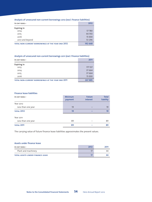#### **Analysis of unsecured non-current borrowings 2012 (excl. Finance liabilities)**

| in CHF 1000.-                                            | 2012     |
|----------------------------------------------------------|----------|
| Expiring in                                              |          |
| 2014                                                     | 57 780   |
| 2015                                                     | 66 592   |
| 2016                                                     | 15 0 0 0 |
| 2017 and beyond                                          | 53 2 9 6 |
| <b>TOTAL NON-CURRENT BORROWINGS AT THE YEAR END 2012</b> | 192 668  |

### **Analysis of unsecured non-current borrowings 2011 (excl. Finance liabilities)**

| in CHF 1000.-                                            | 2011     |
|----------------------------------------------------------|----------|
| Expiring in                                              |          |
| 2013                                                     | 177 557  |
| 2014                                                     | 37 6 6 4 |
| 2015                                                     | 37 6 6 4 |
| 2016                                                     | 15 000   |
| <b>TOTAL NON-CURRENT BORROWINGS AT THE YEAR END 2011</b> | 267885   |

#### **Finance lease liabilities**

| in CHF 1000 .-     | <b>Minimum</b><br>payment | <b>Future</b><br>interest | <b>Total</b><br>liability |
|--------------------|---------------------------|---------------------------|---------------------------|
| Year 2012          |                           |                           |                           |
| Less than one year | 19                        |                           | 19                        |
| <b>TOTAL 2012</b>  | 19                        |                           | 19                        |
| Year 2011          |                           |                           |                           |
| Less than one year | 89                        |                           | 89                        |
| <b>TOTAL 2011</b>  | 89                        |                           | 89                        |

The carrying value of future finance lease liabilities approximates the present values.

#### **Assets under finance lease**

| in CHF 1000. $-$                        | 2012 | 2011 |
|-----------------------------------------|------|------|
| Plant and machinery                     |      | 44   |
| <b>TOTAL ASSETS UNDER FINANCE LEASE</b> |      | 44   |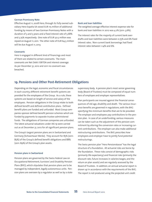#### **German Promissory Note**

Effective August 11, 2008 Hero, through its fully owned subsidiary Hero España SA raised EUR 115 million of additional funding by means of two German Promissory Notes with a duration of 3 and 5 years and a fixed interest rate of 5.68% and 5.75% respectively. One note of EUR 50.5 million was repaid on August 11, 2011. The other note of EUR 64.5 million will be due August 11, 2013.

#### **Covenants**

Hero is engaged in different kind of financings and most of them are related to certain covenants. The main covenants are Net Debt / EBITDA and interest coverage. As per December 31, 2012 and 2011 no covenant was breached.

#### **Bank and loan liabilities**

The weighted average effective interest expense rate for bank and loan liabilities in 2012 was 4.2% (2011: 3.6%).

The interest rates for the majority of current bank overdrafts and loan liabilities were between 0.75% and 6% fixed interest rates. Non-current bank borrowings had fixed interest rates between 1.14% and 6%.

### **19. Pensions and Other Post-Retirement Obligations**

Depending on the legal, economic and fiscal circumstances in each country, different retirement benefit systems are provided for the employees of the Group. As a rule, these systems are based on length of service and salary of the employees. Pension obligations in the Group relate to both defined benefit and defined contribution plans. Defined benefit plans are funded and unfunded. Most Group companies sponsor defined benefit pension schemes which are funded by payments to separate trustee-administered funds. The obligations of German companies are unfunded. The latest actuarial valuations under IAS 19 were carried out as at December 31, 2012 for all significant pension plans.

The Group's largest pension plans are in Switzerland and Germany (Schwartauer Werke). They account for 85% (2011: 85%) of the Group's defined benefit obligations and 88% (2011: 89%) of the Group's plan assets.

#### **Pension plans in Switzerland**

Pension plans are governed by the Swiss Federal Law on Occupational Retirement, Survivors' and Disability Pension Plans (BVG), which stipulates that pension plans are to be managed by independent, legally autonomous units. Pension plans are overseen by a regulator as well as by a state supervisory body. A pension plan's most senior governing body (Board of Trustees) must be composed of equal numbers of employee and employer representatives.

Plan participants are insured against the financial consequences of old age, disability and death. The various insurance benefits are governed in regulations, with the BVG specifying the minimum benefits that are to be provided. The employer and employees pay contributions to the pension plan. In case of an underfunding, various measures can be taken such as the adjustment of the pension commitment by altering the conversion rates or increasing current contributions. The employer can also make additional restructuring contributions. The BVG prescribes how employees and employer have to jointly fund potential restructurings.

The Swiss pension plan "Hero Pensionskasse" has the legal structure of a foundation. All actuarial risks are borne by the foundation. These risks consist of demographic risks (primarily life expectancy) and financial risks (primarily the discount rate, future increases in salaries/wages, and the return on plan assets) and are regularly assessed by the Board of Trustees. In addition, an annual actuarial report is drawn up in accordance with the requirements of the BVG. The report is not produced using the projected unit credit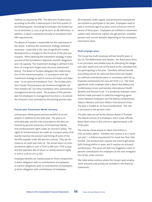method, as required by IFRS. The definitive funded status according to the BVG is determined in the first quarter of the following year. According to estimates, the funded status at December 31, 2012, is 96.1% (2011: 91.7%, definitive). In addition, a report is prepared annually in accordance with IFRS requirements.

The Board of Trustees is responsible for the investment of the assets. It defines the investment strategy whenever necessary – especially in the case of significant market developments or changes to the structure of the plan participants. When defining the investment strategy, it takes account of the foundation's objectives, benefit obligations and risk capacity. The investment strategy is defined in the form of a long-term target asset structure (investment policy). The Board of Trustees delegates the implementation of the investment policy – in accordance with the investment strategy as well as various principles and objectives – to an external Investment Trust. The funded plans also include "Pensionskasse der Direktionsmitglieder der Hero Schweiz AG" (an extra-mandatory, semi-autonomous management pension plan). The purpose of this pension plan for employees in management functions is to extend the insurance cover provided by the existing pension plan.

#### **Pension plan Schwartauer Werke, Germany**

Schwartauer Werke grants pension benefits to its em ployees in addition to the state plan. The plan is an unfunded plan and the risks associated to the plan are covered by pension provisions of Schwartauer Werke, and reimbursement rights under an insurance policy. The rights to reimbursement are under an insurance policy that exactly matches the amount and timing of some of the benefits payable under the pension scheme. They are disclosed as an asset (see note 12). The actual return on reimbursement rights in 2012 is TCHF 4 086 (2011: TCHF 4 054) and the expected rate of return on reimbursement rights in 2012 is 3.5% (in 2011 4.0%).

Employee benefits are mainly based on three components: 1) direct obligation with no contributions of employees; 2) indirect obligations with no contributions of employees; 3) direct obligation with contributions of employees.

All employees under regular and permanent employment are entitled to participate in the plan. Employees need to have a minimum age of 30 years and a minimum time of service of three years. Employees are entitled to retirement capital, early retirement capital, old-age pension, invalidity pension and survivor benefits depending on the employees reinsurance value.

#### **Multi-employer plans**

The Group has multi-employer defined benefit plans in the US, The Netherlands and Sweden. For these plans there is no consistent and reliable basis for allocating the obligation, plan assets and cost of the plans to the individual entities participating in the plan. Therefore, defined benefit accounting cannot be used and these plans are treated as a defined contribution plans in accordance with IAS 19. Expected contributions for 2013 are TCHF 2 121. The most significant multi-employer plan is Beech-Nut Bakery and Confectionery Union and Industry International Health Benefits and Pension Fund. It is funded by employer contributions made pursuant to collective bargaining agreements between employers and the Bakery, Confectionary, Tobacco Workers and Grain Millers International Union. The plan is funded on an hours worked basis. The rate is set based on the pension rules.

The plan rates are set by the Pension Board of Trustees. This Board consists of 6 employers and 6 union officials. Beech-Nut's share in the scheme is approximately 0.2% of the plan.

The scheme shows based on latest information a USD 3.6 billion deficit. Therefore the scheme is in a "workout plan" – a federal requirement for funds less than 65% funded. The workout plan requires the fund to get above 65% funding within 10 years and it requires an actuarial certified plan. This work-out plan has triggered a reset of pension contributions for employers at the next renegotiation of the union contract.

The table below outlines where the Group's post-employment amounts and activity are included in the financial statements: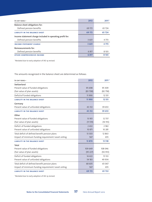| $\overline{1}$ n CHF 1000 –                               | 2012   | 2011'   |
|-----------------------------------------------------------|--------|---------|
| Balance sheet obligations for:                            |        |         |
| Defined pension benefits                                  | 69 172 | 65 724  |
| <b>LIABILITY IN THE BALANCE SHEET</b>                     | 69 172 | 65 724  |
| Income statement charge included in operating profit for: |        |         |
| Defined pension benefits                                  | 3 601  | 4 7 7 3 |
| <b>INCOME STATEMENT CHARGE</b>                            | 3 601  | 4 773   |
| Remeasurements for:                                       |        |         |
| Defined pension benefits                                  | 6 8 17 | 8 1 0 3 |
| <b>OTHER COMPREHENSIVE INCOME</b>                         | 6 817  | 8 103   |

<sup>\*</sup>) Restated due to early adoption of IAS 19 revised.

The amounts recognized in the balance sheet are determined as follows:

| in CHF 1000.-                                         | 2012     | 2011'    |
|-------------------------------------------------------|----------|----------|
| Switzerland                                           |          |          |
| Present value of funded obligations                   | 95 698   | 95 30 9  |
| (Fair value of plan assets)                           | (83708)  | (82 758) |
| Deficit of funded obligations                         | 11990    | 12 5 51  |
| <b>LIABILITY IN THE BALANCE SHEET</b>                 | 11990    | 12 5 51  |
| Germany                                               |          |          |
| Present value of unfunded obligations                 | 43 312   | 39 653   |
| <b>LIABILITY IN THE BALANCE SHEET</b>                 | 43 312   | 39 653   |
| Other                                                 |          |          |
| Present value of funded obligations                   | 13 9 51  | 12737    |
| (Fair value of plan assets)                           | (11 519) | (10155)  |
| Deficit of funded obligations                         | 2 4 3 2  | 2582     |
| Present value of unfunded obligations                 | 10 871   | 10 281   |
| Total deficit of defined benefit pension plans        | 13 3 0 3 | 12863    |
| Impact of minimum funding requirement / asset ceiling | 567      | 655      |
| <b>LIABILITY IN THE BALANCE SHEET</b>                 | 13 870   | 13 518   |
| Total                                                 |          |          |
| Present value of funded obligations                   | 109 649  | 108 046  |
| (Fair value of plan assets)                           | (95 227) | (92913)  |
| Deficit of funded obligations                         | 14 4 22  | 15 13 3  |
| Present value of unfunded obligations                 | 54 183   | 49 934   |
| Total deficit of defined benefit pension plans        | 68 605   | 65 0 67  |
| Impact of minimum funding requirement / asset ceiling | 567      | 655      |
| <b>LIABILITY IN THE BALANCE SHEET</b>                 | 69 172   | 65722    |

<sup>1</sup> Restated due to early adoption of IAS 19 revised.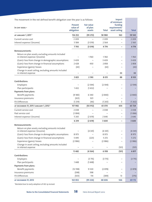| The movement in the net defined benefit obligation over the year is as follows: |                                   |                                        | Impact<br>of minimum |                                          |         |
|---------------------------------------------------------------------------------|-----------------------------------|----------------------------------------|----------------------|------------------------------------------|---------|
| in CHF 1000.-                                                                   | Present<br>value of<br>obligation | <b>Fair value</b><br>of plan<br>assets | <b>Total</b>         | funding<br>requirement/<br>asset ceiling | Total   |
| AT JANUARY 1, 2011 <sup>'</sup>                                                 | 154 252                           | (95 272)                               | 58 980               | 563                                      | 59 543  |
| Current service cost                                                            | 2 2 0 9                           |                                        | 2 2 0 9              | $\qquad \qquad -$                        | 2 2 0 9 |
| Interest expense / (income)                                                     | 5 5 8 4                           | (3 019)                                | 2 5 6 4              |                                          | 2 5 6 5 |
|                                                                                 | 7 793                             | (3 019)                                | 4 7 7 4              | -                                        | 4 7 7 4 |
| Remeasurements:                                                                 |                                   |                                        |                      |                                          |         |
| Return on plan assets, excluding amounts included                               |                                   |                                        |                      |                                          |         |
| in interest expense / (income)                                                  |                                   | 1760                                   | 1760                 |                                          | 1760    |
| (Gain) / loss from change in demographic assumptions                            | 3439                              |                                        | 3439                 |                                          | 3 4 3 9 |
| (Gain) / loss from change in financial assumptions                              | 2428                              | 430                                    | 2858                 |                                          | 2858    |
| Experience (gains) / losses                                                     | (42)                              |                                        | (42)                 |                                          | (42)    |
| Change in asset ceiling, excluding amounts included                             |                                   |                                        |                      |                                          |         |
| in interest expense                                                             |                                   |                                        |                      | 88                                       | 88      |
|                                                                                 | 5825                              | 2 1 9 0                                | 8 0 1 5              | 88                                       | 8 1 0 3 |
| Contributions:                                                                  |                                   |                                        |                      |                                          |         |
| Employers                                                                       |                                   | (2594)                                 | (2594)               |                                          | (2594)  |
| Plan participants                                                               | 1432                              | (1432)                                 |                      |                                          |         |
| Payments from plans:                                                            |                                   |                                        |                      |                                          |         |
| Benefit payments                                                                | (9180)                            | 6 3 4 0                                | (2840)               |                                          | (2840)  |
| Insurance premiums                                                              | (921)                             | 921                                    |                      |                                          |         |
| FX-Differences                                                                  | (1219)                            | (46)                                   | (1265)               | 3                                        | (1262)  |
| AT DECEMBER 31, 2011 / JANUARY 1, 2012 <sup>"</sup>                             | 157 982                           | (92912)                                | 65 070               | 654                                      | 65 724  |
| Current service cost                                                            | 2038                              |                                        | 2038                 | $\qquad \qquad -$                        | 2038    |
| Past service cost                                                               | (1084)                            |                                        |                      | —                                        | (1084)  |
| Interest expense / (income)                                                     | 5 2 6 5                           | (2619)                                 | 2646                 |                                          | 2646    |
|                                                                                 | 6 2 19                            | (2619)                                 | 3600                 | $\overline{\phantom{0}}$                 | 3 600   |
| Remeasurements:                                                                 |                                   |                                        |                      |                                          |         |
| Return on plan assets, excluding amounts included                               |                                   |                                        |                      |                                          |         |
| in interest expense / (income)                                                  |                                   | (4341)                                 | (4341)               |                                          | (4341)  |
| (Gain) / loss from change in demographic assumptions                            | 8 9 7 3                           |                                        | 8 9 7 3              |                                          | 8 9 7 3 |
| (Gain) / loss from change in financial assumptions                              | 5495                              | (223)                                  | 5 2 7 2              |                                          | 5 2 7 2 |
| Experience (gains) / losses                                                     | (2986)                            |                                        | (2986)               |                                          | (2986)  |
| Change in asset ceiling, excluding amounts included<br>in interest expense      |                                   |                                        |                      | (101)                                    | (101)   |
|                                                                                 | 11482                             | (4564)                                 | 6918                 | (101)                                    | 6 8 17  |
| Contributions:                                                                  |                                   |                                        |                      |                                          |         |
| Employers                                                                       |                                   | (3715)                                 | (3715)               |                                          | (3 715) |
| Plan participants                                                               | 1448                              | (1448)                                 |                      |                                          |         |
| Payments from plans:                                                            |                                   |                                        |                      |                                          |         |
| Benefit payments                                                                | (12198)                           | 9 3 2 0                                | (2878)               |                                          | (2878)  |
| Insurance premiums                                                              | (598)                             | 598                                    |                      |                                          |         |
| FX-Differences                                                                  | (503)                             | 114                                    | (389)                | 13                                       | (376)   |
| AT DECEMBER 31, 2012                                                            | 163 832                           | (95 226)                               | 68 606               | 566                                      | 69 172  |

\*) Restated due to early adoption of IAS 19 revised.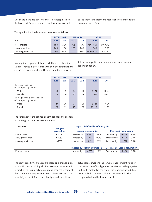One of the plans has a surplus that is not recognised on the basis that future economic benefits are not available to the entity in the form of a reduction in future contributions or a cash refund.

The significant actuarial assumptions were as follows:

|                     | <b>SWITZERLAND</b> |      | <b>GERMANY</b> |      |               | <b>OTHER</b>  |
|---------------------|--------------------|------|----------------|------|---------------|---------------|
| in $%$              | 2012               | 2011 | 2012           | 2011 | 2012          | 2011          |
| Discount rate       | 1.90               | 2.60 | 3.75           | 4.75 | $3.50 - 4.20$ | $4.00 - 4.90$ |
| Salary growth rate  | 1.00               | 1.00 | 1.00           | 1.00 | 0.00          | 0.00          |
| Pension growth rate | 0.00               | 0.00 | 2.00           | 2.00 | $0.00 - 2.40$ | $0.00 - 2.20$ |

Assumptions regarding future mortality are set based on actuarial advice in accordance with published statistics and experience in each territory. These assumptions translate

into an average life expectancy in years for a pensioner retiring at age 65:

|                                                             | <b>SWITZERLAND</b> |      | <b>GERMANY</b> |      | <b>OTHER</b> |           |
|-------------------------------------------------------------|--------------------|------|----------------|------|--------------|-----------|
|                                                             | 2012               | 2011 | 2012           | 2011 | 2012         | 2011      |
| Retiring at the end<br>of the reporting period:             |                    |      |                |      |              |           |
| Male                                                        | 21                 | 21   | 19             | 19   | $21 - 23$    | $21 - 23$ |
| Female                                                      | 24                 | 24   | 23             | 23   | $22 - 25$    | $22 - 25$ |
| Retiring 20 years after the end<br>of the reporting period: |                    |      |                |      |              |           |
| Male                                                        | 23                 | 20   | 21             | 21   | $19 - 24$    | $18 - 24$ |
| Female                                                      | 25                 | 23   | 25             | 25   | $20 - 26$    | $19 - 26$ |

The sensitivity of the defined benefit obligation to changes in the weighted principal assumptions is:

| in CHF 1000.-       | Impact of defined benefit obligation                                 |                                                          |         |      |             |                        |      |  |
|---------------------|----------------------------------------------------------------------|----------------------------------------------------------|---------|------|-------------|------------------------|------|--|
|                     | Change in<br>assumption                                              | Increase in assumption                                   |         |      |             | Decrease in assumption |      |  |
| Discount rate       | 0.50%                                                                | Decrease by                                              | 9693    | 5.9% | Increase by | 10 948                 | 6.7% |  |
| Salary growth rate  | 0.50%                                                                | Increase by                                              | 1429    | 0.9% | Decrease by | 1429                   | 0.9% |  |
| Pension growth rate | 0.25%                                                                | Increase by                                              | 4 1 3 1 | 2.5% | Decrease by | 1371                   | 0.8% |  |
|                     | Increase by 1 year in assumption<br>Decrease by 1 year in assumption |                                                          |         |      |             |                        |      |  |
| Life expectancy     |                                                                      | 4 5 9 5<br>2.8%<br>4 3 7 9<br>Decrease by<br>Increase by |         |      |             |                        |      |  |

The above sensitivity analyses are based on a change in an assumption while holding all other assumptions constant. In practice, this is unlikely to occur, and changes in some of the assumptions may be correlated. When calculating the sensitivity of the defined benefit obligation to significant

actuarial assumptions the same method (present value of the defined benefit obligation calculated with the projected unit credit method at the end of the reporting period) has been applied as when calculating the pension liability recognised within the balance sheet.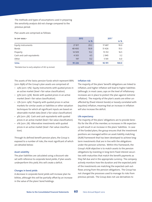The methods and types of assumptions used in preparing the sensitivity analysis did not change compared to the previous period.

Plan assets are comprised as follows:

| in CHF 1000 .-            | 2012     |       | $2011$ <sup><math>'</math></sup> |        |
|---------------------------|----------|-------|----------------------------------|--------|
|                           |          | in %  |                                  | in $%$ |
| Equity instruments        | 27 817   | 29.2  | 17687                            | 19.0   |
| Bonds                     | 48 400   | 50.9  | 51426                            | 55.3   |
| Property                  | 14 5 0 9 | 15.2  | 15 312                           | 16.5   |
| Cash and cash equivalents | 4 3 0 3  | 4.5   | 2945                             | 3.2    |
| Other                     | 197      | 0.2   | 5 5 4 1                          | 6.0    |
| <b>TOTAL</b>              | 95 2 2 6 | 100.0 | 92 911                           | 100.0  |

<sup>1</sup> Restated due to early adoption of IAS 19 revised.

The assets of the Swiss pension funds which represent 88% (2011: 89%) of the Group's plan assets are comprised of:

- 23% (2011: 17%) Equity instruments with quoted prices in an active market (level 1 fair value classification).
- 55% (2011: 55%) Bonds with quoted prices in an active market (level 1 fair value classification).
- 17% (2011: 19%) Property with quoted prices in active markets for similar assets or liabilities or other valuation techniques for which all significant inputs are based on observable market data (level 2 fair value classification)
- 4% (2011: 3%) Cash and cash equivalents with quoted prices in an active market (level 1 fair value classification).
- 0% (2011: 7%) Alternative investments with quoted prices in an active market (level 1 fair value classification).

Through its defined benefit pension plans, the Group is exposed to a number of risks, the most significant of which are detailed below:

#### **Asset volatility**

The plan liabilities are calculated using a discount rate set with reference to corporate bond yields; if plan assets underperform this yield, this will create a deficit.

#### **Changes in bond yields**

A decrease in corporate bond yields will increase plan liabilities, although this will be partially offset by an increase in the value of the plans' bond holdings.

#### **Inflation risk**

The majority of the plans' benefit obligations are linked to inflation, and higher inflation will lead to higher liabilities (although, in most cases, caps on the level of inflationary increases are in place to protect the plan against extreme inflation). The majority of the plan's assets are either unaffected by (fixed interest bonds) or loosely correlated with (equities) inflation, meaning that an increase in inflation will also increase the deficit.

#### **Life expectancy**

The majority of the plans' obligations are to provide benefits for the life of the member, so increases in life expectancy will result in an increase in the plans' liabilities. In case of the funded plans, the group ensures that the investment positions are managed within an asset-liability matching (ALM) framework that has been developed to achieve longterm investments that are in line with the obligations under the pension schemes. Within this framework, the Group's ALM objective is to match assets to the pension obligations by investing in long-term fixed interest securities with maturities that match the benefit payments as they fall due and in the appropriate currency. The company actively monitors how the duration and the expected yield of the investments are matching the expected cash outflows arising from the pension obligations. The Group has not changed the processes used to manage its risks from previous periods. The Group does not use derivatives to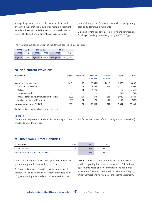manage its pension scheme risk. Investments are well diversified, such that the failure of any single investment would not have a material impact on the overall level of assets. The largest proportion of assets is invested in

bonds, although the Group also invests in property, equity, cash and alternative investments.

Expected contributions to post-employment benefit plans for the year ending December 31, 2013 are TCHF 2'531.

The weighted average durations of the defined benefit obligations are:

|      | <b>SWITZERLAND</b> | <b>GERMANY</b> |      |                                                             | <b>OTHER</b> |
|------|--------------------|----------------|------|-------------------------------------------------------------|--------------|
| 2012 | 2011               | 2012           | 2011 | 2012                                                        | 2011         |
|      |                    |                |      | 12 years 11 years 11 years 11 years 13-25 years 13-25 years |              |

### **20. Non-current Provisions**

| in CHF 1000 .-                              | <b>Taxes</b> | Litigation | <b>Pension</b><br>schemes | Social<br><b>Security</b> | Other   | Total   |
|---------------------------------------------|--------------|------------|---------------------------|---------------------------|---------|---------|
| Balance at January 1, 2012                  | 2 0 1 7      | 85         | $65,453$ <sup>*</sup>     | 1626                      | 1685    | 70 866  |
| Additional provisions                       | 107          | 5          | 3 5 9 7                   | 176                       | 4 3 7 0 | 8 2 5 5 |
| Utilized                                    |              | (4)        | (3498)                    | $\overline{\phantom{m}}$  | (469)   | (3971)  |
| Subsidiaries sold                           |              |            |                           |                           | (93)    | (93)    |
| Unused amounts reversed / reclassifications | (1829)       | (31)       | 1234                      | (512)                     | 2982    | 1844    |
| Foreign exchange differences                | (35)         | (4)        | (279)                     | (13)                      | (21)    | (352)   |
| BALANCE AT DECEMBER 31, 2012                | 260          | 51         | 66 507                    | 1 2 7 7                   | 8454    | 76 549  |

<sup>1</sup> Restatement due to early adoption of IAS 19 revised.

#### **Litigation**

The amounts represent a provision for certain legal claims brought against the Group.

For further narratives refer to note 23 (Current Provisions).

### **21. Other Non-current Liabilities**

| in CHF 1000. $-$                           | <b>Note</b> | 2012    | 2011   |
|--------------------------------------------|-------------|---------|--------|
| Other liabilities                          | 26          | 27 34 6 | 33 715 |
| <b>TOTAL OTHER NON-CURRENT LIABILITIES</b> |             | 27 34 6 | 33 715 |

Other non-current liabilities consist primarily of deferred government grant income and license fees.

CHF 20.4 million was reclassified to other non-current liabilities in 2011 to reflect an alternative classification of US government grants as related to income rather than

assets. This classification was due to a change in estimation regarding the economic substance of the relevant agreements based on new information and additional experience. There was no impact to Shareholders' Equity, Other Comprehensive Income or the Income Statement.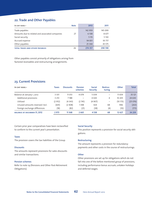### **22. Trade and Other Payables**

| in CHF 1000.-                                   | <b>Note</b> | 2012     | 2011    |
|-------------------------------------------------|-------------|----------|---------|
| Trade payables                                  |             | 142 959  | 145 099 |
| Amounts due to related and associated companies | 27          | 6 1 0 8  | 8677    |
| Social security                                 |             | 5 1 1 5  | 5 1 3 0 |
| Accrued expense                                 |             | 94 831   | 93 717  |
| Other payables                                  |             | 25 3 4 4 | 45 575  |
| <b>TOTAL TRADE AND OTHER PAYABLES</b>           | 26          | 274 357  | 298 198 |

Other payables consist primarily of obligations arising from factored receivables and restructuring arrangements.

### **23. Current Provisions**

| in CHF 1000.-                       | Taxes   | <b>Discounts</b> | <b>Pension</b><br>schemes | Social<br><b>Security</b> | Restruc-<br>turing | Other   | <b>Total</b> |
|-------------------------------------|---------|------------------|---------------------------|---------------------------|--------------------|---------|--------------|
| Balance at January 1, 2012          | 3 3 3 1 | 11 0 13          | 4 0 7 9                   | 5039                      |                    | 11 659  | 35 121       |
| Additional provisions               | 3 2 1 3 | 7188             | $\overline{\phantom{m}}$  | 4020                      | 4                  | 10 205  | 24 630       |
| Utilized                            | (2 912) | (4343)           | (2741)                    | (4907)                    | $\qquad \qquad -$  | (10173) | (25076)      |
| Unused amounts reversed / recl.     | (641)   | (2408)           | 1348                      | 424                       | 68                 | 946     | (263)        |
| Foreign exchange differences        | (18)    | (82)             | (21)                      | (38)                      | (4)                | (10)    | (173)        |
| <b>BALANCE AT DECEMBER 31, 2012</b> | 2973    | 11 3 6 8         | 2665                      | 4 5 3 8                   | 68                 | 12 627  | 34 23 9      |

Certain prior year comparatives have been reclassified to conform to the current year's presentation.

#### **Taxes**

The provision covers the tax liabilities of the Group.

#### **Discounts**

The amounts represent provisions for sales discounts and similar transactions.

#### **Pension schemes**

Refer to note 19 (Pensions and Other Post-Retirement Obligations).

#### **Social Security**

This position represents a provision for social security obligations.

#### **Restructuring**

The amount represents a provision for redundancy payments and other costs in the course of restructurings.

#### **Other**

Other provisions are set up for obligations which do not fall into one of the before mentioned group of provisions, including performance bonus accruals, untaken holidays and deferred wages.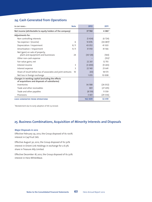# **24. Cash Generated from Operations**

| in CHF 1000.-                                                                                       | <b>Note</b> | 2012    | 2011          |
|-----------------------------------------------------------------------------------------------------|-------------|---------|---------------|
| Net income (attributable to equity holders of the company)                                          |             | 37740   | 4 3 8 0 1     |
| Adjustments for:                                                                                    |             |         |               |
| Non-controlling interests                                                                           |             | (5434)  | (6724)        |
| Tax expense / (income)                                                                              | 6           | 10 876  | $(34087)^{n}$ |
| Depreciation / Impairment                                                                           | 8, 11       | 43 0 52 | 41303         |
| Amortization / Impairment                                                                           | 9,11        | 31 910  | 41166         |
| Net (gain) on sale of property,<br>plant and equipment and businesses                               | 24          | (30128) | (164)         |
| Other non-cash expense                                                                              |             |         | $(153)^{1}$   |
| Fair value gains, net                                                                               |             | 22 2 61 | 12 755        |
| Interest income                                                                                     | 3           | (3690)  | (9, 265)      |
| Interest expense                                                                                    | 3           | 22 14 0 | 25 641        |
| Share of result before tax of associates and joint-ventures                                         | 10          | (43)    | 18 573        |
| Net loss in foreign exchange                                                                        |             | 1055    | 10 008        |
| Changes in working capital (excluding the effects<br>of acquisitions and disposals of subsidiaries) |             |         |               |
| Inventories                                                                                         |             | 36 588  | (26032)       |
| Trade and other receivables                                                                         |             | 801     | (27 205)      |
| Trade and other payables                                                                            |             | (8519)  | 11 5 5 9      |
| Provisions                                                                                          |             | 3 4 0 1 | (29336)       |
| <b>CASH GENERATED FROM OPERATIONS</b>                                                               |             | 162 009 | 32 419        |

<sup>1</sup> Restatement due to early adoption of IAS 19 revised.

### **25. Business Combinations, Acquisition of Minority Interests and Disposals**

#### **Major Disposals in 2012**

Effective February 29, 2012, the Group disposed of its 100% interest in Cap'Fruit SAS.

Effective August 30, 2012, the Group disposed of its 50% interest in Orient Link Holdings in exchange for a 6.5% share in Treasure Ally Limited.

Effective December 18, 2012, the Group disposed of its 50% interest in Hero WhiteWave.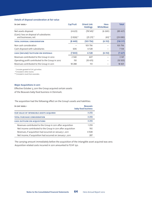#### **Details of disposal consideration at fair value**

| in CHF 1000 .-                                                   | Cap'Fruit             | <b>Orient Link</b><br><b>Holdings</b> | Hero<br><b>WhiteWave</b> | Total    |
|------------------------------------------------------------------|-----------------------|---------------------------------------|--------------------------|----------|
| Net assets disposed                                              | (4623)                | $(78545)^{^{\circ}}$                  | (6269)                   | (89437)  |
| (Gain) / loss on disposal of subsidiaries<br>and businesses, net | $(3826)$ <sup>"</sup> | $(25 211)^{n}$                        | $(43)$ "                 | (29080)  |
| <b>TOTAL DISPOSAL CONSIDERATION</b>                              | (8449)                | (103756)                              | (6312)                   | (118517) |
| Non cash consideration                                           |                       | 103 756                               |                          | 103 756  |
| Cash disposed with subsidiaries                                  | 606                   | 6528                                  |                          | 7 1 3 4  |
| CASH (INFLOW) / OUTFLOW ON DISPOSALS                             | (7843)                | 6 5 2 8                               | (6312)                   | (7627)   |
| Revenues contributed to the Group in 2012                        | 2 5 4 0               | 607                                   |                          | 3 1 4 7  |
| Operating profit contributed to the Group in 2012                | 110                   | (10615)                               |                          | (10 505) |
| Revenues contributed to the Group in 2011                        | 18 2 8 8              | 113                                   |                          | 18 401   |

\*) Includes goodwill of CHF 33.8 million.

\*\*) Included in other income.

\*\*\*) Included in result from associates.

#### **Major Acquisitions in 2011**

Effective October 3, 2011 the Group acquired certain assets

of the Beauvais baby food business in Denmark.

The acquisition had the following effect on the Group's assets and liabilities:

| in CHF 1000 .-                                                | <b>Beauvais</b><br>baby food business |
|---------------------------------------------------------------|---------------------------------------|
| FAIR VALUE OF INTANGIBLE ASSETS ACOUIRED                      | 3 2 7 2                               |
| <b>TOTAL PURCHASE CONSIDERATION</b>                           | 3 2 7 2                               |
| <b>CASH OUTFLOW ON ACOUISITIONS</b>                           | 3 2 7 2                               |
| Revenues contributed to the Group in 2011 after acquisition   | 1259                                  |
| Net income contributed to the Group in 2011 after acquisition | 192                                   |
| Revenues, if acquisition had occurred on January 1, 2011      | 4928                                  |
| Net income, if acquisition had occurred on January 1, 2011    | 287                                   |

The carrying amount immediately before the acquisition of the intangible asset acquired was zero. Acquisition related costs incurred in 2011 amounted to TCHF 150.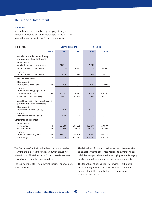### **26. Financial Instruments**

#### **Fair values**

Set out below is a comparison by category of carrying amounts and fair values of all the Group's financial instruments that are carried in the financial statements:

| in CHF 1000.-                                                                    |             |         | Carrying amount | <b>Fair value</b> |         |
|----------------------------------------------------------------------------------|-------------|---------|-----------------|-------------------|---------|
|                                                                                  | <b>Note</b> | 2012    | 2011            | 2012              | 2011    |
| Financial assets at fair value through<br>profit or loss - held for trading      |             |         |                 |                   |         |
| Non-current<br>Available-for-sale investments                                    |             | 115 742 |                 | 115 742           |         |
| Financial assets at fair value                                                   |             |         | 16 657          |                   | 16 657  |
| Current<br>Financial assets at fair value                                        |             | 1819    | 1488            | 1819              | 1488    |
| Loans and receivables                                                            |             |         |                 |                   |         |
| Non-current<br>Non-current receivables                                           | 12          | 7699    | 20 0 27         | 7699              | 20 027  |
| Current<br>Trade receivables, prepayments<br>and other receivables               |             |         |                 |                   |         |
|                                                                                  | 15          | 207 067 | 218 292         | 207 067           | 218 292 |
| Cash and cash equivalents                                                        | 16          | 227432  | 82736           | 227 423           | 82736   |
| Financial liabilities at fair value through<br>profit or loss - held for trading |             |         |                 |                   |         |
| Non-current<br>Derivative financial liability                                    |             | 5 0 9 1 |                 | 5 0 9 1           |         |
| Current<br>Derivative financial liabilities                                      |             | 1146    | 6 1 5 6         | 1146              | 6 15 6  |
| <b>Other financial liabilities</b>                                               |             |         |                 |                   |         |
| Non-current                                                                      |             |         |                 |                   |         |
| <b>Borrowings</b>                                                                | 18          | 192 668 | 267885          | 192 374           | 267 697 |
| Other liabilities                                                                | 21          | 27 3 46 | 33 715          | 27 34 6           | 33 715  |
| Current<br>Trade and other payables                                              | 22          | 274 357 | 298 198         | 274 357           | 298 188 |
| <b>Borrowings</b>                                                                | 18          | 269 908 | 189 979         | 269 908           | 189 979 |

The fair value of derivatives has been calculated by discounting the expected future cash flows at prevailing interest rates. The fair value of financial assets has been calculated using market interest rates.

The fair values of other non-current liabilities approximate their fair values.

The fair values of cash and cash equivalents, trade receivables, prepayments, other receivables and current financial liabilities are approximate to their carrying amounts largely due to the short-term maturities of these instruments.

The fair values of non-current borrowings is estimated by discounting future cash flows using rates currently available for debt on similar terms, credit risk and remaining maturities.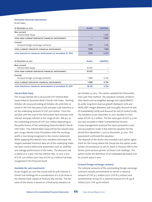#### **Derivative financial instruments**

**in chf 1000.–**

| at December 31, 2012                                        | <b>Assets</b> | <b>Liabilities</b> |
|-------------------------------------------------------------|---------------|--------------------|
| Non-current                                                 |               |                    |
| Interest-Rate Swap                                          |               | 5 0 9 1            |
| <b>TOTAL NON-CURRENT DERIVATIVE FINANCIAL INSTRUMENTS</b>   |               | 5091               |
| Current                                                     |               |                    |
| Forward foreign exchange contracts                          | 1819          | 1146               |
| <b>TOTAL CURRENT DERIVATIVE FINANCIAL INSTRUMENTS</b>       | 1819          | 1146               |
| TOTAL DERIVATIVE FINANCIAL INSTRUMENTS AT DECEMBER 31, 2012 | 1819          | 6 237              |

| at December 31, 2011                                               | <b>Assets</b> | <b>Liabilities</b> |
|--------------------------------------------------------------------|---------------|--------------------|
| Non-current                                                        |               |                    |
| Interest-Rate Swap                                                 | 16 657        |                    |
| <b>TOTAL NON-CURRENT DERIVATIVE FINANCIAL INSTRUMENTS</b>          | 16 657        |                    |
| Current                                                            |               |                    |
| Forward foreign exchange contracts                                 | 1488          | 6 15 6             |
| TOTAL CURRENT DERIVATIVE FINANCIAL INSTRUMENTS                     | 1488          | 6 15 6             |
| <b>TOTAL DERIVATIVE FINANCIAL INSTRUMENTS AT DECEMBER 31, 2011</b> | 18 145        | 6 15 6             |

#### **Interest-Rate Swap**

The Group entered into a structured CHF Interest-Rate Swap linked to Deutsche Bank's Trends USD Index. Starting October 28, 2009 and ending at October 28, 2016 Hero receives in the first two years 6.5% and pays 5.5% interest p. a. on the underlying amount of CHF 500 million. From the 3rd year until the end of the instrument Hero receives 6.5% interest and pays interest in the range of 0% – 8% p.a. on the underlying amount of CHF 500 million depending on the performance of the underlying Deutsche Bank's Trends USD Index. This Interest-Rate Swap will be fair valued every year using a Monte-Carlo-Simulation with the resulting profit or loss being recognized in the income statement. While applying this Monte-Carlo valuation technique the longest available historical data set of the underlying index has been used to determine parameters such as volatility and average performance of the index. The discount rate is based on a 7 year risk free interest rate. In 2012 a loss of CHF 27.6 million (2011: loss of CHF 13.2 million) has been recognized in the financial result.

#### **Available-for-sale investments**

As per August 30, 2012 the Group sold its 50% interest in Orient Link Holdings for a consideration of a 6.5% share in the diluted share capital of Treasury Ally Limited. The fair value of the shares is based on a third party valuation as

per October 31,2012. The valuers adopted the Discounted Free Cash Flow method. The valuation contains unobservable inputs such as weighted average cost capital(WACC) (15.20%), long-term revenue growth (between 110% and 187%), EBIT margin (between 33% and 44%), discount of lack of marketability (20%) and discount for lack of control (10%). The valuation as per December 31, 2012 resulted in a fair value of CHF 115.7 million. The fair value gain of CHF 15.3 million was recorded in Other Comprehensive Income. Group management assessed the input parameters used and assumptions made in the external valuation for the period from November 1, 2012 to December 31, 2012. This assessment confirmed the valuation.

The disposal of the shares also included a put option agreement for the Group, where the Group has the option under certain circumstances to sell its share in Treasure Ally to the former joint-venture partner of Orient Link Holdings. This option meets the definition of an embedded derivative and its current value is zero.

#### **Forward foreign exchange contracts**

The notional amounts of the outstanding foreign exchange contracts include commitments to sell for a notional amount of CHF 41.7 million (2011: CHF 81.3 million) and commitments to buy for a notional amount of CHF 431.6 million (2011: CHF 431.8 million).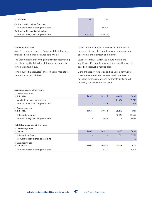| IN CHE 1000. $-$                    | 2012     | 2011      |
|-------------------------------------|----------|-----------|
| Contracts with positive fair values |          |           |
| Forward foreign exchange contracts  | 41908    | 80320     |
| Contracts with negative fair values |          |           |
| Forward foreign exchange contracts  | (431195) | (435 770) |

#### **Fair value hierarchy**

As at December 31, 2012, the Group held the following financial instruments measured at fair value:

The Group uses the following hierarchy for determining and disclosing the fair value of financial instruments by valuation technique:

Level 1: quoted (unadjusted) prices in active markets for identical assets or liabilities.

Level 2: other techniques for which all inputs which have a significant effect on the recorded fair value are observable, either directly or indirectly.

Level 3: techniques which use inputs which have a significant effect on the recorded fair value that are not based on observable market data.

During the reporting period ending December 31, 2012, there were no transfers between Level 1 and Level 2 fair value measurements, and no transfers into or out of Level 3 fair value measurements.

#### **Assets measured at fair value**

| at December 31, 2012               |                          |                          |                          |              |
|------------------------------------|--------------------------|--------------------------|--------------------------|--------------|
| in CHF 1000.-                      | Level 1                  | Level 2                  | Level 3                  | <b>Total</b> |
| Available-for-sale investments     |                          | $\overline{\phantom{0}}$ | 115 742                  | 115 742      |
| Forward foreign exchange contracts | $\overline{\phantom{m}}$ | 1819                     | —                        | 1819         |
| at December 31, 2011               |                          |                          |                          |              |
| in CHF 1000.-                      | Level 1                  | Level 2                  | Level 3                  | Total        |
| Interest-Rate Swap                 |                          |                          | 16 657                   | 16 657       |
| Forward foreign exchange contracts | $\overline{\phantom{m}}$ | 1488                     | $\overline{\phantom{0}}$ | 1488         |

#### **Liabilities measured at fair value**

| at December 31, 2012               |                          |                   |                          |              |
|------------------------------------|--------------------------|-------------------|--------------------------|--------------|
| in CHF 1000.-                      | Level 1                  | Level 2           | Level 3                  | <b>Total</b> |
| Interest-Rate Swap                 |                          | $\qquad \qquad -$ | 5 0 9 1                  | 5 0 9 1      |
| Forward foreign exchange contracts | $\overline{\phantom{m}}$ | 1146              | $\overline{\phantom{m}}$ | 1146         |
| at December 31, 2011               |                          |                   |                          |              |
| in CHF 1000.-                      | Level 1                  | Level 2           | Level 3                  | <b>Total</b> |
| Forward foreign exchange contracts |                          | 6 15 6            |                          | 6 15 6       |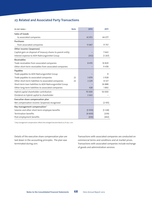# **27. Related and Associated Party Transactions**

| in CHF 1000.-                                                | <b>Note</b> | 2012    | 2011    |
|--------------------------------------------------------------|-------------|---------|---------|
| Sales of Goods                                               |             |         |         |
| to associated companies                                      |             | 42 872  | 44 077  |
| Purchases                                                    |             |         |         |
| from associated companies                                    |             | 13 8 67 | 17757   |
| Other income / (expenses)                                    |             |         |         |
| Capital gain on disposal of treasury shares to parent entity |             |         | 7663    |
| Interest expense to AOH Nahrungsmittel Group                 |             | (302)   | (1267)  |
| <b>Receivables</b>                                           |             |         |         |
| Trade receivables from associated companies                  |             | 8 4 7 0 | 10829   |
| Other short-term receivables from associated companies       |             |         | 11 478  |
| Payables                                                     |             |         |         |
| Trade payables to AOH Nahrungsmittel Group                   |             |         | 9       |
| Trade payables to associated companies                       | 22          | 3 8 7 9 | 3928    |
| Other short-term liabilities to associated companies         | 22          | 2 2 2 9 | 8 3 2 7 |
| Short-term loan liabilities to AOH Nahrungsmittel Group      |             |         | 36888   |
| Other long-term liabilities to associated companies          |             | 428     | 1892    |
| Hybrid capital shareholder contribution                      |             | 70 000  | 50 000  |
| Dividend on hybrid capital to shareholder                    |             | 2663    |         |
| Executive share compensation plan                            |             |         |         |
| Net compensation income / (expense) recognized               |             |         | (2105)  |
| Key management compensation <sup>3</sup>                     |             |         |         |
| Salaries and other short-term employee benefits              |             | (5939)  | (5328)  |
| Termination benefits                                         |             | (4600)  | (339)   |
| Post-employment benefits                                     |             | (616)   | (442)   |

\*) Key management compensation reflects the enlarged Executive Board as of July 1, 2011.

Details of the executive share compensation plan are laid down in the accounting principles. The plan was terminated during 2011.

Transactions with associated companies are conducted on commercial terms and conditions and at market prices. Transactions with associated companies include exchange of goods and administration services.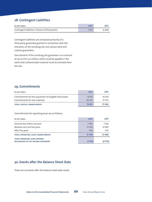## **28. Contingent Liabilities**

| in CHF 1000.-                                     | 2012    | 2011  |
|---------------------------------------------------|---------|-------|
| Contingent liabilities in favour of third parties | 5 2 5 3 | 6 668 |

Contingent liabilities are composed primarily of a third-party guarantee granted in connection with the relocation of the Lenzburg site and various bank and custom guarantees.

One element of the Lenzburg site guarantee is an amount of up to CHF 4.0 million, which could be payable in the event that contaminated material must be removed from the site.

### **29. Commitments**

| in CHF 1000 .-                                           | 2012   | 2011     |
|----------------------------------------------------------|--------|----------|
| Commitments for the acquisition of tangible fixed assets | 10 110 | 19 3 3 4 |
| Commitments for raw materials                            | 60 701 | 57722    |
| <b>TOTAL CAPITAL COMMITMENTS</b>                         | 70 811 | 77 056   |

Commitments for operating lease are as follows:

| in CHF 1000.-                             | 2012     | 2011   |
|-------------------------------------------|----------|--------|
| Amount due within one year                | 7050     | 7526   |
| Between one and five years                | 13 4 79  | 12 905 |
| After five years                          | 929      | 637    |
| <b>TOTAL OPERATING LEASE COMMITMENTS</b>  | 21 4 5 8 | 21068  |
| <b>TOTAL OPERATING LEASE EXPENSE</b>      |          |        |
| <b>RECOGNIZED IN THE INCOME STATEMENT</b> | (7475)   | (6707) |

### **30. Events after the Balance Sheet Date**

There are no events after the balance sheet date noted.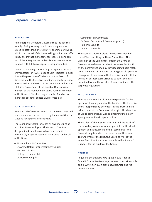### **Corporate Governance**

#### **Introduction**

Hero interprets Corporate Governance to include the totality of all governing principles and regulations aimed to defend the interests of its shareholders which, within the context of decision-making abilities and efficiency, ensure that management's leadership and control of the enterprise are undertaken focused on value creation with full knowledge of its responsibilities.

Hero's corporate regulations fully incorporate the recommendations of "Swiss Code of Best Practices" in addition to the provisions of Swiss law. Hero's Board of Directors and the Executive Board are separate decisionmaking bodies, each with distinct functions and responsibilities. No member of the Board of Directors is a member of the management team. Further, a member of the Board of Directors may sit on the Board of no more than six other quoted Swiss companies.

#### **Board of Directors**

Hero's Board of Directors consists of between three and seven members who are elected by the Annual General Meeting for a period of three years.

The Board of Directors convenes its own meetings at least four times each year. The Board of Directors has delegated individual tasks to two sub-committees, which analyze specific issues in more depth on behalf of the Board:

– Finance & Audit Committee Dr. Arend Oetker (until December 31, 2012) Herbert J. Scheidt Dr. Hagen Duenbostel Dr. Hasso Kaempfe

– Compensation Committee Dr. Arend Oetker (until December 31, 2012) Herbert J. Scheidt Dr. Hasso Kaempfe

The Board of Directors elects from its own members those Directors sitting on these Committees. The Chairmen of the Committees inform the Board of Directors at each meeting about the issues dealt with by the Committees and any corresponding Board resolutions. The Board of Directors has delegated all operative management functions to the Executive Board with the exception of those tasks assigned to other bodies as prescribed by law, the Articles of Incorporation or other corporate regulations.

#### **Executive Board**

The Executive Board is ultimately responsible for the operational management of the business. The Executive Board's responsibility encompasses the execution and achievement of the Company's strategies, the direction of Group companies, as well as extracting maximum synergies from the Group's structures.

The leaders of the business divisions and the heads of the subsidiary companies are responsible for the development and achievement of their commercial and financial targets and for the leadership of their areas. The Chairman of the Executive Board, as well as the whole Executive Board, is answerable to the Board of Directors for the results of the Group.

#### **AUDITORS**

In general the auditors participate in two Finance & Audit Committee Meetings per year to report verbally and in writing on audit planning, execution and recommendations.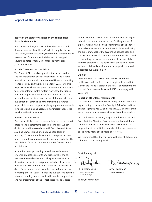### **Report of the Statutory Auditor**

### **Report of the statutory auditor on the consolidated financial statements**

As statutory auditor, we have audited the consolidated financial statements of Hero AG, which comprise the balance sheet, income statement, statement of comprehensive income, cash flow statement, statement of changes in equity and notes (pages 8 to 69) for the year ended 31 December 2012.

#### **Board of Directors' responsibility**

The Board of Directors is responsible for the preparation and fair presentation of the consolidated financial statements in accordance with International Financial Reporting Standards (IFRS) and the requirements of Swiss law. This responsibility includes designing, implementing and maintaining an internal control system relevant to the preparation and fair presentation of consolidated financial statements that are free from material misstatement, whether due to fraud or error. The Board of Directors is further responsible for selecting and applying appropriate accounting policies and making accounting estimates that are reasonable in the circumstances.

#### **Auditor's responsibility**

Our responsibility is to express an opinion on these consolidated financial statements based on our audit. We conducted our audit in accordance with Swiss law and Swiss Auditing Standards and International Standards on Auditing. Those standards require that we plan and perform the audit to obtain reasonable assurance whether the consolidated financial statements are free from material misstatement.

An audit involves performing procedures to obtain audit evidence about the amounts and disclosures in the consolidated financial statements. The procedures selected depend on the auditor's judgment, including the assessment of the risks of material misstatement of the consolidated financial statements, whether due to fraud or error. In making those risk assessments, the auditor considers the internal control system relevant to the entity's preparation and fair presentation of the consolidated financial statements in order to design audit procedures that are appropriate in the circumstances, but not for the purpose of expressing an opinion on the effectiveness of the entity's internal control system. An audit also includes evaluating the appropriateness of the accounting policies used and the reasonableness of accounting estimates made, as well as evaluating the overall presentation of the consolidated financial statements. We believe that the audit evidence we have obtained is sufficient and appropriate to provide a basis for our audit opinion.

#### **Opinion**

In our opinion, the consolidated financial statements for the year ended 31 December 2012 give a true and fair view of the financial position, the results of operations and the cash flows in accordance with IFRS and comply with Swiss law.

#### **Report on other legal requirements**

We confirm that we meet the legal requirements on licensing according to the Auditor Oversight Act (AOA) and independence (article 728 CO and article 11 AOA) and that there are no circumstances incompatible with our independence.

In accordance with article 728a paragraph 1 item 3 CO and Swiss Auditing Standard 890, we confirm that an internal control system exists, which has been designed for the preparation of consolidated financial statements according to the instructions of the Board of Directors.

We recommend that the consolidated financial statements submitted to you be approved.

Ernst & Young Ltd.

Philip Klopfenstein David Haldimann Licensed audit expert Licensed audit expert (Auditor in charge)

Zurich, 19 March 2013

Haldimany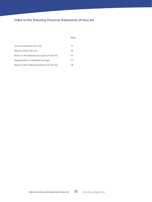# **Index to the Statutory Financial Statements of Hero AG**

# Income Statement Hero AG 73 Balance Sheet Hero AG 74 Notes to the Statutory Accounts of Hero AG 76 Appropriation of Available Earnings 77 Report of the Statutory Auditors of Hero AG 78 **Page**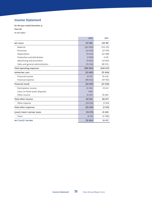## **Income Statement**

**for the year ended December 31 Hero AG**

**in chf 1000.–**

|                                  | 2012     | 2011      |
|----------------------------------|----------|-----------|
| <b>NET SALES</b>                 | 157 283  | 225 181   |
| Material                         | (102950) | (132 215) |
| Personnel                        | (33 435) | (37791)   |
| Depreciation                     | (11633)  | (32768)   |
| Production and distribution      | (7879)   | 4 3 0 1   |
| Advertising and promotion        | (11832)  | (23 831)  |
| Sales and general administration | (13 236) | (18313)   |
| <b>Total operating expenses</b>  | (180965) | (240 617) |
| <b>OPERATING LOSS</b>            | (23682)  | (15436)   |
| Financial income                 | 67 671   | 70 3 2 6  |
| Financial expense                | (98362)  | (9755)    |
| <b>Financial result</b>          | (30691)  | (27 229)  |
| Participation income             | 32 3 9 4 | 35 612    |
| Gains on fixed assets disposed   | 1876     |           |
| Other income                     | 35 250   | 50 40 5   |
| Total other income               | 69 520   | 86 017    |
| Other expense                    | (29 520) | (2103)    |
| <b>Total other expenses</b>      | (29 520) | (2103)    |
| (LOSS) / PROFIT BEFORE TAXES     | (14373)  | 41249     |
| Taxes                            | (4511)   | (4798)    |
| NET (LOSS) / INCOME              | (18884)  | 36 451    |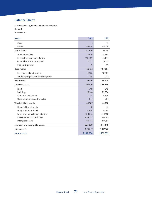# **Balance Sheet**

**as at December 31, before appropriation of profit**

**Hero AG**

**in chf 1000.–**

| <b>Assets</b>                       | 2012    | 2011     |
|-------------------------------------|---------|----------|
| Cash                                | 5       | 12       |
| <b>Banks</b>                        | 151 901 | 44 14 9  |
| Liquid funds                        | 151 906 | 44 161   |
| Trade receivables                   | 16 619  | 23 8 8 8 |
| Receivables from subsidiaries       | 148 869 | 156 874  |
| Other short-term receivables        | 2 5 3 3 | 16 372   |
| Prepaid expenses                    | 191     | 371      |
| <b>Receivables</b>                  | 168 212 | 197 505  |
| Raw material and supplies           | 9720    | 10883    |
| Work-in-progress and finished goods | 1581    | 2 717    |
| Inventories                         | 11 3 01 | 13 600   |
| <b>CURRENT ASSETS</b>               | 331 419 | 255 266  |
| Land                                | 4749    | 4749     |
| <b>Buildings</b>                    | 28 164  | 26896    |
| Plant and machinery                 | 11831   | 11799    |
| Other equipment and vehicles        | 643     | 664      |
| Tangible fixed assets               | 45 387  | 44 108   |
| Financial investments               | 91      | 91       |
| Long-term loans bank                | 11396   | 12 15 8  |
| Long-term loans to subsidiaries     | 400 816 | 430 168  |
| Investments in subsidiaries         | 434 532 | 441 247  |
| Intangible assets                   | 80 455  | 89 354   |
| Financial and intangible assets     | 927 290 | 973 018  |
| <b>FIXED ASSETS</b>                 | 972 677 | 1017126  |
| <b>TOTAL ASSETS</b>                 | 1304096 | 1272392  |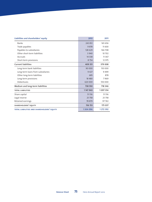| Liabilities and shareholders' equity       | 2012     | 2011     |
|--------------------------------------------|----------|----------|
| <b>Banks</b>                               | 243 812  | 165 656  |
| Trade payables                             | 9878     | 11 600   |
| Payables to subsidiaries                   | 128 629  | 166 708  |
| Other short-term liabilities               | 3 9 4 0  | 10 702   |
| Accruals                                   | 14 3 3 8 | 11 3 6 7 |
| Short-term provisions                      | 8754     | 12 975   |
| <b>Current liabilities</b>                 | 409 351  | 379 008  |
| Long-term bank liabilities                 | 90 000   | 150 000  |
| Long-term loans from subsidiaries          | 9 4 2 7  | 9499     |
| Other long-term liabilities                | 685      | 878      |
| Long-term provisions                       | 18 4 8 0 | 7969     |
| Debentures                                 | 620 000  | 550 000  |
| Medium and long-term liabilities           | 738 592  | 718 346  |
| <b>TOTAL LIABILITIES</b>                   | 1147943  | 1097354  |
| Share capital                              | 51 51 6  | 51 51 6  |
| Legal reserve                              | 25 7 5 8 | 25 758   |
| Retained earnings                          | 78 879   | 97763    |
| <b>SHAREHOLDERS' EQUITY</b>                | 156 153  | 175 037  |
| TOTAL LIABILITIES AND SHAREHOLDERS' EQUITY | 1304096  | 1272392  |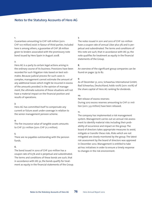### **Notes to the Statutory Accounts of Hero AG**

#### **1.**

Guarantees amounting to CHF 108 million (2011: CHF 107 million) exist in favour of third parties. Included here is among others, a guarantee of CHF 78 million given to lenders associated with the promissory note bond issued by Hero Spain in August 2008.

#### **2.**

Hero AG is a party to certain legal actions arising in the ordinary course of its business. Provisions have been recorded for such litigation risks based on best estimates. Because judicial process for such cases is complex, management cannot estimate the amount of any additional losses which might be incurred in excess of the amounts provided. In the opinion of management, the ultimate outcome of these situations will not have a material impact on the financial position and results of operations.

#### **3.**

Hero AG has committed itself to compensate any current or future asset under-coverage in relation to the senior management pension scheme.

#### **4.**

The fire insurance value of tangible assets amounts to CHF 77.1 million (2011: CHF 71.2 million).

#### **5.**

There are no payables outstanding with the pension funds.

#### **6.**

The bond issued in 2010 of CHF 500 million has a coupon rate of 6.5% and is perpetual and subordinated. The terms and conditions of these bonds are such, that in accordance with IAS 32, the bonds qualify for treatment as equity in the financial statements of the Group.

#### **7.**

The notes issued in 2011 and 2012 of CHF 120 million have a coupon rate of annual Libor plus 5% and is perpetual and subordinated. The terms and conditions of this note are such, that in accordance with IAS 32, the note qualifies for treatment as equity in the financial statements of the Group.

#### **8.**

An overview of the significant group companies can be found on pages 79 to 82.

#### **9.**

As of December 31, 2012, Schwartau International GmbH, Bad Schwartau, Deutschland, holds 100% (2011: 100%) of the share capital of Hero AG ranking for dividends.

#### **10.**

Net release of excess reserves:

During 2012 excess reserves amounting to CHF 0.1 million (2011: 3.9 million) have been released.

#### **11.**

The company has implemented a risk management system. Management carries out an annual risk assessment to identify material risks including their probability of occurrence and impact on the group. The board of directors takes appropriate measures to avoid, mitigate or transfer these risks. Risks which are not mitigated are closely monitored by the group. The latest risk assessment by the board of directors was approved in December 2012. Management is entitled to take ad-hoc initiatives in order to ensure a timely response to changes in the risk environment.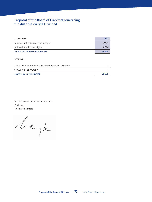## **Proposal of the Board of Directors concerning the distribution of a Dividend**

| in CHF 1000 .-                                                 | 2012    |
|----------------------------------------------------------------|---------|
| Amount carried forward from last year                          | 97763   |
| Net profit for the current year                                | (18884) |
| <b>TOTAL AVAILABLE FOR DISTRIBUTION</b>                        | 78 879  |
| <b>DIVIDEND</b>                                                |         |
| CHF o. - on 5'151'600 registered shares of CHF 10. - par value |         |
| <b>TOTAL DIVIDEND PAYMENT</b>                                  |         |
| <b>BALANCE CARRIED FORWARD</b>                                 | 78 879  |

In the name of the Board of Directors: Chairman: Dr. Hasso Kaempfe

Macyle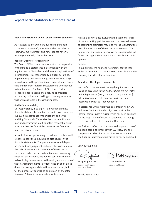### **Report of the Statutory Auditor of Hero AG**

#### **Report of the statutory auditor on the financial statements**

As statutory auditor, we have audited the financial statements of Hero AG, which comprise the balance sheet, income statement and notes (pages 73 to 76) for the year ended 31 December 2012.

#### **Board of Directors' responsibility**

The Board of Directors is responsible for the preparation of the financial statements in accordance with the requirements of Swiss law and the company's articles of incorporation. This responsibility includes designing, implementing and maintaining an internal control system relevant to the preparation of financial statements that are free from material misstatement, whether due to fraud or error. The Board of Directors is further responsible for selecting and applying appropriate accounting policies and making accounting estimates that are reasonable in the circumstances.

#### **Auditor's responsibility**

Our responsibility is to express an opinion on these financial statements based on our audit. We conducted our audit in accordance with Swiss law and Swiss Auditing Standards. Those standards require that we plan and perform the audit to obtain reasonable assurance whether the financial statements are free from material misstatement.

An audit involves performing procedures to obtain audit evidence about the amounts and disclosures in the financial statements. The procedures selected depend on the auditor's judgment, including the assessment of the risks of material misstatement of the financial statements, whether due to fraud or error. In making those risk assessments, the auditor considers the internal control system relevant to the entity's preparation of the financial statements in order to design audit procedures that are appropriate in the circumstances, but not for the purpose of expressing an opinion on the effectiveness of the entity's internal control system.

An audit also includes evaluating the appropriateness of the accounting policies used and the reasonableness of accounting estimates made, as well as evaluating the overall presentation of the financial statements. We believe that the audit evidence we have obtained is sufficient and appropriate to provide a basis for our audit opinion.

#### **Opinion**

In our opinion, the financial statements for the year ended 31 December 2012 comply with Swiss law and the company's articles of incorporation.

#### **Report on other legal requirements**

We confirm that we meet the legal requirements on licensing according to the Auditor Oversight Act (AOA) and independence (Art. 728 Code of Obligations [CO] article 11 AOA) and that there are no circumstances incompatible with our independence.

In accordance with article 728a paragraph 1 item 3 CO and Swiss Auditing Standard 890, we confirm that an internal control system exists, which has been designed for the preparation of financial statements according to the instructions of the Board of Directors.

We further confirm that the proposed appropriation of available earnings complies with Swiss law and the company's articles of incorporation. We recommend that the financial statements submitted to you be approved.

Ernst & Young Ltd.

Philip Klopfenstein **David Haldimann** Licensed audit expert Licensed audit expert (Auditor in charge)

Zurich, 19 March 2013

Haldimany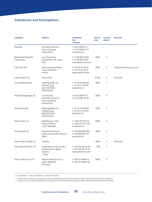# **Subsidiaries and Participations**

| Company                            | <b>Address</b>                                                            | <b>Telephone</b><br>Fax<br>Internet                             | Owner-<br>ship | Consoli-<br>dation* | <b>Remarks</b>             |
|------------------------------------|---------------------------------------------------------------------------|-----------------------------------------------------------------|----------------|---------------------|----------------------------|
| <b>Hero AG</b>                     | Karl Roth-Strasse 8<br>5600 Lenzburg<br>Switzerland                       | T +41 62 885 51 11<br>F +41 62 885 54 30<br>www.hero.ch         |                |                     |                            |
| Beech-Nut Nutrition<br>Corporation | 100 Hero Drive<br>Amsterdam, NY 12010<br><b>USA</b>                       | T +1 518 839 0300<br>F +1 518 839 0301<br>www.beechnut.com      | 100%           | F                   |                            |
| Cap' Fruit SAS                     | Zone artisanale Rapon<br>26140 Anneyron<br>France                         | T +33 475 31 40 22<br>F +33 475 31 59 72<br>www.capfruit.com    | 100%           | F                   | Disposed February 29, 2012 |
| Citron Export Inc.                 | Puerto Rico                                                               |                                                                 | 97.4%          | E                   | Dormant                    |
| Friso Nederland BV                 | Teteringsedijk 227<br>Postbus 3243<br>4817 ME Breda<br>Netherlands        | T+3176 57 98 000<br>F +3176 5714 903<br>www.hero.nl             | 100%           | F                   |                            |
| Hero Beteiligungen AG              | c/o Hero AG<br>Karl Roth-Strasse 8<br>5600 Lenzburg<br>Switzerland        | T +41 62 885 51 11<br>F +41 62 885 55 28                        | 100%           | F                   |                            |
| Hero Drinks BV                     | Teteringsedijk 227<br>Postbus 3243<br>4817 ME Breda<br>Netherlands        | T+3176 57 98 000<br>F +3176 5714 903<br>www.hero.nl             | 100%           | F                   |                            |
| Hero Czech s.r.o.                  | Radlicka 751 / 113e<br>158 00 Praha 5<br>Czech Republic                   | T +420 227 031 311<br>F+420 227 031 330<br>www.hero.cz          | 100%           | F                   |                            |
| Hero España SA                     | Avenida de Murcia 1<br>30820 Alcantarilla (Murcia)<br>Spain               | T+34 968 898 900<br>F +34 968 800 727<br>www.hero.es            | 100%           | F                   |                            |
| Hero Foods Canada Inc.             | Canada                                                                    |                                                                 | 100%           | F                   | Dormant                    |
| Hero Gida San.ve Tic. AS           | Kisikli Mah. Ferah cad. No: 1<br>BuyukCamlica 34692<br>Istanbul<br>Turkey | T +90 216 524 26 30<br>F +90 216 481 77 25<br>www.ulkerhero.com | 50%            | F                   |                            |
| Hero GmbH & Co. KG **              | Werner-Bock-Strasse 23<br>33602 Bielefeld<br>Germany                      | T+49 521 96469 0<br>F +49 521 96469 50                          | 100%           | F                   |                            |

\* Consolidation: F = fully consolidated, E = equity consolidated

\*\* For the purpose of German commercial law, these consolidated Group financial statements release these companies from their obligation to publish their own financial statements in Germany, in accordance with Section 264 sub-section 3 of the German HGB (commercial code).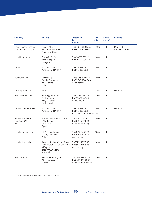| Company                                             | <b>Address</b>                                                                                              | <b>Telephone</b><br>Fax<br><b>Internet</b>                         | Owner-<br>ship | Consoli-<br>dation* | <b>Remarks</b>              |
|-----------------------------------------------------|-------------------------------------------------------------------------------------------------------------|--------------------------------------------------------------------|----------------|---------------------|-----------------------------|
| Hero Huishan (Shenyang)<br>Nutrition Food Co., Ltd  | Bajiazi Village,<br>Xiushuihe Town, Faku,<br>Shenyang, China                                                | T+86 024 88045977<br>F+86 024 88045977                             | 50%            | F                   | Disposed<br>August 30, 2012 |
| Hero Hungary Ltd.                                   | Soroksári út 160<br>1095 Budapest<br>Hungary                                                                | T +420 227 031 311<br>F+420 227 031 330                            | 100%           | F                   |                             |
| Hero Inc.                                           | 100 Hero Drive<br>Amsterdam, NY 12010<br><b>USA</b>                                                         | T +1 518 839 0300<br>F +1 518 839 0301                             | 100%           | F                   |                             |
| Hero Italia SpA                                     | Via Leoni 4<br>Casella Postale 492<br>37121 Verona<br>Italy                                                 | T+39 045 8060 911<br>F +39 045 8060 900<br>www.hero.it             | 100%           | F                   |                             |
| Hero Japan Co., Ltd.                                | Japan                                                                                                       |                                                                    | 51%            | F                   | Dormant                     |
| Hero Nederland BV                                   | Teteringsedijk 227<br>Postbus 3243<br>4817 ME Breda<br>Netherlands                                          | T +31 76 57 98 000<br>F +31 76 57 14 903<br>www.hero.nl            | 100%           | F                   |                             |
| Hero North America LLC                              | 100 Hero Drive<br>Amsterdam, NY 12010<br><b>USA</b>                                                         | T +1 518 839 0300<br>F +1 518 839 0301<br>www.heronorthamerica.com | 100%           | F                   | Dormant                     |
| Hero Nutritional Food<br>Industries SAE<br>(Vitrac) | Plot No. 2/6S, Zone 6, 1st District<br>5 <sup>th</sup> Settlement<br>New Cairo<br>Egypt                     | T +20 2 275 97 900<br>F +20 2 261 830 86<br>www.hero.com.eg        | 100%           | F                   |                             |
| Hero Polska Sp. z o.o.                              | Ul. Pilchowicka 9/11<br>02-175 Warszawa<br>Poland                                                           | T +48 22 574 23 20<br>F +48 22 574 23 30<br>www.hero.pl            | 100%           | F                   |                             |
| Hero Portugal Lda                                   | Avenida das Laranjeiras, No 6a<br>Urbanização da Quinta Grande<br>Alfragide<br>2720-333 Amadora<br>Portugal | T +351 21 472 18 80<br>F +351 21 472 18 88<br>www.hero.pt          | 100%           | F                   |                             |
| Hero Rus OOO                                        | Kremenchugskaya 9<br>Moscow 121352<br>Russia                                                                | T +7 495 988 34 82<br>F +7 495 988 34 82<br>www.semper-info.ru     | 100%           | F                   |                             |

\* Consolidation: F = fully consolidated, E = equity consolidated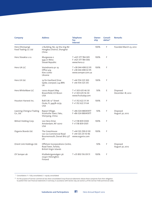| Company                                 | <b>Address</b>                                                                   | <b>Telephone</b><br>Fax<br>Internet                            | Owner-<br>ship | Consoli-<br>dation <sup>*</sup> | <b>Remarks</b>                |
|-----------------------------------------|----------------------------------------------------------------------------------|----------------------------------------------------------------|----------------|---------------------------------|-------------------------------|
| Hero (Shenyang)<br>Food Trading Co. Ltd | 2 Building, No. 29 Sha Jing Rd<br>Hongkou District, Shanghai<br>China            |                                                                | 100%           | F                               | Founded March 23, 2012        |
| Hero Slovakia s.r.o.                    | Murgasova 2<br>949 01 Nitra<br>Slovak Republic                                   | T +421 377 784 005<br>F+421 377 784 006<br>www.hero.cz         | 100%           | F                               |                               |
| Hero UA LLC                             | Voziednania pr. 19<br>Office 414<br>Kiev 02160<br>Ukraine                        | T+38 044 498 02 95<br>F +38 044 498 02 95<br>www.semper.com.ua | 100%           | F                               |                               |
| Hero UK Ltd.                            | 19 De Havilland Drive<br>Speke, Liverpool, L24 8RN<br>UK                         | T +44 1514 325 300<br>F +44 1514 325 335                       | 100%           | F                               |                               |
| Hero WhiteWave LLC                      | 12002 Airport Way<br>Broomfield, CO 80021<br><b>USA</b>                          | T +1 303 635 46 30<br>F+1303 635 56 30<br>www.fruit2day.com    | 50%            | E                               | Disposed<br>December 18, 2012 |
| Houston Harvest Inc.                    | 808 S.W. 12 <sup>th</sup> Street<br>Ocala, FL 34478-0279<br><b>USA</b>           | T +1 352 622 31 34<br>F +1 352 622 31 64                       | 100%           | F                               |                               |
| Liaoning Chengrui Trading<br>Co., Ltd   | Bajiazi Village,<br>Xiushuihe Town, Faku,<br>Shenyang, China                     | T+86 024 88045977<br>F+86 024 88045977                         | 50%            | F                               | Disposed<br>August 30, 2012   |
| Milnot Holding Corp.                    | 100 Hero Drive<br>Amsterdam, NY 12010<br><b>USA</b>                              | T +1 518 839 0300<br>F +1 518 839 0301                         | 100%           | F                               |                               |
| Organix Brands Ltd.                     | The Greenhouse<br>120-122 Commercial Road<br>Bournemouth, Dorset BH2 5LT<br>UK   | T +44 120 258 61 00<br>F +44 120 231 10 96<br>www.organix.com  | 100%           | F                               |                               |
| Orient Link Holdings Ltd.               | Offshore Incorporations Centre,<br>Road Town, Tortola,<br>British Virgin Islands |                                                                | 50%            | F                               | Disposed<br>August 30, 2012   |
| OY Semper ab                            | Klubbekrigarevägen 3A<br>00401 Helsingfors<br>Finland                            | T +35 850 516 09 51                                            | 100%           | F                               |                               |

\* Consolidation: F = fully consolidated, E = equity consolidated

\*\* For the purpose of German commercial law, these consolidated Group financial statements release these companies from their obligation to publish their own financial statements in Germany, in accordance with Section 264 sub-section 3 of the German HGB (commercial code).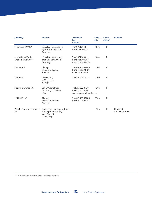| Company                                | <b>Address</b>                                                                  | <b>Telephone</b><br>Fax<br><b>Internet</b>                          | Owner-<br>ship | Consoli-<br>dation* | <b>Remarks</b>              |
|----------------------------------------|---------------------------------------------------------------------------------|---------------------------------------------------------------------|----------------|---------------------|-----------------------------|
| Schönauer IAV AG <sup>**</sup>         | Lübecker Strasse 49-55<br>23611 Bad Schwartau<br>Germany                        | T+49 451 204 0<br>F +49 451 204 108                                 | 100%           | F                   |                             |
| Schwartauer Werke<br>GmbH & Co. KGaA** | Lübecker Strasse 49-55<br>23611 Bad Schwartau<br>Germany                        | T+49 451 204 0<br>F +49 451 204 385<br>www.schwartau.de             | 100%           | F                   |                             |
| Semper AB                              | Allén 5<br>172 22 Sundbyberg<br>Sweden                                          | T +46 8 505 931 00<br>F+46 8 505 931 01<br>www.semper.com           | 100%           | F                   |                             |
| Semper AS                              | Vollsveien 9<br>1366 Lysaker<br>Norway                                          | T +47 80 03 05 80                                                   | 100%           | F                   |                             |
| Signature Brands LLC                   | 808 S.W. 12 <sup>th</sup> Street<br>Ocala, FL 34478-0279<br><b>USA</b>          | T +1 352 622 31 34<br>F +1 352 622 31 64<br>www.signaturebrands.com | 100%           | F                   |                             |
| SP HoldCo AB                           | Allén 5<br>172 22 Sundbyberg<br>Sweden                                          | T +46 8 505 931 00<br>F +46 8 505 931 01                            | 100%           | F                   |                             |
| Wealth Come Investments<br>Ltd         | Room 1201, Huachuang Tower,<br>No. 303 Hennessy Rd,<br>Wan Chai Rd<br>Hong Kong |                                                                     | 50%            | F                   | Disposed<br>August 30, 2012 |

\* Consolidation: F = fully consolidated, E = equity consolidated